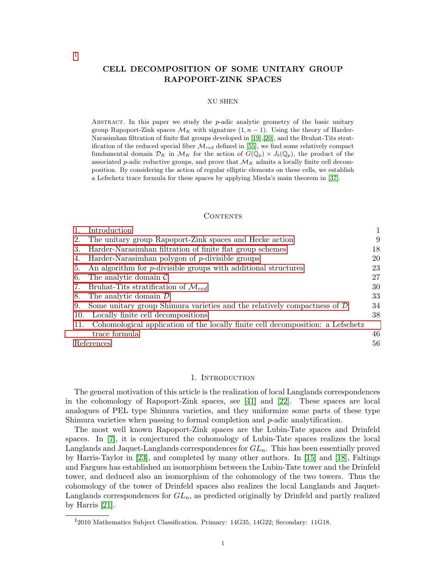# CELL DECOMPOSITION OF SOME UNITARY GROUP RAPOPORT-ZINK SPACES

#### XU SHEN

ABSTRACT. In this paper we study the  $p$ -adic analytic geometry of the basic unitary group Rapoport-Zink spaces  $\mathcal{M}_K$  with signature  $(1, n - 1)$ . Using the theory of Harder-Narasimhan filtration of finite flat groups developed in [\[19\]](#page-56-0),[\[20\]](#page-56-1), and the Bruhat-Tits stratification of the reduced special fiber  $\mathcal{M}_{red}$  defined in [\[55\]](#page-57-0), we find some relatively compact fundamental domain  $\mathcal{D}_K$  in  $\mathcal{M}_K$  for the action of  $G(\mathbb{Q}_p) \times J_b(\mathbb{Q}_p)$ , the product of the associated p-adic reductive groups, and prove that  $\mathcal{M}_K$  admits a locally finite cell decomposition. By considering the action of regular elliptic elements on these cells, we establish a Lefschetz trace formula for these spaces by applying Mieda's main theorem in [\[37\]](#page-56-2).

### **CONTENTS**

|     | Introduction                                                                    |    |
|-----|---------------------------------------------------------------------------------|----|
| 2.  | The unitary group Rapoport-Zink spaces and Hecke action                         | 9  |
| 3.  | Harder-Narasimhan filtration of finite flat group schemes                       | 18 |
| 4.  | Harder-Narasimhan polygon of $p$ -divisible groups                              | 20 |
| 5.  | An algorithm for <i>p</i> -divisible groups with additional structures          | 23 |
| 6.  | The analytic domain $\mathcal C$                                                | 27 |
|     | 7. Bruhat-Tits stratification of $\mathcal{M}_{red}$                            | 30 |
| 8.  | The analytic domain $\mathcal D$                                                | 33 |
| 9.  | Some unitary group Shimura varieties and the relatively compactness of $D$      | 34 |
| 10. | Locally finite cell decompositions                                              | 38 |
| 11. | Cohomological application of the locally finite cell decomposition: a Lefschetz |    |
|     | trace formula                                                                   | 46 |
|     | References                                                                      |    |
|     |                                                                                 |    |

## 1. INTRODUCTION

<span id="page-0-1"></span>The general motivation of this article is the realization of local Langlands correspondences in the cohomology of Rapoport-Zink spaces, see [\[41\]](#page-56-3) and [\[22\]](#page-56-4). These spaces are local analogues of PEL type Shimura varieties, and they uniformize some parts of these type Shimura varieties when passing to formal completion and p-adic analytification.

The most well known Rapoport-Zink spaces are the Lubin-Tate spaces and Drinfeld spaces. In [\[7\]](#page-55-1), it is conjectured the cohomology of Lubin-Tate spaces realizes the local Langlands and Jaquet-Langlands correspondences for  $GL_n$ . This has been essentially proved by Harris-Taylor in [\[23\]](#page-56-5), and completed by many other authors. In [\[15\]](#page-55-2) and [\[18\]](#page-56-6), Faltings and Fargues has established an isomorphism between the Lubin-Tate tower and the Drinfeld tower, and deduced also an isomorphism of the cohomology of the two towers. Thus the cohomology of the tower of Drinfeld spaces also realizes the local Langlands and Jaquet-Langlands correspondences for  $GL_n$ , as predicted originally by Drinfeld and partly realized by Harris [\[21\]](#page-56-7).

<span id="page-0-0"></span><sup>&</sup>lt;sup>1</sup>2010 Mathematics Subject Classification. Primary: 14G35, 14G22; Secondary: 11G18.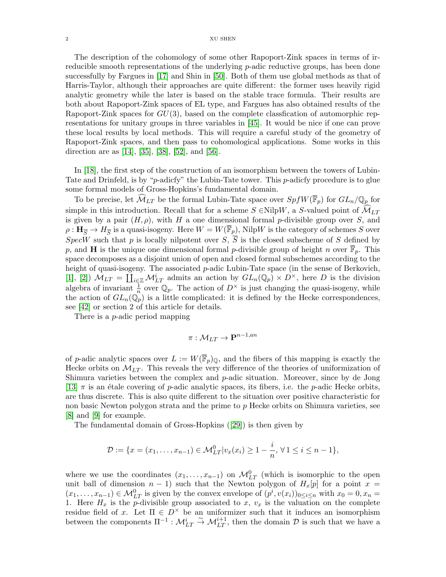#### $2\,$   $\,$   $\,$   $\,$   $\,$   $\,$  XU SHEN  $\,$

The description of the cohomology of some other Rapoport-Zink spaces in terms of irreducible smooth representations of the underlying  $p$ -adic reductive groups, has been done successfully by Fargues in [\[17\]](#page-56-8) and Shin in [\[50\]](#page-57-1). Both of them use global methods as that of Harris-Taylor, although their approaches are quite different: the former uses heavily rigid analytic geometry while the later is based on the stable trace formula. Their results are both about Rapoport-Zink spaces of EL type, and Fargues has also obtained results of the Rapoport-Zink spaces for  $GU(3)$ , based on the complete classfication of automorphic representations for unitary groups in three variables in [\[45\]](#page-56-9). It would be nice if one can prove these local results by local methods. This will require a careful study of the geometry of Rapoport-Zink spaces, and then pass to cohomological applications. Some works in this direction are as [\[14\]](#page-55-3), [\[35\]](#page-56-10), [\[38\]](#page-56-11), [\[52\]](#page-57-2), and [\[56\]](#page-57-3).

In [\[18\]](#page-56-6), the first step of the construction of an isomorphism between the towers of Lubin-Tate and Drinfeld, is by "p-adicfy" the Lubin-Tate tower. This p-adicfy procedure is to glue some formal models of Gross-Hopkins's fundamental domain.

To be precise, let  $\mathcal{M}_{LT}$  be the formal Lubin-Tate space over  $SpfW(\overline{\mathbb{F}}_p)$  for  $GL_n/\mathbb{Q}_p$  for simple in this introduction. Recall that for a scheme  $S \in NilpW$ , a S-valued point of  $\widehat{\mathcal{M}}_{LT}$ is given by a pair  $(H, \rho)$ , with H a one dimensional formal p-divisible group over S, and  $\rho: \mathbf{H}_{\overline{S}} \to H_{\overline{S}}$  is a quasi-isogeny. Here  $W=W(\mathbb{F}_p)$ , Nilp $W$  is the category of schemes  $S$  over  $SpecW$  such that p is locally nilpotent over  $S$ ,  $\overline{S}$  is the closed subscheme of S defined by p, and **H** is the unique one dimensional formal p-divisible group of height n over  $\overline{\mathbb{F}}_p$ . This space decomposes as a disjoint union of open and closed formal subschemes according to the height of quasi-isogeny. The associated p-adic Lubin-Tate space (in the sense of Berkovich, [\[1\]](#page-55-4), [\[2\]](#page-55-5))  $\mathcal{M}_{LT} = \coprod_{i \in \mathbb{Z}} \mathcal{M}_{LT}^i$  admits an action by  $GL_n(\mathbb{Q}_p) \times D^{\times}$ , here D is the division algebra of invariant  $\frac{1}{n}$  over  $\mathbb{Q}_p$ . The action of  $D^{\times}$  is just changing the quasi-isogeny, while the action of  $GL_n(\mathbb{Q}_p)$  is a little complicated: it is defined by the Hecke correspondences, see [\[42\]](#page-56-12) or section 2 of this article for details.

There is a *p*-adic period mapping

$$
\pi: \mathcal{M}_{LT} \to \mathbf{P}^{n-1,an}
$$

of p-adic analytic spaces over  $L := W(\overline{\mathbb{F}}_p)_{\mathbb{Q}}$ , and the fibers of this mapping is exactly the Hecke orbits on  $M_{LT}$ . This reveals the very difference of the theories of uniformization of Shimura varieties between the complex and  $p$ -adic situation. Moreover, since by de Jong [\[13\]](#page-55-6)  $\pi$  is an étale covering of p-adic analytic spaces, its fibers, i.e. the p-adic Hecke orbits, are thus discrete. This is also quite different to the situation over positive characteristic for non basic Newton polygon strata and the prime to p Hecke orbits on Shimura varieties, see [\[8\]](#page-55-7) and [\[9\]](#page-55-8) for example.

The fundamental domain of Gross-Hopkins([\[29\]](#page-56-13)) is then given by

$$
\mathcal{D} := \{x = (x_1, \dots, x_{n-1}) \in \mathcal{M}_{LT}^0 | v_x(x_i) \ge 1 - \frac{i}{n}, \forall 1 \le i \le n-1 \},\
$$

where we use the coordinates  $(x_1, \ldots, x_{n-1})$  on  $\mathcal{M}_{LT}^0$  (which is isomorphic to the open unit ball of dimension  $n - 1$ ) such that the Newton polygon of  $H_x[p]$  for a point  $x =$  $(x_1, \ldots, x_{n-1}) \in \mathcal{M}_{LT}^0$  is given by the convex envelope of  $(p^i, v(x_i))_{0 \le i \le n}$  with  $x_0 = 0, x_n =$ 1. Here  $H_x$  is the *p*-divisible group associated to x,  $v_x$  is the valuation on the complete residue field of x. Let  $\Pi \in D^{\times}$  be an uniformizer such that it induces an isomorphism between the components  $\Pi^{-1}$ :  $\mathcal{M}_{LT}^i \stackrel{\sim}{\to} \mathcal{M}_{LT}^{i+1}$ , then the domain  $\mathcal D$  is such that we have a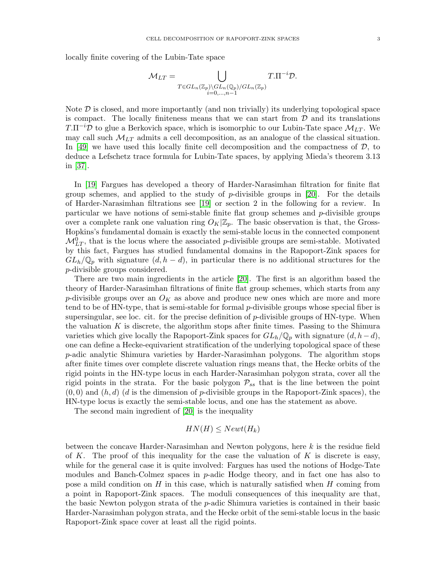locally finite covering of the Lubin-Tate space

$$
\mathcal{M}_{LT} = \bigcup_{\substack{T \in GL_n(\mathbb{Z}_p) \backslash GL_n(\mathbb{Q}_p)/GL_n(\mathbb{Z}_p) \\ i=0,\dots,n-1}} T.\Pi^{-i} \mathcal{D}.
$$

Note  $\mathcal D$  is closed, and more importantly (and non trivially) its underlying topological space is compact. The locally finiteness means that we can start from  $\mathcal D$  and its translations  $T.\Pi^{-i}\mathcal{D}$  to glue a Berkovich space, which is isomorphic to our Lubin-Tate space  $\mathcal{M}_{LT}$ . We may call such  $M_{LT}$  admits a cell decomposition, as an analogue of the classical situation. In [\[49\]](#page-57-4) we have used this locally finite cell decomposition and the compactness of  $\mathcal{D}$ , to deduce a Lefschetz trace formula for Lubin-Tate spaces, by applying Mieda's theorem 3.13 in [\[37\]](#page-56-2).

In [\[19\]](#page-56-0) Fargues has developed a theory of Harder-Narasimhan filtration for finite flat group schemes, and applied to the study of p-divisible groups in [\[20\]](#page-56-1). For the details of Harder-Narasimhan filtrations see [\[19\]](#page-56-0) or section 2 in the following for a review. In particular we have notions of semi-stable finite flat group schemes and p-divisible groups over a complete rank one valuation ring  $O_K|\mathbb{Z}_p$ . The basic observation is that, the Gross-Hopkins's fundamental domain is exactly the semi-stable locus in the connected component  $\mathcal{M}_{LT}^0$ , that is the locus where the associated p-divisible groups are semi-stable. Motivated by this fact, Fargues has studied fundamental domains in the Rapoport-Zink spaces for  $GL_h/\mathbb{Q}_p$  with signature  $(d, h - d)$ , in particular there is no additional structures for the p-divisible groups considered.

There are two main ingredients in the article [\[20\]](#page-56-1). The first is an algorithm based the theory of Harder-Narasimhan filtrations of finite flat group schemes, which starts from any p-divisible groups over an  $O_K$  as above and produce new ones which are more and more tend to be of HN-type, that is semi-stable for formal  $p$ -divisible groups whose special fiber is supersingular, see loc. cit. for the precise definition of  $p$ -divisible groups of HN-type. When the valuation  $K$  is discrete, the algorithm stops after finite times. Passing to the Shimura varieties which give locally the Rapoport-Zink spaces for  $GL_h/\mathbb{Q}_p$  with signature  $(d, h-d)$ , one can define a Hecke-equivarient stratification of the underlying topological space of these p-adic analytic Shimura varieties by Harder-Narasimhan polygons. The algorithm stops after finite times over complete discrete valuation rings means that, the Hecke orbits of the rigid points in the HN-type locus in each Harder-Narasimhan polygon strata, cover all the rigid points in the strata. For the basic polygon  $P_{ss}$  that is the line between the point  $(0, 0)$  and  $(h, d)$  (d is the dimension of p-divisible groups in the Rapoport-Zink spaces), the HN-type locus is exactly the semi-stable locus, and one has the statement as above.

The second main ingredient of [\[20\]](#page-56-1) is the inequality

$$
HN(H) \leq Newt(H_k)
$$

between the concave Harder-Narasimhan and Newton polygons, here k is the residue field of K. The proof of this inequality for the case the valuation of K is discrete is easy, while for the general case it is quite involved: Fargues has used the notions of Hodge-Tate modules and Banch-Colmez spaces in  $p$ -adic Hodge theory, and in fact one has also to pose a mild condition on  $H$  in this case, which is naturally satisfied when  $H$  coming from a point in Rapoport-Zink spaces. The moduli consequences of this inequality are that, the basic Newton polygon strata of the p-adic Shimura varieties is contained in their basic Harder-Narasimhan polygon strata, and the Hecke orbit of the semi-stable locus in the basic Rapoport-Zink space cover at least all the rigid points.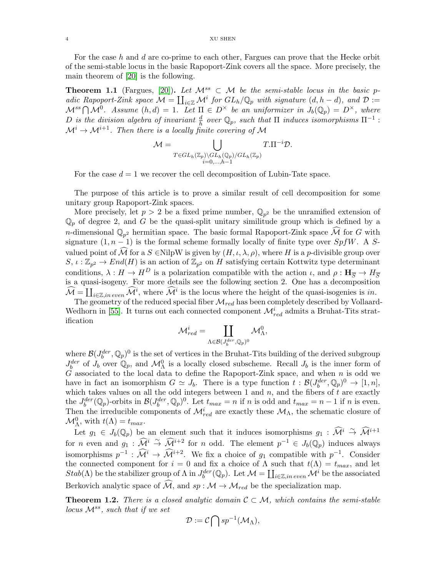For the case h and d are co-prime to each other, Fargues can prove that the Hecke orbit of the semi-stable locus in the basic Rapoport-Zink covers all the space. More precisely, the main theorem of [\[20\]](#page-56-1) is the following.

**Theorem 1.1** (Fargues, [\[20\]](#page-56-1)). Let  $\mathcal{M}^{ss} \subset \mathcal{M}$  be the semi-stable locus in the basic padic Rapoport-Zink space  $\mathcal{M} = \coprod_{i\in\mathbb{Z}} \mathcal{M}^i$  for  $GL_h/\mathbb{Q}_p$  with signature  $(d, h - d)$ , and  $\mathcal{D} :=$  $\mathcal{M}^{ss} \bigcap \mathcal{M}^0$ . Assume  $(h,d) = 1$ . Let  $\Pi \in D^{\times}$  be an uniformizer in  $J_b(\mathbb{Q}_p) = D^{\times}$ , where D is the division algebra of invariant  $\frac{d}{h}$  over  $\mathbb{Q}_p$ , such that  $\Pi$  induces isomorphisms  $\Pi^{-1}$ :  $\mathcal{M}^i \to \mathcal{M}^{i+1}$ . Then there is a locally finite covering of M

$$
\mathcal{M} = \bigcup_{\substack{T \in GL_h(\mathbb{Z}_p) \backslash GL_h(\mathbb{Q}_p)/GL_h(\mathbb{Z}_p) \\ i=0,\ldots,h-1}} T.\Pi^{-i} \mathcal{D}.
$$

For the case  $d = 1$  we recover the cell decomposition of Lubin-Tate space.

The purpose of this article is to prove a similar result of cell decomposition for some unitary group Rapoport-Zink spaces.

More precisely, let  $p > 2$  be a fixed prime number,  $\mathbb{Q}_{p^2}$  be the unramified extension of  $\mathbb{Q}_p$  of degree 2, and G be the quasi-split unitary similitude group which is defined by a *n*-dimensional  $\mathbb{Q}_{p^2}$  hermitian space. The basic formal Rapoport-Zink space M for G with signature  $(1, n - 1)$  is the formal scheme formally locally of finite type over  $SpfW$ . A Svalued point of  $\mathcal{\hat{M}}$  for a  $S \in$ NilpW is given by  $(H, \iota, \lambda, \rho)$ , where H is a p-divisible group over  $S, \iota : \mathbb{Z}_{p^2} \to End(H)$  is an action of  $\mathbb{Z}_{p^2}$  on H satisfying certain Kottwitz type determinant conditions,  $\lambda : H \to H^D$  is a polarization compatible with the action  $\iota$ , and  $\rho : H_{\overline{S}} \to H_{\overline{S}}$ is a quasi-isogeny. For more details see the following section 2. One has a decomposition  $\widehat{\mathcal{M}} = \coprod_{i \in \mathbb{Z}, in\ even} \widehat{\mathcal{M}}^i$ , where  $\widehat{\mathcal{M}}^i$  is the locus where the height of the quasi-isogenies is in.

The geometry of the reduced special fiber  $\mathcal{M}_{red}$  has been completely described by Vollaard-Wedhorn in [\[55\]](#page-57-0). It turns out each connected component  $\mathcal{M}^i_{red}$  admits a Bruhat-Tits stratification

$$
\mathcal{M}^i_{red} = \coprod_{\Lambda \in \mathcal{B}(J_b^{der}, \mathbb{Q}_p)^0} \mathcal{M}^0_{\Lambda},
$$

where  $\mathcal{B}(J_b^{der}, \mathbb{Q}_p)^0$  is the set of vertices in the Bruhat-Tits building of the derived subgroup  $J_b^{der}$  of  $J_b$  over  $\mathbb{Q}_p$ , and  $\mathcal{M}_{\Lambda}^0$  is a locally closed subscheme. Recall  $J_b$  is the inner form of G associated to the local data to define the Rapoport-Zink space, and when  $n$  is odd we have in fact an isomorphism  $G \simeq J_b$ . There is a type function  $t : \mathcal{B}(J_b^{der}, \mathbb{Q}_p)^0 \to [1, n],$ which takes values on all the odd integers between 1 and  $n$ , and the fibers of  $t$  are exactly the  $J_b^{der}(\mathbb{Q}_p)$ -orbits in  $\mathcal{B}(J_b^{der}, \mathbb{Q}_p)^0$ . Let  $t_{max} = n$  if n is odd and  $t_{max} = n - 1$  if n is even. Then the irreducible components of  $\mathcal{M}^i_{red}$  are exactly these  $\mathcal{M}_{\Lambda}$ , the schematic closure of  $\mathcal{M}_{\Lambda}^0$ , with  $t(\Lambda) = t_{max}$ .

Let  $g_1 \in J_b(\mathbb{Q}_p)$  be an element such that it induces isomorphisms  $g_1 : \widehat{\mathcal{M}}^i \stackrel{\sim}{\rightarrow} \widehat{\mathcal{M}}^{i+1}$ for *n* even and  $g_1 : \widehat{\mathcal{M}}^i \stackrel{\sim}{\to} \widehat{\mathcal{M}}^{i+2}$  for *n* odd. The element  $p^{-1} \in J_b(\mathbb{Q}_p)$  induces always isomorphisms  $p^{-1}$ :  $\widehat{\mathcal{M}}^i \to \widehat{\mathcal{M}}^{i+2}$ . We fix a choice of  $g_1$  compatible with  $p^{-1}$ . Consider the connected component for  $i = 0$  and fix a choice of  $\Lambda$  such that  $t(\Lambda) = t_{max}$ , and let  $Stab(\Lambda)$  be the stabilizer group of  $\Lambda$  in  $J_b^{der}(\mathbb{Q}_p)$ . Let  $\mathcal{M} = \coprod_{i \in \mathbb{Z}, in \ even} \mathcal{M}^i$  be the associated Berkovich analytic space of  $\widehat{\mathcal{M}}$ , and  $sp : \mathcal{M} \to \mathcal{M}_{red}$  be the specialization map.

**Theorem 1.2.** There is a closed analytic domain  $C \subset \mathcal{M}$ , which contains the semi-stable locus  $\mathcal{M}^{ss}$ , such that if we set

$$
\mathcal{D} := \mathcal{C} \bigcap sp^{-1}(\mathcal{M}_{\Lambda}),
$$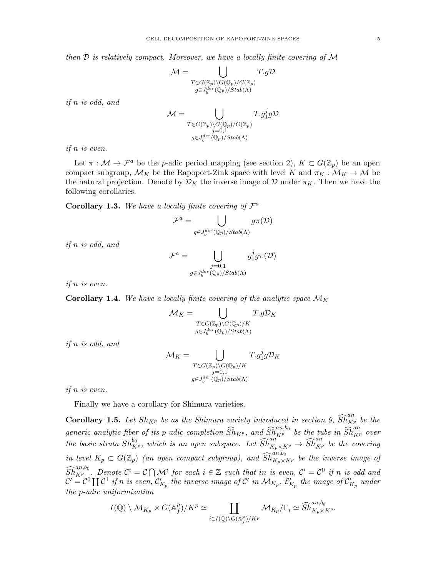then  $\mathcal D$  is relatively compact. Moreover, we have a locally finite covering of  $\mathcal M$ 

$$
\mathcal{M} = \bigcup_{\substack{T \in G(\mathbb{Z}_p) \backslash G(\mathbb{Q}_p)/G(\mathbb{Z}_p) \\ g \in J_0^{der}(\mathbb{Q}_p)/\text{Stab}(\Lambda)}} T.g\mathcal{D}
$$

if n is odd, and

$$
\mathcal{M} = \bigcup_{\substack{T \in G(\mathbb{Z}_p) \backslash G(\mathbb{Q}_p) / G(\mathbb{Z}_p) \\ j = 0,1}} T. g_1^j g \mathcal{D}
$$

$$
g \in J_6^{der}(\mathbb{Q}_p) / \text{Stab}(\Lambda)
$$

if n is even.

Let  $\pi : \mathcal{M} \to \mathcal{F}^a$  be the p-adic period mapping (see section 2),  $K \subset G(\mathbb{Z}_p)$  be an open compact subgroup,  $\mathcal{M}_K$  be the Rapoport-Zink space with level K and  $\pi_K : \mathcal{M}_K \to \mathcal{M}$  be the natural projection. Denote by  $\mathcal{D}_K$  the inverse image of D under  $\pi_K$ . Then we have the following corollaries.

**Corollary 1.3.** We have a locally finite covering of  $\mathcal{F}^a$ 

$$
\mathcal{F}^a = \bigcup_{g \in J^{der}_b(\mathbb{Q}_p)/ \mathop{Stab}(\Lambda)} g \pi(\mathcal{D})
$$

if n is odd, and

$$
\mathcal{F}^a = \bigcup_{\substack{j=0,1 \\ g \in J_b^{der}(\mathbb{Q}_p)/\text{Stab}(\Lambda)}} g_1^j g \pi(\mathcal{D})
$$

if n is even.

**Corollary 1.4.** We have a locally finite covering of the analytic space  $\mathcal{M}_K$ 

$$
\mathcal{M}_K = \bigcup_{\substack{T \in G(\mathbb{Z}_p) \backslash G(\mathbb{Q}_p)/K \\ g \in J_6^{der}(\mathbb{Q}_p)/\text{Stab}(\Lambda)}} T.g \mathcal{D}_K
$$

if n is odd, and

$$
\mathcal{M}_K = \bigcup_{\substack{T \in G(\mathbb{Z}_p) \backslash G(\mathbb{Q}_p)/K \\ j=0,1 \\ g \in J_6^{der}(\mathbb{Q}_p)/\text{Stab}(\Lambda)}} T.g_1^j g \mathcal{D}_K
$$

if n is even.

Finally we have a corollary for Shimura varieties.

**Corollary 1.5.** Let  $Sh_{K^p}$  be as the Shimura variety introduced in section 9,  $\widehat{Sh}_{K^p}^{an}$  be the generic analytic fiber of its p-adic completion  $\widehat{Sh}_{K^p}$ , and  $\widehat{Sh}_{K^p}^{an,b_0}$  be the tube in  $\widehat{Sh}_{K^p}^{an}$  over the basic strata  $\overline{Sh}_{K^p}^{b_0}$ , which is an open subspace. Let  $\widehat{Sh}_{K_p\times K^p}^{an} \to \widehat{Sh}_{K^p}^{an}$  be the covering in level  $K_p \subset G(\mathbb{Z}_p)$  (an open compact subgroup), and  $\widehat{Sh}^{an,b_0}_{K_p\times K^p}$  be the inverse image of  $\widehat{Sh}^{an, b_0}_{K^p}$ . Denote  $\mathcal{C}^i = \mathcal{C} \bigcap \mathcal{M}^i$  for each  $i \in \mathbb{Z}$  such that in is even,  $\mathcal{C}' = \mathcal{C}^0$  if n is odd and  $\mathcal{C}'=\mathcal{C}^0 \coprod \mathcal{C}^1$  if  $n$  is even,  $\mathcal{C}_{K_p}'$  the inverse image of  $\mathcal{C}'$  in  $\mathcal{M}_{K_p},$   $\mathcal{E}'_{K_p}$  the image of  $\mathcal{C}'_{K_p}$  under the p-adic uniformization

$$
I(\mathbb{Q})\setminus \mathcal{M}_{K_p}\times G(\mathbb{A}_f^p)/K^p\simeq \coprod_{i\in I(\mathbb{Q})\setminus G(\mathbb{A}_f^p)/K^p} \mathcal{M}_{K_p}/\Gamma_i \simeq \widehat{Sh}^{an,b_0}_{K_p\times K^p}.
$$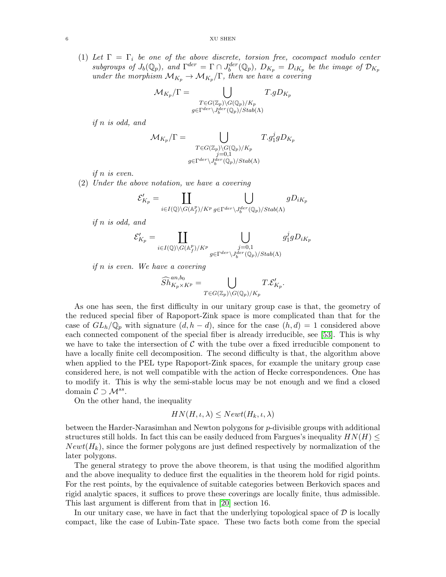(1) Let  $\Gamma = \Gamma_i$  be one of the above discrete, torsion free, cocompact modulo center subgroups of  $J_b(\mathbb{Q}_p)$ , and  $\Gamma^{der} = \Gamma \cap J_b^{der}(\mathbb{Q}_p)$ ,  $D_{K_p} = D_{iK_p}$  be the image of  $\mathcal{D}_{K_p}$ under the morphism  $\mathcal{M}_{K_p} \to \mathcal{M}_{K_p}/\Gamma$ , then we have a covering

$$
\mathcal{M}_{K_p}/\Gamma = \bigcup_{\substack{T \in G(\mathbb{Z}_p) \backslash G(\mathbb{Q}_p)/K_p \\ g \in \Gamma^{der} \backslash J_p^{der}(\mathbb{Q}_p)/Stab(\Lambda)}} T.gD_{K_p}
$$

if n is odd, and

$$
\mathcal{M}_{K_p}/\Gamma = \bigcup_{\substack{T \in G(\mathbb{Z}_p) \backslash G(\mathbb{Q}_p)/K_p \\ j=0,1 \\ g \in \Gamma^{der} \backslash J_6^{der}(\mathbb{Q}_p)/\text{Stab}(\Lambda)}} T. g_1^j g D_{K_p}
$$

if n is even.

(2) Under the above notation, we have a covering

$$
\mathcal{E}'_{K_p} = \coprod_{i \in I(\mathbb{Q}) \backslash G(\mathbb{A}_f^p)/K^p} \bigcup_{g \in \Gamma^{der} \backslash J_b^{der}(\mathbb{Q}_p)/\text{Stab}(\Lambda)} gD_{iK_p}
$$

if n is odd, and

$$
\mathcal{E}'_{K_p} = \coprod_{i \in I(\mathbb{Q}) \backslash G(\mathbb{A}_f^p)/K^p} \bigcup_{\substack{j=0,1\\g \in \Gamma^{der} \backslash J_0^{der}(\mathbb{Q}_p)/\text{Stab}(\Lambda)}} g_1^j g D_{iK_p}
$$

if n is even. We have a covering

$$
\widehat{Sh}^{an,b_0}_{K_p\times K^p}=\bigcup_{T\in G(\mathbb{Z}_p)\backslash G(\mathbb{Q}_p)/K_p}T.\mathcal{E}'_{K_p}.
$$

As one has seen, the first difficulty in our unitary group case is that, the geometry of the reduced special fiber of Rapoport-Zink space is more complicated than that for the case of  $GL_h/\mathbb{Q}_p$  with signature  $(d, h - d)$ , since for the case  $(h, d) = 1$  considered above each connected component of the special fiber is already irreducible, see [\[53\]](#page-57-5). This is why we have to take the intersection of  $\mathcal C$  with the tube over a fixed irreducible component to have a locally finite cell decomposition. The second difficulty is that, the algorithm above when applied to the PEL type Rapoport-Zink spaces, for example the unitary group case considered here, is not well compatible with the action of Hecke correspondences. One has to modify it. This is why the semi-stable locus may be not enough and we find a closed domain  $C \supset M^{ss}$ .

On the other hand, the inequality

# $HN(H, \iota, \lambda) \leq Newt(H_k, \iota, \lambda)$

between the Harder-Narasimhan and Newton polygons for p-divisible groups with additional structures still holds. In fact this can be easily deduced from Fargues's inequality  $HN(H)$  $Newt(H_k)$ , since the former polygons are just defined respectively by normalization of the later polygons.

The general strategy to prove the above theorem, is that using the modified algorithm and the above inequality to deduce first the equalities in the theorem hold for rigid points. For the rest points, by the equivalence of suitable categories between Berkovich spaces and rigid analytic spaces, it suffices to prove these coverings are locally finite, thus admissible. This last argument is different from that in [\[20\]](#page-56-1) section 16.

In our unitary case, we have in fact that the underlying topological space of  $\mathcal D$  is locally compact, like the case of Lubin-Tate space. These two facts both come from the special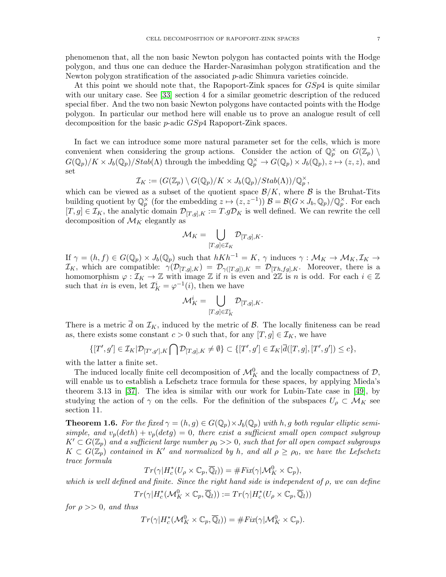phenomenon that, all the non basic Newton polygon has contacted points with the Hodge polygon, and thus one can deduce the Harder-Narasimhan polygon stratification and the Newton polygon stratification of the associated p-adic Shimura varieties coincide.

At this point we should note that, the Rapoport-Zink spaces for  $GSp4$  is quite similar with our unitary case. See [\[33\]](#page-56-14) section 4 for a similar geometric description of the reduced special fiber. And the two non basic Newton polygons have contacted points with the Hodge polygon. In particular our method here will enable us to prove an analogue result of cell decomposition for the basic p-adic  $GSp4$  Rapoport-Zink spaces.

In fact we can introduce some more natural parameter set for the cells, which is more convenient when considering the group actions. Consider the action of  $\mathbb{Q}_p^{\times}$  on  $G(\mathbb{Z}_p)$  $G(\mathbb{Q}_p)/K \times J_b(\mathbb{Q}_p)/Stab(\Lambda)$  through the imbedding  $\mathbb{Q}_p^{\times} \to G(\mathbb{Q}_p) \times J_b(\mathbb{Q}_p), z \mapsto (z, z)$ , and set

$$
\mathcal{I}_K := (G(\mathbb{Z}_p) \setminus G(\mathbb{Q}_p)/K \times J_b(\mathbb{Q}_p)/ \text{Stab}(\Lambda))/\mathbb{Q}_p^{\times},
$$

which can be viewed as a subset of the quotient space  $\mathcal{B}/K$ , where  $\mathcal B$  is the Bruhat-Tits building quotient by  $\mathbb{Q}_p^{\times}$  (for the embedding  $z \mapsto (z, z^{-1})$ )  $\mathcal{B} = \mathcal{B}(G \times J_b, \mathbb{Q}_p)/\mathbb{Q}_p^{\times}$ . For each  $[T, g] \in \mathcal{I}_K$ , the analytic domain  $\mathcal{D}_{[T,g],K} := T.g\mathcal{D}_K$  is well defined. We can rewrite the cell decomposition of  $\mathcal{M}_K$  elegantly as

$$
\mathcal{M}_K = \bigcup_{[T,g]\in \mathcal{I}_K} \mathcal{D}_{[T,g],K}.
$$

If  $\gamma = (h, f) \in G(\mathbb{Q}_p) \times J_b(\mathbb{Q}_p)$  such that  $hKh^{-1} = K$ ,  $\gamma$  induces  $\gamma : \mathcal{M}_K \to \mathcal{M}_K, \mathcal{I}_K \to$  $\mathcal{I}_K$ , which are compatible:  $\gamma(\mathcal{D}_{[T,g],K}) = \mathcal{D}_{\gamma([T,g]),K} = \mathcal{D}_{[Th,fg],K}$ . Moreover, there is a homomorphism  $\varphi : \mathcal{I}_K \to \mathbb{Z}$  with image  $\mathbb{Z}$  if n is even and  $2\mathbb{Z}$  is n is odd. For each  $i \in \mathbb{Z}$ such that *in* is even, let  $\mathcal{I}_K^i = \varphi^{-1}(i)$ , then we have

$$
\mathcal{M}_K^i = \bigcup_{[T,g]\in \mathcal{I}_K^i} \mathcal{D}_{[T,g],K}.
$$

There is a metric d on  $\mathcal{I}_K$ , induced by the metric of  $\mathcal{B}$ . The locally finiteness can be read as, there exists some constant  $c > 0$  such that, for any  $[T, g] \in \mathcal{I}_K$ , we have

$$
\{[T',g']\in\mathcal{I}_K|\mathcal{D}_{[T',g'],K}\bigcap\mathcal{D}_{[T,g],K}\neq\emptyset\}\subset\{[T',g']\in\mathcal{I}_K|\overline{d}([T,g],[T',g'])\leq c\},\
$$

with the latter a finite set.

The induced locally finite cell decomposition of  $\mathcal{M}_K^0$  and the locally compactness of  $\mathcal{D}$ , will enable us to establish a Lefschetz trace formula for these spaces, by applying Mieda's theorem 3.13 in [\[37\]](#page-56-2). The idea is similar with our work for Lubin-Tate case in [\[49\]](#page-57-4), by studying the action of  $\gamma$  on the cells. For the definition of the subspaces  $U_{\rho} \subset \mathcal{M}_K$  see section 11.

**Theorem 1.6.** For the fixed  $\gamma = (h, g) \in G(\mathbb{Q}_p) \times J_b(\mathbb{Q}_p)$  with h, g both regular elliptic semisimple, and  $v_p(deth) + v_p(detg) = 0$ , there exist a sufficient small open compact subgroup  $K' \subset G(\mathbb{Z}_p)$  and a sufficient large number  $\rho_0 >> 0$ , such that for all open compact subgroups  $K \subset G(\mathbb{Z}_p)$  contained in K' and normalized by h, and all  $\rho \geq \rho_0$ , we have the Lefschetz trace formula

$$
Tr(\gamma|H_c^*(U_\rho \times \mathbb{C}_p, \overline{\mathbb{Q}}_l)) = \# Fix(\gamma|\mathcal{M}_K^0 \times \mathbb{C}_p),
$$

which is well defined and finite. Since the right hand side is independent of  $\rho$ , we can define

$$
Tr(\gamma|H_c^*(\mathcal{M}_K^0 \times \mathbb{C}_p, \overline{\mathbb{Q}}_l)) := Tr(\gamma|H_c^*(U_\rho \times \mathbb{C}_p, \overline{\mathbb{Q}}_l))
$$

for  $\rho >> 0$ , and thus

$$
Tr(\gamma|H_c^*(\mathcal{M}_K^0 \times \mathbb{C}_p, \overline{\mathbb{Q}}_l)) = \# Fix(\gamma|\mathcal{M}_K^0 \times \mathbb{C}_p).
$$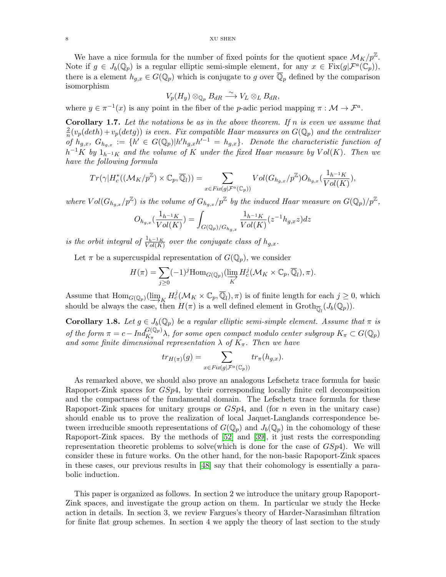We have a nice formula for the number of fixed points for the quotient space  $\mathcal{M}_K/p^{\mathbb{Z}}$ . Note if  $g \in J_b(\mathbb{Q}_p)$  is a regular elliptic semi-simple element, for any  $x \in \text{Fix}(g|\mathcal{F}^a(\mathbb{C}_p)),$ there is a element  $h_{g,x} \in G(\mathbb{Q}_p)$  which is conjugate to g over  $\overline{\mathbb{Q}}_p$  defined by the comparison isomorphism

$$
V_p(H_y)\otimes_{\mathbb{Q}_p} B_{dR} \xrightarrow{\sim} V_L \otimes_L B_{dR},
$$

where  $y \in \pi^{-1}(x)$  is any point in the fiber of the *p*-adic period mapping  $\pi : \mathcal{M} \to \mathcal{F}^a$ .

**Corollary 1.7.** Let the notations be as in the above theorem. If n is even we assume that 2  $\frac{2}{n}(v_p(deth)+v_p(detg))$  is even. Fix compatible Haar measures on  $G(\mathbb{Q}_p)$  and the centralizer of  $h_{g,x}$ ,  $G_{h_{g,x}} := \{h' \in G(\mathbb{Q}_p)|h'h_{g,x}h'^{-1} = h_{g,x}\}.$  Denote the characteristic function of  $h^{-1}K$  by  $1_{h^{-1}K}$  and the volume of K under the fixed Haar measure by  $Vol(K)$ . Then we have the following formula

$$
Tr(\gamma|H_c^*((\mathcal{M}_K/p^\mathbb{Z})\times \mathbb{C}_p,\overline{\mathbb{Q}}_l))=\sum_{x\in Fix(g|\mathcal{F}^a(\mathbb{C}_p))} Vol(G_{h_{g,x}}/p^\mathbb{Z})O_{h_{g,x}}(\frac{1_{h^{-1}K}}{Vol(K)}),
$$

where  $Vol(G_{h_{g,x}}/p^{\mathbb{Z}})$  is the volume of  $G_{h_{g,x}}/p^{\mathbb{Z}}$  by the induced Haar measure on  $G(\mathbb{Q}_p)/p^{\mathbb{Z}}$ ,

$$
O_{h_{g,x}}(\frac{1_{h^{-1}K}}{Vol(K)}) = \int_{G(\mathbb{Q}_p)/G_{h_{g,x}}}\frac{1_{h^{-1}K}}{Vol(K)}(z^{-1}h_{g,x}z)dz
$$

is the orbit integral of  $\frac{1_h-1_K}{Vol(K)}$  over the conjugate class of  $h_{g,x}$ .

Let  $\pi$  be a supercuspidal representation of  $G(\mathbb{Q}_p)$ , we consider

$$
H(\pi) = \sum_{j\geq 0} (-1)^j \mathrm{Hom}_{G(\mathbb{Q}_p)}(\varinjlim_K H^j_c(\mathcal{M}_K \times \mathbb{C}_p, \overline{\mathbb{Q}}_l), \pi).
$$

Assume that  $\text{Hom}_{G(\mathbb{Q}_p)}(\varinjlim_K H_c^j(\mathcal{M}_K \times \mathbb{C}_p, \overline{\mathbb{Q}}_l), \pi)$  is of finite length for each  $j \geq 0$ , which should be always the case then  $H(\pi)$  is a well defined element in Croth- $(L(\mathbb{Q}))$ should be always the case, then  $H(\pi)$  is a well defined element in  $\mathrm{Groth}_{\overline{\mathbb{Q}}_l}(J_b(\mathbb{Q}_p)).$ 

**Corollary 1.8.** Let  $g \in J_b(\mathbb{Q}_p)$  be a regular elliptic semi-simple element. Assume that  $\pi$  is of the form  $\pi = c - Ind_{K_{\pi}}^{G(\mathbb{Q}_p)} \lambda$ , for some open compact modulo center subgroup  $K_{\pi} \subset G(\mathbb{Q}_p)$ and some finite dimensional representation  $\lambda$  of  $K_{\pi}$ . Then we have

$$
tr_{H(\pi)}(g) = \sum_{x \in Fix(g | \mathcal{F}^a(\mathbb{C}_p))} tr_{\pi}(h_{g,x}).
$$

As remarked above, we should also prove an analogous Lefschetz trace formula for basic Rapoport-Zink spaces for  $GSp4$ , by their corresponding locally finite cell decomposition and the compactness of the fundamental domain. The Lefschetz trace formula for these Rapoport-Zink spaces for unitary groups or  $GSp4$ , and (for n even in the unitary case) should enable us to prove the realization of local Jaquet-Langlands correspondence between irreducible smooth representations of  $G(\mathbb{Q}_p)$  and  $J_b(\mathbb{Q}_p)$  in the cohomology of these Rapoport-Zink spaces. By the methods of [\[52\]](#page-57-2) and [\[39\]](#page-56-15), it just rests the corresponding representation theoretic problems to solve (which is done for the case of  $GSp4$ ). We will consider these in future works. On the other hand, for the non-basic Rapoport-Zink spaces in these cases, our previous results in [\[48\]](#page-56-16) say that their cohomology is essentially a parabolic induction.

This paper is organized as follows. In section 2 we introduce the unitary group Rapoport-Zink spaces, and investigate the group action on them. In particular we study the Hecke action in details. In section 3, we review Fargues's theory of Harder-Narasimhan filtration for finite flat group schemes. In section 4 we apply the theory of last section to the study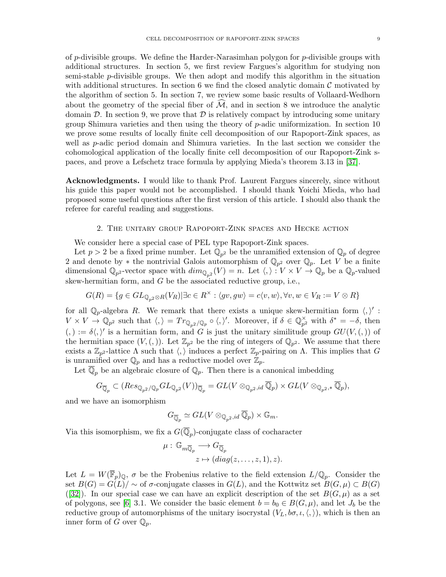of p-divisible groups. We define the Harder-Narasimhan polygon for  $p$ -divisible groups with additional structures. In section 5, we first review Fargues's algorithm for studying non semi-stable p-divisible groups. We then adopt and modify this algorithm in the situation with additional structures. In section 6 we find the closed analytic domain  $\mathcal C$  motivated by the algorithm of section 5. In section 7, we review some basic results of Vollaard-Wedhorn about the geometry of the special fiber of  $\widehat{\mathcal{M}}$ , and in section 8 we introduce the analytic domain  $\mathcal{D}$ . In section 9, we prove that  $\mathcal{D}$  is relatively compact by introducing some unitary group Shimura varieties and then using the theory of  $p$ -adic uniformization. In section 10 we prove some results of locally finite cell decomposition of our Rapoport-Zink spaces, as well as p-adic period domain and Shimura varieties. In the last section we consider the cohomological application of the locally finite cell decomposition of our Rapoport-Zink spaces, and prove a Lefschetz trace formula by applying Mieda's theorem 3.13 in [\[37\]](#page-56-2).

Acknowledgments. I would like to thank Prof. Laurent Fargues sincerely, since without his guide this paper would not be accomplished. I should thank Yoichi Mieda, who had proposed some useful questions after the first version of this article. I should also thank the referee for careful reading and suggestions.

#### 2. The unitary group Rapoport-Zink spaces and Hecke action

<span id="page-8-0"></span>We consider here a special case of PEL type Rapoport-Zink spaces.

Let  $p > 2$  be a fixed prime number. Let  $\mathbb{Q}_{p^2}$  be the unramified extension of  $\mathbb{Q}_p$  of degree 2 and denote by  $*$  the nontrivial Galois automorphism of  $\mathbb{Q}_{p^2}$  over  $\mathbb{Q}_p$ . Let V be a finite dimensional  $\mathbb{Q}_{p^2}$ -vector space with  $dim_{\mathbb{Q}_{p^2}}(V) = n$ . Let  $\langle, \rangle : V \times V \to \mathbb{Q}_p$  be a  $\mathbb{Q}_p$ -valued skew-hermitian form, and  $G$  be the associated reductive group, i.e.,

$$
G(R) = \{ g \in GL_{\mathbb{Q}_{p^2} \otimes R}(V_R) | \exists c \in R^\times : \langle gv, gw \rangle = c\langle v, w \rangle, \forall v, w \in V_R := V \otimes R \}
$$

for all  $\mathbb{Q}_p$ -algebra R. We remark that there exists a unique skew-hermitian form  $\langle, \rangle'$ :  $V \times V \to \mathbb{Q}_{p^2}$  such that  $\langle, \rangle = Tr_{\mathbb{Q}_{p^2}/\mathbb{Q}_p} \circ \langle, \rangle'$ . Moreover, if  $\delta \in \mathbb{Q}_{p^2}^{\times}$  $\sum_{p^2}^{\times}$  with  $\delta^* = -\delta$ , then  $(0, \cdot) := \delta \langle, \cdot \rangle'$  is a hermitian form, and G is just the unitary similitude group  $GU(V, (0))$  of the hermitian space  $(V, (,) )$ . Let  $\mathbb{Z}_{p^2}$  be the ring of integers of  $\mathbb{Q}_{p^2}$ . We assume that there exists a  $\mathbb{Z}_{p^2}$ -lattice  $\Lambda$  such that  $\langle, \rangle$  induces a perfect  $\mathbb{Z}_p$ -pairing on  $\Lambda$ . This implies that G is unramified over  $\mathbb{Q}_p$  and has a reductive model over  $\mathbb{Z}_p$ .

Let  $\mathbb{Q}_p$  be an algebraic closure of  $\mathbb{Q}_p$ . Then there is a canonical imbedding

$$
G_{\overline{\mathbb{Q}}_p} \subset (Res_{\mathbb{Q}_{p^2}/\mathbb{Q}_p} GL_{\mathbb{Q}_{p^2}}(V))_{\overline{\mathbb{Q}}_p} = GL(V \otimes_{\mathbb{Q}_{p^2},id} \overline{\mathbb{Q}}_p) \times GL(V \otimes_{\mathbb{Q}_{p^2},*} \overline{\mathbb{Q}}_p),
$$

and we have an isomorphism

$$
G_{\overline{\mathbb{Q}}_p} \simeq GL(V \otimes_{\mathbb{Q}_p^2, id} \overline{\mathbb{Q}}_p) \times \mathbb{G}_m.
$$

Via this isomorphism, we fix a  $G(\mathbb{Q}_p)$ -conjugate class of cocharacter

$$
\mu: \mathbb{G}_{m\overline{\mathbb{Q}}_p} \longrightarrow G_{\overline{\mathbb{Q}}_p}
$$

$$
z \mapsto (diag(z, \dots, z, 1), z).
$$

Let  $L = W(\overline{\mathbb{F}}_p)_{\mathbb{Q}}, \sigma$  be the Frobenius relative to the field extension  $L/\mathbb{Q}_p$ . Consider the set  $B(G) = G(L)/\sim$  of  $\sigma$ -conjugate classes in  $G(L)$ , and the Kottwitz set  $B(G,\mu) \subset B(G)$ ([\[32\]](#page-56-17)). In our special case we can have an explicit description of the set  $B(G, \mu)$  as a set of polygons, see [\[6\]](#page-55-9) 3.1. We consider the basic element  $b = b_0 \in B(G, \mu)$ , and let  $J_b$  be the reductive group of automorphisms of the unitary isocrystal  $(V_L, b\sigma, \iota, \langle, \rangle)$ , which is then an inner form of G over  $\mathbb{Q}_p$ .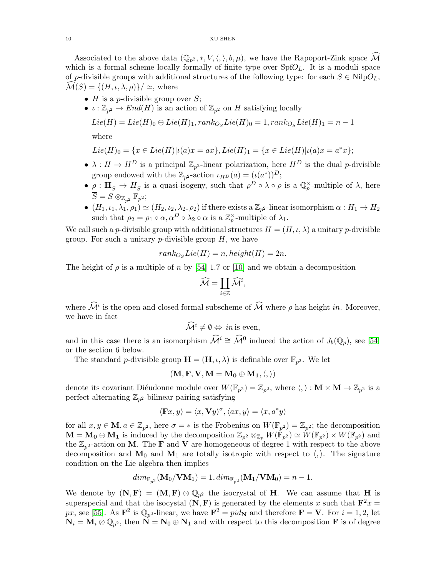Associated to the above data  $(\mathbb{Q}_{p^2},*,V,\langle,\rangle,b,\mu)$ , we have the Rapoport-Zink space M which is a formal scheme locally formally of finite type over  $SpfO<sub>L</sub>$ . It is a moduli space of p-divisible groups with additional structures of the following type: for each  $S \in NilpO<sub>L</sub>$ ,  $\mathcal{M}(S) = \{ (H, \iota, \lambda, \rho) \}/ \simeq$ , where

- H is a *p*-divisible group over  $S$ ;
- $\iota : \mathbb{Z}_{p^2} \to End(H)$  is an action of  $\mathbb{Z}_{p^2}$  on H satisfying locally

$$
Lie(H) = Lie(H)_0 \oplus Lie(H)_1, rank_{O_S} Lie(H)_0 = 1, rank_{O_S} Lie(H)_1 = n - 1
$$

where

$$
Lie(H)_0 = \{ x \in Lie(H) | \iota(a)x = ax \}, Lie(H)_1 = \{ x \in Lie(H) | \iota(a)x = a^*x \};
$$

- $\lambda: H \to H^D$  is a principal  $\mathbb{Z}_{p^2}$ -linear polarization, here  $H^D$  is the dual p-divisible group endowed with the  $\mathbb{Z}_{p^2}$ -action  $\iota_{HD}(a) = (\iota(a^*))^D$ ;
- $\rho : H_{\overline{S}} \to H_{\overline{S}}$  is a quasi-isogeny, such that  $\rho^D \circ \lambda \circ \rho$  is a  $\mathbb{Q}_p^{\times}$ -multiple of  $\lambda$ , here  $S=S\otimes_{\mathbb{Z}_{p^2}}\mathbb{F}_{p^2};$
- $\bullet$   $(H_1, \iota_1, \lambda_1, \rho_1) \simeq (H_2, \iota_2, \lambda_2, \rho_2)$  if there exists a  $\mathbb{Z}_{p^2}$ -linear isomorphism  $\alpha: H_1 \to H_2$ such that  $\rho_2 = \rho_1 \circ \alpha, \alpha^D \circ \lambda_2 \circ \alpha$  is a  $\mathbb{Z}_p^{\times}$ -multiple of  $\lambda_1$ .

We call such a p-divisible group with additional structures  $H = (H, \iota, \lambda)$  a unitary p-divisible group. For such a unitary  $p$ -divisible group  $H$ , we have

$$
rank_{O_S}Lie(H) = n, height(H) = 2n.
$$

The height of  $\rho$  is a multiple of n by [\[54\]](#page-57-6) 1.7 or [\[10\]](#page-55-10) and we obtain a decomposition

$$
\widehat{\mathcal{M}} = \coprod_{i \in \mathbb{Z}} \widehat{\mathcal{M}}^i,
$$

where  $\mathcal{M}^i$  is the open and closed formal subscheme of  $\mathcal M$  where  $\rho$  has height in. Moreover, we have in fact

$$
\widehat{\mathcal{M}}^i \neq \emptyset \Leftrightarrow in \text{ is even},
$$

and in this case there is an isomorphism  $\widehat{\mathcal{M}}^i \cong \widehat{\mathcal{M}}^0$  induced the action of  $J_b(\mathbb{Q}_p)$ , see [\[54\]](#page-57-6) or the section 6 below.

The standard *p*-divisible group  $\mathbf{H} = (\mathbf{H}, \iota, \lambda)$  is definable over  $\mathbb{F}_{p^2}$ . We let

$$
(\mathbf{M},\mathbf{F},\mathbf{V},\mathbf{M}=\mathbf{M}_0\oplus\mathbf{M}_1,\langle,\rangle)
$$

denote its covariant Diéudonne module over  $W(\mathbb{F}_{p^2}) = \mathbb{Z}_{p^2}$ , where  $\langle, \rangle : \mathbf{M} \times \mathbf{M} \to \mathbb{Z}_{p^2}$  is a perfect alternating  $\mathbb{Z}_{p^2}$ -bilinear pairing satisfying

$$
\langle \mathbf{F}x, y \rangle = \langle x, \mathbf{V}y \rangle^{\sigma}, \langle ax, y \rangle = \langle x, a^*y \rangle
$$

for all  $x, y \in \mathbf{M}$ ,  $a \in \mathbb{Z}_{p^2}$ , here  $\sigma = *$  is the Frobenius on  $W(\mathbb{F}_{p^2}) = \mathbb{Z}_{p^2}$ ; the decomposition  $\mathbf{M} = \mathbf{M_0} \oplus \mathbf{M_1}$  is induced by the decomposition  $\mathbb{Z}_{p^2} \otimes_{\mathbb{Z}_p} W(\mathbb{F}_{p^2}) \simeq W(\mathbb{F}_{p^2}) \times W(\mathbb{F}_{p^2})$  and the  $\mathbb{Z}_{p^2}$ -action on M. The **F** and **V** are homogeneous of degree 1 with respect to the above decomposition and  $M_0$  and  $M_1$  are totally isotropic with respect to  $\langle, \rangle$ . The signature condition on the Lie algebra then implies

$$
dim_{\mathbb{F}_{p^2}}(\mathbf{M}_0/\mathbf{V}\mathbf{M}_1)=1, dim_{\mathbb{F}_{p^2}}(\mathbf{M}_1/\mathbf{V}\mathbf{M}_0)=n-1.
$$

We denote by  $(N, F) = (M, F) \otimes \mathbb{Q}_{p^2}$  the isocrystal of H. We can assume that H is superspecial and that the isocystal  $(N, F)$  is generated by the elements x such that  $F^2x =$ px, see [\[55\]](#page-57-0). As  $\mathbf{F}^2$  is  $\mathbb{Q}_{p^2}$ -linear, we have  $\mathbf{F}^2 = pid_{\mathbf{N}}$  and therefore  $\mathbf{F} = \mathbf{V}$ . For  $i = 1, 2$ , let  $N_i = M_i \otimes \mathbb{Q}_{p^2}$ , then  $N = N_0 \oplus N_1$  and with respect to this decomposition **F** is of degree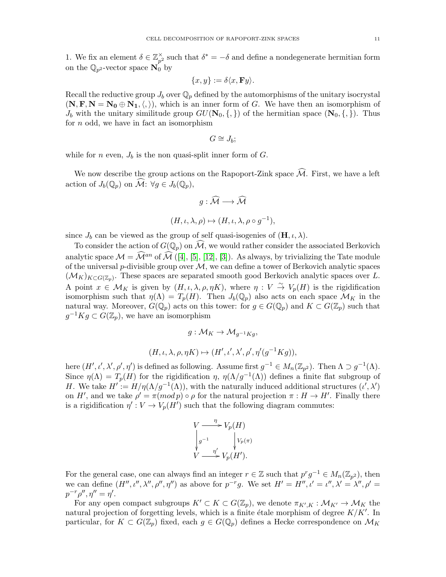1. We fix an element  $\delta \in \mathbb{Z}_{p^2}^{\times}$  $\sum_{p=1}^{\infty}$  such that  $\delta^* = -\delta$  and define a nondegenerate hermitian form on the  $\mathbb{Q}_{p^2}$ -vector space  $\mathbf{N}_0$  by

$$
\{x,y\}:=\delta\langle x,\mathbf{F}y\rangle.
$$

Recall the reductive group  $J_b$  over  $\mathbb{Q}_p$  defined by the automorphisms of the unitary isocrystal  $(N, F, N = N_0 \oplus N_1, \langle, \rangle)$ , which is an inner form of G. We have then an isomorphism of  $J_b$  with the unitary similitude group  $GU(\mathbf{N}_0, \{,\})$  of the hermitian space  $(\mathbf{N}_0, \{,\})$ . Thus for  $n$  odd, we have in fact an isomorphism

$$
G\cong J_b;
$$

while for n even,  $J_b$  is the non quasi-split inner form of G.

We now describe the group actions on the Rapoport-Zink space  $\widehat{\mathcal{M}}$ . First, we have a left action of  $J_b(\mathbb{Q}_p)$  on  $\mathcal{M}: \forall g \in J_b(\mathbb{Q}_p)$ ,

$$
g: \widehat{\mathcal{M}} \longrightarrow \widehat{\mathcal{M}}
$$

$$
(H, \iota, \lambda, \rho) \mapsto (H, \iota, \lambda, \rho \circ g^{-1}),
$$

since  $J_b$  can be viewed as the group of self quasi-isogenies of  $(\mathbf{H}, \iota, \lambda)$ .

To consider the action of  $G(\mathbb{Q}_p)$  on  $\widehat{\mathcal{M}}$ , we would rather consider the associated Berkovich analytic space  $\mathcal{M} = \widehat{\mathcal{M}}^{an}$  of  $\widehat{\mathcal{M}}$  ([\[4\]](#page-55-11), [\[5\]](#page-55-12), [\[12\]](#page-55-13), [\[3\]](#page-55-14)). As always, by trivializing the Tate module of the universal p-divisible group over  $M$ , we can define a tower of Berkovich analytic spaces  $(\mathcal{M}_K)_{K\subset G(\mathbb{Z}_p)}$ . These spaces are separated smooth good Berkovich analytic spaces over L. A point  $x \in \mathcal{M}_K$  is given by  $(H, \iota, \lambda, \rho, \eta K)$ , where  $\eta : V \stackrel{\sim}{\to} V_p(H)$  is the rigidification isomorphism such that  $\eta(\Lambda) = T_p(H)$ . Then  $J_b(\mathbb{Q}_p)$  also acts on each space  $\mathcal{M}_K$  in the natural way. Moreover,  $G(\mathbb{Q}_p)$  acts on this tower: for  $g \in G(\mathbb{Q}_p)$  and  $K \subset G(\mathbb{Z}_p)$  such that  $g^{-1}Kg \subset G(\mathbb{Z}_p)$ , we have an isomorphism

$$
g: \mathcal{M}_K \to \mathcal{M}_{g^{-1}Kg},
$$
  

$$
(H, \iota, \lambda, \rho, \eta K) \mapsto (H', \iota', \lambda', \rho', \eta'(g^{-1}Kg)),
$$

here  $(H', \iota', \lambda', \rho', \eta')$  is defined as following. Assume first  $g^{-1} \in M_n(\mathbb{Z}_{p^2})$ . Then  $\Lambda \supset g^{-1}(\Lambda)$ . Since  $\eta(\Lambda) = T_p(H)$  for the rigidification  $\eta$ ,  $\eta(\Lambda/g^{-1}(\Lambda))$  defines a finite flat subgroup of H. We take  $H' := H/\eta(\Lambda/g^{-1}(\Lambda))$ , with the naturally induced additional structures  $(\iota', \lambda')$ on H', and we take  $\rho' = \pi (mod p) \circ \rho$  for the natural projection  $\pi : H \to H'$ . Finally there is a rigidification  $\eta' : V \to V_p(H')$  such that the following diagram commutes:

$$
V \xrightarrow{\eta} V_p(H)
$$
  
\n
$$
\downarrow g^{-1} \qquad \qquad \downarrow V_p(\pi)
$$
  
\n
$$
V \xrightarrow{\eta'} V_p(H').
$$

For the general case, one can always find an integer  $r \in \mathbb{Z}$  such that  $p^r g^{-1} \in M_n(\mathbb{Z}_{p^2})$ , then we can define  $(H'', \iota'', \lambda'', \rho'', \eta'')$  as above for  $p^{-r}g$ . We set  $H' = H'', \iota' = \iota'', \lambda' = \lambda'', \rho' =$  $p^{-r}\rho'', \eta'' = \eta'.$ 

For any open compact subgroups  $K' \subset K \subset G(\mathbb{Z}_p)$ , we denote  $\pi_{K',K}: \mathcal{M}_{K'} \to \mathcal{M}_K$  the natural projection of forgetting levels, which is a finite étale morphism of degree  $K/K'$ . In particular, for  $K \subset G(\mathbb{Z}_p)$  fixed, each  $g \in G(\mathbb{Q}_p)$  defines a Hecke correspondence on  $\mathcal{M}_K$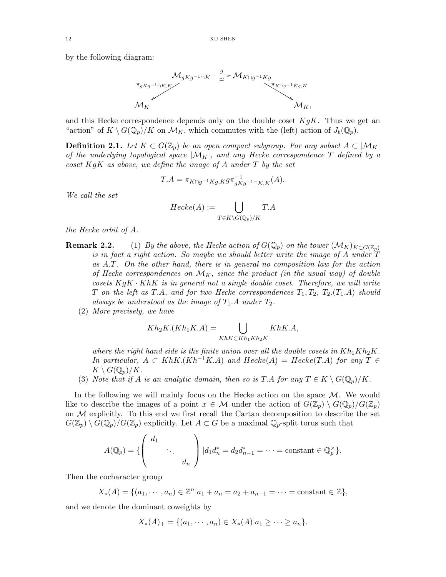by the following diagram:



and this Hecke correspondence depends only on the double coset  $KgK$ . Thus we get an "action" of  $K \setminus G(\mathbb{Q}_p)/K$  on  $\mathcal{M}_K$ , which commutes with the (left) action of  $J_b(\mathbb{Q}_p)$ .

**Definition 2.1.** Let  $K \subset G(\mathbb{Z}_p)$  be an open compact subgroup. For any subset  $A \subset |\mathcal{M}_K|$ of the underlying topological space  $|M_K|$ , and any Hecke correspondence T defined by a coset  $KgK$  as above, we define the image of A under T by the set

$$
T.A = \pi_{K \cap g^{-1}Kg, K} g \pi_{gKg^{-1} \cap K, K}^{-1}(A).
$$

We call the set

$$
Hecke(A) := \bigcup_{T \in K \backslash G(\mathbb{Q}_p)/K} T.A
$$

the Hecke orbit of A.

- **Remark 2.2.** (1) By the above, the Hecke action of  $G(\mathbb{Q}_p)$  on the tower  $(M_K)_{K\subset G(\mathbb{Z}_p)}$ is in fact a right action. So maybe we should better write the image of A under T as A.T. On the other hand, there is in general no composition law for the action of Hecke correspondences on  $\mathcal{M}_K$ , since the product (in the usual way) of double cosets  $KgK \cdot KhK$  is in general not a single double coset. Therefore, we will write T on the left as T.A, and for two Hecke correspondences  $T_1, T_2, T_2, (T_1,A)$  should always be understood as the image of  $T_1.A$  under  $T_2$ .
	- (2) More precisely, we have

$$
Kh_2K.(Kh_1K.A) = \bigcup_{KhK\subset Kh_1Kh_2K} KhK.A,
$$

where the right hand side is the finite union over all the double cosets in  $Kh_1Kh_2K$ . In particular,  $A \subset KhK.(Kh^{-1}K.A)$  and  $Hecke(A) = Hecke(T.A)$  for any  $T \in$  $K \setminus G(\mathbb{Q}_p)/K$ .

(3) Note that if A is an analytic domain, then so is T.A for any  $T \in K \setminus G(\mathbb{Q}_p)/K$ .

In the following we will mainly focus on the Hecke action on the space  $\mathcal{M}$ . We would like to describe the images of a point  $x \in \mathcal{M}$  under the action of  $G(\mathbb{Z}_p) \setminus G(\mathbb{Q}_p)/G(\mathbb{Z}_p)$ on  $M$  explicitly. To this end we first recall the Cartan decomposition to describe the set  $G(\mathbb{Z}_p) \setminus G(\mathbb{Q}_p)/G(\mathbb{Z}_p)$  explicitly. Let  $A \subset G$  be a maximal  $\mathbb{Q}_p$ -split torus such that

$$
A(\mathbb{Q}_p) = \{ \begin{pmatrix} d_1 & & \\ & \ddots & \\ & & d_n \end{pmatrix} | d_1 d_n^* = d_2 d_{n-1}^* = \cdots = \text{constant} \in \mathbb{Q}_p^{\times} \}.
$$

Then the cocharacter group

$$
X_*(A) = \{(a_1, \dots, a_n) \in \mathbb{Z}^n | a_1 + a_n = a_2 + a_{n-1} = \dots = \text{constant} \in \mathbb{Z}\},\
$$

and we denote the dominant coweights by

$$
X_*(A)_+ = \{(a_1, \cdots, a_n) \in X_*(A) | a_1 \geq \cdots \geq a_n\}.
$$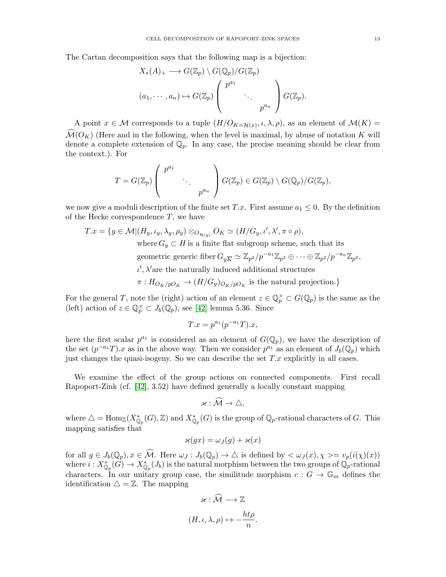The Cartan decomposition says that the following map is a bijection:

$$
X_*(A)_+ \longrightarrow G(\mathbb{Z}_p) \setminus G(\mathbb{Q}_p)/G(\mathbb{Z}_p)
$$
  

$$
(a_1, \dots, a_n) \mapsto G(\mathbb{Z}_p) \begin{pmatrix} p^{a_1} & & \\ & \ddots & \\ & & p^{a_n} \end{pmatrix} G(\mathbb{Z}_p).
$$

A point  $x \in \mathcal{M}$  corresponds to a tuple  $(H/O_{K=\mathcal{H}(x)}, \iota, \lambda, \rho)$ , as an element of  $\mathcal{M}(K) =$  $\mathcal{M}(O_K)$  (Here and in the following, when the level is maximal, by abuse of notation K will denote a complete extension of  $\mathbb{Q}_p$ . In any case, the precise meaning should be clear from the context.). For

$$
T = G(\mathbb{Z}_p) \left( \begin{array}{ccc} p^{a_1} & & \\ & \ddots & \\ & & p^{a_n} \end{array} \right) G(\mathbb{Z}_p) \in G(\mathbb{Z}_p) \setminus G(\mathbb{Q}_p)/G(\mathbb{Z}_p),
$$

we now give a moduli description of the finite set T.x. First assume  $a_1 \leq 0$ . By the definition of the Hecke correspondence  $T$ , we have

 $T.x = \{y \in \mathcal{M} | (H_y, \iota_y, \lambda_y, \rho_y) \otimes_{O_{\mathcal{H}(y)}} O_K \simeq (H/G_y, \iota', \lambda', \pi \circ \rho),\}$ where  $G_y \subset H$  is a finite flat subgroup scheme, such that its geometric generic fiber  $G_{y\overline{K}} \simeq \mathbb{Z}_{p^2}/p^{-a_1}\mathbb{Z}_{p^2} \oplus \cdots \oplus \mathbb{Z}_{p^2}/p^{-a_n}\mathbb{Z}_{p^2}$ ,

 $\iota'$ ,  $\lambda'$  are the naturally induced additional structures

 $\pi: H_{O_K/pO_K} \to (H/G_y)_{O_K/pO_K}$  is the natural projection.}

For the general T, note the (right) action of an element  $z \in \mathbb{Q}_p^{\times} \subset G(\mathbb{Q}_p)$  is the same as the (left) action of  $z \in \mathbb{Q}_p^{\times} \subset J_b(\mathbb{Q}_p)$ , see [\[42\]](#page-56-12) lemma 5.36. Since

$$
T.x = p^{a_1}(p^{-a_1}T).x,
$$

here the first scalar  $p^{a_1}$  is considered as an element of  $G(\mathbb{Q}_p)$ , we have the description of the set  $(p^{-a_1}T)x$  as in the above way. Then we consider  $p^{a_1}$  as an element of  $J_b(\mathbb{Q}_p)$  which just changes the quasi-isogeny. So we can describe the set  $T.x$  explicitly in all cases.

We examine the effect of the group actions on connected components. First recall Rapoport-Zink (cf. [\[42\]](#page-56-12), 3.52) have defined generally a locally constant mapping

$$
\varkappa:\widehat{\mathcal{M}}\to\triangle,
$$

where  $\triangle = \text{Hom}_{\mathbb{Z}}(X^*_{\mathbb{Q}_p}(G), \mathbb{Z})$  and  $X^*_{\mathbb{Q}_p}(G)$  is the group of  $\mathbb{Q}_p$ -rational characters of G. This mapping satisfies that

$$
\varkappa(gx) = \omega_J(g) + \varkappa(x)
$$

for all  $g \in J_b(\mathbb{Q}_p)$ ,  $x \in \mathcal{M}$ . Here  $\omega_J : J_b(\mathbb{Q}_p) \to \triangle$  is defined by  $\langle \omega_J(x), \chi \rangle = v_p(i(\chi)(x))$ where  $i: X^*_{\mathbb{Q}_p}(G) \to X^*_{\mathbb{Q}_p}(J_b)$  is the natural morphism between the two groups of  $\mathbb{Q}_p$ -rational characters. In our unitary group case, the similitude morphism  $c: G \to \mathbb{G}_m$  defines the identification  $\Delta = \mathbb{Z}$ . The mapping

$$
\varkappa : \mathcal{M} \longrightarrow \mathbb{Z}
$$

$$
(H, \iota, \lambda, \rho) \mapsto -\frac{ht\rho}{n}.
$$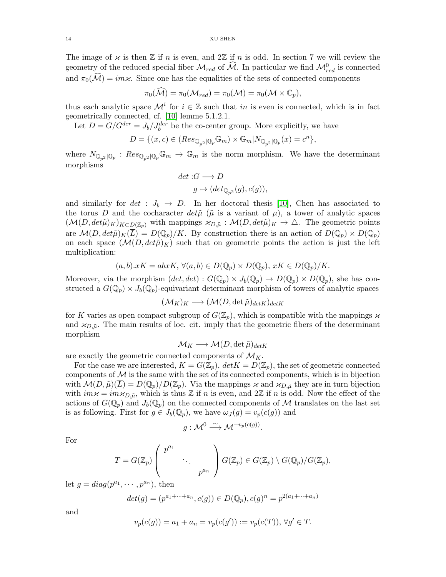The image of  $\varkappa$  is then  $\mathbb Z$  if n is even, and  $2\mathbb Z$  if n is odd. In section 7 we will review the geometry of the reduced special fiber  $\mathcal{M}_{red}$  of  $\widehat{\mathcal{M}}$ . In particular we find  $\mathcal{M}_{red}^0$  is connected and  $\pi_0(\widehat{\mathcal{M}}) = im\varkappa$ . Since one has the equalities of the sets of connected components

$$
\pi_0(\widehat{\mathcal{M}}) = \pi_0(\mathcal{M}_{red}) = \pi_0(\mathcal{M}) = \pi_0(\mathcal{M} \times \mathbb{C}_p),
$$

thus each analytic space  $\mathcal{M}^i$  for  $i \in \mathbb{Z}$  such that in is even is connected, which is in fact geometrically connected, cf. [\[10\]](#page-55-10) lemme 5.1.2.1.

Let  $D = G/G^{der} = J_b/J_b^{der}$  be the co-center group. More explicitly, we have

$$
D=\{(x,c)\in (Res_{\mathbb{Q}_{p^2}|\mathbb{Q}_p}\mathbb{G}_m)\times \mathbb{G}_m|N_{\mathbb{Q}_{p^2}|\mathbb{Q}_p}(x)=c^n\},
$$

where  $N_{\mathbb{Q}_{p^2}|\mathbb{Q}_p} : Res_{\mathbb{Q}_{p^2}|\mathbb{Q}_p} \mathbb{G}_m \to \mathbb{G}_m$  is the norm morphism. We have the determinant morphisms

$$
\begin{aligned} \det: & G \longrightarrow D \\ & g \mapsto (\det_{\mathbb{Q}_{p^2}}(g), c(g)), \end{aligned}
$$

and similarly for  $det : J_b \to D$ . In her doctoral thesis [\[10\]](#page-55-10), Chen has associated to the torus D and the cocharacter  $det\tilde{\mu}$  ( $\tilde{\mu}$  is a variant of  $\mu$ ), a tower of analytic spaces  $(M(D, det\tilde{\mu})_K)_{K\subset D(\mathbb{Z}_p)}$  with mappings  $\varkappa_{D,\tilde{\mu}} : \mathcal{M}(D, det\tilde{\mu})_K \to \Delta$ . The geometric points are  $\mathcal{M}(D, det\tilde{\mu})_K(\overline{L}) = D(\mathbb{Q}_p)/K$ . By construction there is an action of  $D(\mathbb{Q}_p) \times D(\mathbb{Q}_p)$ on each space  $(\mathcal{M}(D, det\tilde{\mu})_K)$  such that on geometric points the action is just the left multiplication:

$$
(a, b).xK = abxK, \forall (a, b) \in D(\mathbb{Q}_p) \times D(\mathbb{Q}_p), xK \in D(\mathbb{Q}_p)/K.
$$

Moreover, via the morphism  $(det, det) : G(\mathbb{Q}_p) \times J_b(\mathbb{Q}_p) \to D(\mathbb{Q}_p) \times D(\mathbb{Q}_p)$ , she has constructed a  $G(\mathbb{Q}_p) \times J_b(\mathbb{Q}_p)$ -equivariant determinant morphism of towers of analytic spaces

$$
(\mathcal{M}_K)_K \longrightarrow (\mathcal{M}(D, \det \tilde{\mu})_{det K})_{det K}
$$

for K varies as open compact subgroup of  $G(\mathbb{Z}_p)$ , which is compatible with the mappings  $\varkappa$ and  $\varkappa_{D,\tilde{\mu}}$ . The main results of loc. cit. imply that the geometric fibers of the determinant morphism

$$
\mathcal{M}_K \longrightarrow \mathcal{M}(D, \det \tilde{\mu})_{det K}
$$

are exactly the geometric connected components of  $\mathcal{M}_K$ .

For the case we are interested,  $K = G(\mathbb{Z}_p)$ ,  $det K = D(\mathbb{Z}_p)$ , the set of geometric connected components of  $\mathcal M$  is the same with the set of its connected components, which is in bijection with  $\mathcal{M}(D,\tilde{\mu})(\overline{L}) = D(\mathbb{Q}_p)/D(\mathbb{Z}_p)$ . Via the mappings  $\varkappa$  and  $\varkappa_{D,\tilde{\mu}}$  they are in turn bijection with  $im\kappa = im\kappa_{D,\tilde{\mu}}$ , which is thus  $\mathbb Z$  if n is even, and  $2\mathbb Z$  if n is odd. Now the effect of the actions of  $G(\mathbb{Q}_p)$  and  $J_b(\mathbb{Q}_p)$  on the connected components of M translates on the last set is as following. First for  $g \in J_b(\mathbb{Q}_p)$ , we have  $\omega_J(g) = v_p(c(g))$  and

$$
g: \mathcal{M}^0 \xrightarrow{\sim} \mathcal{M}^{-v_p(c(g))}.
$$

For

$$
T = G(\mathbb{Z}_p) \left( \begin{array}{ccc} p^{a_1} & & \\ & \ddots & \\ & & p^{a_n} \end{array} \right) G(\mathbb{Z}_p) \in G(\mathbb{Z}_p) \setminus G(\mathbb{Q}_p)/G(\mathbb{Z}_p),
$$

let  $g = diag(p^{a_1}, \dots, p^{a_n}),$  then

$$
det(g) = (p^{a_1 + \dots + a_n}, c(g)) \in D(\mathbb{Q}_p), c(g)^n = p^{2(a_1 + \dots + a_n)}
$$

and

$$
v_p(c(g)) = a_1 + a_n = v_p(c(g')) := v_p(c(T)), \forall g' \in T.
$$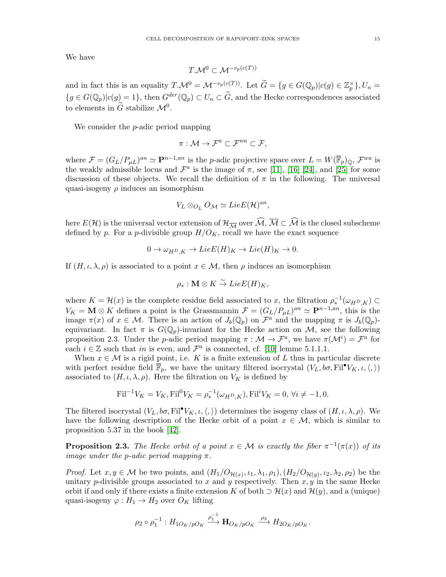We have

$$
T.\mathcal{M}^0 \subset \mathcal{M}^{-v_p(c(T))}
$$

and in fact this is an equality  $T.\mathcal{M}^0 = \mathcal{M}^{-v_p(c(T))}$ . Let  $\widetilde{G} = \{g \in G(\mathbb{Q}_p)|c(g) \in \mathbb{Z}_p^{\times}\}, U_n =$  ${g \in G(\mathbb{Q}_p)|c(g) = 1},$  then  $G^{der}(\mathbb{Q}_p) \subset U_n \subset \widetilde{G}$ , and the Hecke correspondences associated to elements in  $\tilde{G}$  stabilize  $\mathcal{M}^0$ .

We consider the *p*-adic period mapping

$$
\pi:\mathcal{M}\to\mathcal{F}^a\subset\mathcal{F}^{wa}\subset\mathcal{F},
$$

where  $\mathcal{F} = (G_L/P_{\mu L})^{an} \simeq \mathbf{P}^{n-1,an}$  is the p-adic projective space over  $L = W(\mathbb{F}_p)_{\mathbb{Q}}, \mathcal{F}^{wa}$  is the weakly admissible locus and  $\mathcal{F}^a$  is the image of  $\pi$ , see [\[11\]](#page-55-15), [\[16\]](#page-55-16) [\[24\]](#page-56-18), and [\[25\]](#page-56-19) for some discussion of these objects. We recall the definition of  $\pi$  in the following. The universal quasi-isogeny  $\rho$  induces an isomorphism

$$
V_L \otimes_{O_L} O_{\mathcal{M}} \simeq Lie E(\mathcal{H})^{an},
$$

here  $E(\mathcal{H})$  is the universal vector extension of  $\mathcal{H}_{\overline{\mathcal{M}}}$  over  $\widehat{\mathcal{M}}, \overline{\mathcal{M}} \subset \widehat{\mathcal{M}}$  is the closed subscheme defined by p. For a p-divisible group  $H/O_K$ , recall we have the exact sequence

$$
0 \to \omega_{H^D,K} \to Lie E(H)_K \to Lie(H)_K \to 0.
$$

If  $(H, \iota, \lambda, \rho)$  is associated to a point  $x \in \mathcal{M}$ , then  $\rho$  induces an isomorphism

$$
\rho_*: \mathbf{M} \otimes K \overset{\sim}{\to} Lie E(H)_K,
$$

where  $K = \mathcal{H}(x)$  is the complete residue field associated to x, the filtration  $\rho_*^{-1}(\omega_{H^D,K}) \subset$  $V_K = \mathbf{M} \otimes K$  defines a point is the Grassmannin  $\mathcal{F} = (G_L/P_{\mu})^{an} \simeq \mathbf{P}^{n-1,an}$ , this is the image  $\pi(x)$  of  $x \in \mathcal{M}$ . There is an action of  $J_b(\mathbb{Q}_p)$  on  $\mathcal{F}^a$  and the mapping  $\pi$  is  $J_b(\mathbb{Q}_p)$ equivariant. In fact  $\pi$  is  $G(\mathbb{Q}_p)$ -invariant for the Hecke action on M, see the following proposition 2.3. Under the *p*-adic period mapping  $\pi : \mathcal{M} \to \mathcal{F}^a$ , we have  $\pi(\mathcal{M}^i) = \mathcal{F}^a$  for each  $i \in \mathbb{Z}$  such that in is even, and  $\mathcal{F}^a$  is connected, cf. [\[10\]](#page-55-10) lemme 5.1.1.1.

When  $x \in \mathcal{M}$  is a rigid point, i.e. K is a finite extension of L thus in particular discrete with perfect residue field  $\overline{\mathbb{F}}_p$ , we have the unitary filtered isocrystal  $(V_L, b\sigma, \text{Fil}^{\bullet}V_K, \iota, \langle, \rangle)$ associated to  $(H, \iota, \lambda, \rho)$ . Here the filtration on  $V_K$  is defined by

$$
\text{Fil}^{-1}V_K = V_K, \text{Fil}^0 V_K = \rho_*^{-1}(\omega_{H^D,K}), \text{Fil}^i V_K = 0, \,\forall i \neq -1, 0.
$$

The filtered isocrystal  $(V_L, b\sigma, \text{Fil}^{\bullet}V_K, \iota, \langle, \rangle)$  determines the isogeny class of  $(H, \iota, \lambda, \rho)$ . We have the following description of the Hecke orbit of a point  $x \in \mathcal{M}$ , which is similar to proposition 5.37 in the book [\[42\]](#page-56-12).

**Proposition 2.3.** The Hecke orbit of a point  $x \in \mathcal{M}$  is exactly the fiber  $\pi^{-1}(\pi(x))$  of its image under the p-adic period mapping  $\pi$ .

*Proof.* Let  $x, y \in M$  be two points, and  $(H_1/O_{\mathcal{H}(x)}, \iota_1, \lambda_1, \rho_1), (H_2/O_{\mathcal{H}(y)}, \iota_2, \lambda_2, \rho_2)$  be the unitary p-divisible groups associated to x and y respectively. Then  $x, y$  in the same Hecke orbit if and only if there exists a finite extension K of both  $\supset \mathcal{H}(x)$  and  $\mathcal{H}(y)$ , and a (unique) quasi-isogeny  $\varphi: H_1 \to H_2$  over  $O_K$  lifting

$$
\rho_2 \circ \rho_1^{-1}: H_{1O_K/pO_K} \xrightarrow{\rho_1^{-1}} \mathbf{H}_{O_K/pO_K} \xrightarrow{\rho_2} H_{2O_K/pO_K}.
$$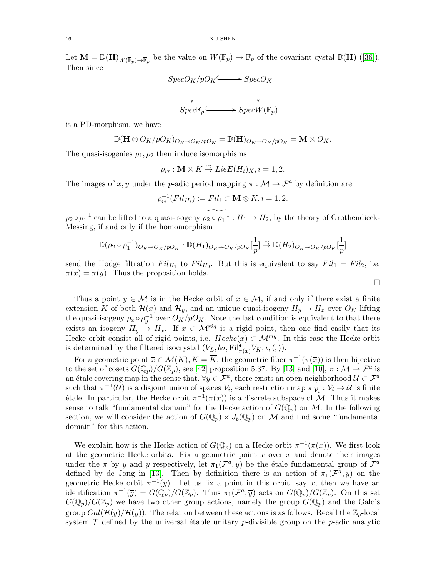Let $\mathbf{M} = \mathbb{D}(\mathbf{H})_{W(\overline{\mathbb{F}}_p) \to \overline{\mathbb{F}}_p}$  be the value on  $W(\mathbb{F}_p) \to \mathbb{F}_p$  of the covariant cystal  $\mathbb{D}(\mathbf{H})$  ([\[36\]](#page-56-20)). Then since



is a PD-morphism, we have

$$
\mathbb{D}(\mathbf{H}\otimes O_K/pO_K)_{O_K\to O_K/pO_K}=\mathbb{D}(\mathbf{H})_{O_K\to O_K/pO_K}=\mathbf{M}\otimes O_K.
$$

The quasi-isogenies  $\rho_1, \rho_2$  then induce isomorphisms

$$
\rho_{i*}: \mathbf{M} \otimes K \stackrel{\sim}{\to} Lie E(H_i)_K, i = 1, 2.
$$

The images of x, y under the p-adic period mapping  $\pi : \mathcal{M} \to \mathcal{F}^a$  by definition are

$$
\rho_{i*}^{-1}(Fil_{H_i}) := Fil_i \subset \mathbf{M} \otimes K, i = 1, 2.
$$

 $\rho_2 \circ \rho_1^{-1}$  can be lifted to a quasi-isogeny  $\rho_2 \circ \rho_1^{-1} : H_1 \to H_2$ , by the theory of Grothendieck-Messing, if and only if the homomorphism

$$
\mathbb{D}(\rho_2 \circ \rho_1^{-1})_{O_K \to O_K/pO_K}: \mathbb{D}(H_1)_{O_K \to O_K/pO_K}[\frac{1}{p}] \stackrel{\sim}{\to} \mathbb{D}(H_2)_{O_K \to O_K/pO_K}[\frac{1}{p}]
$$

send the Hodge filtration  $Fil_{H_1}$  to  $Fil_{H_2}$ . But this is equivalent to say  $Fil_1 = Fil_2$ , i.e.  $\pi(x) = \pi(y)$ . Thus the proposition holds.

 $\Box$ 

Thus a point  $y \in \mathcal{M}$  is in the Hecke orbit of  $x \in \mathcal{M}$ , if and only if there exist a finite extension K of both  $\mathcal{H}(x)$  and  $\mathcal{H}_y$ , and an unique quasi-isogeny  $H_y \to H_x$  over  $O_K$  lifting the quasi-isogeny  $\rho_x \circ \rho_y^{-1}$  over  $O_K/pO_K$ . Note the last condition is equivalent to that there exists an isogeny  $H_u \to H_x$ . If  $x \in \mathcal{M}^{rig}$  is a rigid point, then one find easily that its Hecke orbit consist all of rigid points, i.e.  $Hecke(x) \subset \mathcal{M}^{rig}$ . In this case the Hecke orbit is determined by the filtered isocrystal  $(V_L, b\sigma, \mathrm{Fil}_{\pi(x)}^{\bullet} V_K, \iota, \langle, \rangle)$ .

For a geometric point  $\overline{x} \in \mathcal{M}(K), K = \overline{K}$ , the geometric fiber  $\pi^{-1}(\pi(\overline{x}))$  is then bijective to the set of cosets  $G(\mathbb{Q}_p)/G(\mathbb{Z}_p)$ , see [\[42\]](#page-56-12) proposition 5.37. By [\[13\]](#page-55-6) and [\[10\]](#page-55-10),  $\pi : \mathcal{M} \to \mathcal{F}^a$  is an étale covering map in the sense that,  $\forall y \in \mathcal{F}^a$ , there exists an open neighborhood  $\mathcal{U} \subset \mathcal{F}^a$ such that  $\pi^{-1}(\mathcal{U})$  is a disjoint union of spaces  $\mathcal{V}_i$ , each restriction map  $\pi_{|\mathcal{V}_i} : \mathcal{V}_i \to \mathcal{U}$  is finite étale. In particular, the Hecke orbit  $\pi^{-1}(\pi(x))$  is a discrete subspace of M. Thus it makes sense to talk "fundamental domain" for the Hecke action of  $G(\mathbb{Q}_p)$  on M. In the following section, we will consider the action of  $G(\mathbb{Q}_p) \times J_b(\mathbb{Q}_p)$  on M and find some "fundamental" domain" for this action.

We explain how is the Hecke action of  $G(\mathbb{Q}_p)$  on a Hecke orbit  $\pi^{-1}(\pi(x))$ . We first look at the geometric Hecke orbits. Fix a geometric point  $\bar{x}$  over x and denote their images under the  $\pi$  by  $\bar{y}$  and y respectively, let  $\pi_1(\mathcal{F}^a, \bar{y})$  be the étale fundamental group of  $\mathcal{F}^a$ defined by de Jong in [\[13\]](#page-55-6). Then by definition there is an action of  $\pi_1(\mathcal{F}^a, \overline{y})$  on the geometric Hecke orbit  $\pi^{-1}(\overline{y})$ . Let us fix a point in this orbit, say  $\overline{x}$ , then we have an identification  $\pi^{-1}(\overline{y}) = G(\mathbb{Q}_p)/G(\mathbb{Z}_p)$ . Thus  $\pi_1(\mathcal{F}^a, \overline{y})$  acts on  $G(\mathbb{Q}_p)/G(\mathbb{Z}_p)$ . On this set  $G(\mathbb{Q}_p)/G(\mathbb{Z}_p)$  we have two other group actions, namely the group  $G(\mathbb{Q}_p)$  and the Galois group  $Gal(\mathcal{H}(y)/\mathcal{H}(y))$ . The relation between these actions is as follows. Recall the  $\mathbb{Z}_p$ -local system  $\mathcal T$  defined by the universal étable unitary p-divisible group on the p-adic analytic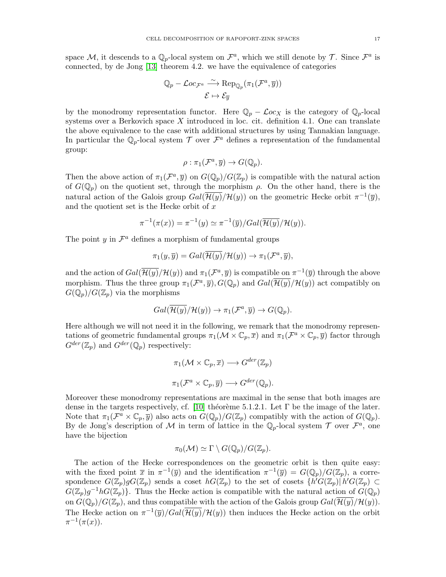space M, it descends to a  $\mathbb{Q}_p$ -local system on  $\mathcal{F}^a$ , which we still denote by  $\mathcal{T}$ . Since  $\mathcal{F}^a$  is connected, by de Jong [\[13\]](#page-55-6) theorem 4.2. we have the equivalence of categories

$$
\mathbb{Q}_p - \mathcal{L}oc_{\mathcal{F}^a} \stackrel{\sim}{\longrightarrow} \operatorname{Rep}_{\mathbb{Q}_p}(\pi_1(\mathcal{F}^a, \overline{y}))
$$

$$
\mathcal{E} \mapsto \mathcal{E}_{\overline{y}}
$$

by the monodromy representation functor. Here  $\mathbb{Q}_p - \mathcal{L}oc_X$  is the category of  $\mathbb{Q}_p$ -local systems over a Berkovich space  $X$  introduced in loc. cit. definition 4.1. One can translate the above equivalence to the case with additional structures by using Tannakian language. In particular the  $\mathbb{Q}_p$ -local system  $\mathcal T$  over  $\mathcal F^a$  defines a representation of the fundamental group:

$$
\rho: \pi_1(\mathcal{F}^a, \overline{y}) \to G(\mathbb{Q}_p).
$$

Then the above action of  $\pi_1(\mathcal{F}^a, \overline{y})$  on  $G(\mathbb{Q}_p)/G(\mathbb{Z}_p)$  is compatible with the natural action of  $G(\mathbb{Q}_p)$  on the quotient set, through the morphism  $\rho$ . On the other hand, there is the natural action of the Galois group  $Gal(\overline{\mathcal{H}(y)}/\mathcal{H}(y))$  on the geometric Hecke orbit  $\pi^{-1}(\overline{y})$ , and the quotient set is the Hecke orbit of  $x$ 

$$
\pi^{-1}(\pi(x)) = \pi^{-1}(y) \simeq \pi^{-1}(\overline{y})/Gal(\overline{\mathcal{H}(y)}/\mathcal{H}(y)).
$$

The point  $y$  in  $\mathcal{F}^a$  defines a morphism of fundamental groups

$$
\pi_1(y,\overline{y}) = Gal(\overline{\mathcal{H}(y)}/\mathcal{H}(y)) \to \pi_1(\mathcal{F}^a, \overline{y}),
$$

and the action of  $Gal(\overline{\mathcal{H}(y)}/\mathcal{H}(y))$  and  $\pi_1(\mathcal{F}^a, \overline{y})$  is compatible on  $\pi^{-1}(\overline{y})$  through the above morphism. Thus the three group  $\pi_1(\mathcal{F}^a, \overline{y})$ ,  $G(\mathbb{Q}_p)$  and  $Gal(\overline{\mathcal{H}(y)}/\mathcal{H}(y))$  act compatibly on  $G(\mathbb{Q}_p)/G(\mathbb{Z}_p)$  via the morphisms

$$
Gal(\overline{\mathcal{H}(y)}/\mathcal{H}(y)) \to \pi_1(\mathcal{F}^a, \overline{y}) \to G(\mathbb{Q}_p).
$$

Here although we will not need it in the following, we remark that the monodromy representations of geometric fundamental groups  $\pi_1(\mathcal{M}\times\mathbb{C}_p,\overline{x})$  and  $\pi_1(\mathcal{F}^a\times\mathbb{C}_p,\overline{y})$  factor through  $G^{der}(\mathbb{Z}_p)$  and  $G^{der}(\mathbb{Q}_p)$  respectively:

$$
\pi_1(\mathcal{M}\times\mathbb{C}_p,\overline{x})\longrightarrow G^{der}(\mathbb{Z}_p)
$$

$$
\pi_1(\mathcal{F}^a\times\mathbb{C}_p,\overline{y})\longrightarrow G^{der}(\mathbb{Q}_p).
$$

Moreover these monodromy representations are maximal in the sense that both images are dense in the targets respectively, cf. [\[10\]](#page-55-10) théorème 5.1.2.1. Let  $\Gamma$  be the image of the later. Note that  $\pi_1(\mathcal{F}^a \times \mathbb{C}_p, \overline{y})$  also acts on  $G(\mathbb{Q}_p)/G(\mathbb{Z}_p)$  compatibly with the action of  $G(\mathbb{Q}_p)$ . By de Jong's description of M in term of lattice in the  $\mathbb{Q}_p$ -local system  $\mathcal T$  over  $\mathcal F^a$ , one have the bijection

$$
\pi_0(\mathcal{M}) \simeq \Gamma \setminus G(\mathbb{Q}_p)/G(\mathbb{Z}_p).
$$

The action of the Hecke correspondences on the geometric orbit is then quite easy: with the fixed point  $\bar{x}$  in  $\pi^{-1}(\bar{y})$  and the identification  $\pi^{-1}(\bar{y}) = G(\mathbb{Q}_p)/G(\mathbb{Z}_p)$ , a correspondence  $G(\mathbb{Z}_p)gG(\mathbb{Z}_p)$  sends a coset  $hG(\mathbb{Z}_p)$  to the set of cosets  $\{h'G(\mathbb{Z}_p) | h'G(\mathbb{Z}_p) \subset$  $G(\mathbb{Z}_p)g^{-1}hG(\mathbb{Z}_p)$ . Thus the Hecke action is compatible with the natural action of  $G(\mathbb{Q}_p)$ on  $G(\mathbb{Q}_p)/G(\mathbb{Z}_p)$ , and thus compatible with the action of the Galois group  $Gal(\overline{\mathcal{H}(y)}/\mathcal{H}(y))$ . The Hecke action on  $\pi^{-1}(\overline{y})/Gal(\overline{\mathcal{H}(y)}/\mathcal{H}(y))$  then induces the Hecke action on the orbit  $\pi^{-1}(\pi(x)).$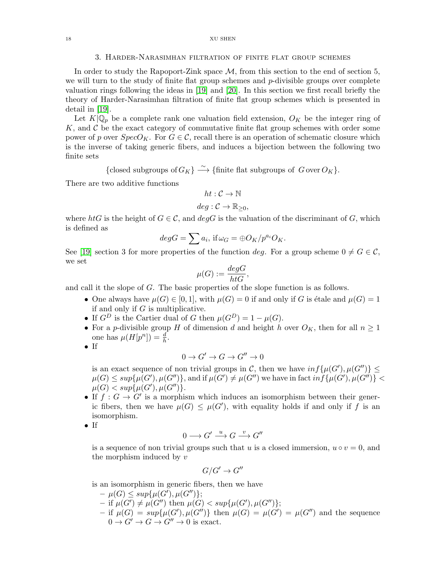#### 18 XU SHEN

#### 3. Harder-Narasimhan filtration of finite flat group schemes

<span id="page-17-0"></span>In order to study the Rapoport-Zink space  $\mathcal{M}$ , from this section to the end of section 5, we will turn to the study of finite flat group schemes and  $p$ -divisible groups over complete valuation rings following the ideas in [\[19\]](#page-56-0) and [\[20\]](#page-56-1). In this section we first recall briefly the theory of Harder-Narasimhan filtration of finite flat group schemes which is presented in detail in [\[19\]](#page-56-0).

Let  $K|\mathbb{Q}_p$  be a complete rank one valuation field extension,  $O_K$  be the integer ring of  $K$ , and  $C$  be the exact category of commutative finite flat group schemes with order some power of p over  $SpecO_K$ . For  $G \in \mathcal{C}$ , recall there is an operation of schematic closure which is the inverse of taking generic fibers, and induces a bijection between the following two finite sets

{closed subgroups of  $G_K$ }  $\longrightarrow$  {finite flat subgroups of  $G$  over  $O_K$ }.

There are two additive functions

$$
ht:\mathcal{C}\to\mathbb{N}
$$

$$
deg: \mathcal{C} \to \mathbb{R}_{\geq 0},
$$

where htG is the height of  $G \in \mathcal{C}$ , and  $degG$  is the valuation of the discriminant of G, which is defined as

$$
degG = \sum a_i, \text{ if } \omega_G = \bigoplus O_K/p^{a_i}O_K.
$$

See [\[19\]](#page-56-0) section 3 for more properties of the function deg. For a group scheme  $0 \neq G \in \mathcal{C}$ , we set

$$
\mu(G) := \frac{degG}{htG},
$$

and call it the slope of G. The basic properties of the slope function is as follows.

- One always have  $\mu(G) \in [0,1]$ , with  $\mu(G) = 0$  if and only if G is étale and  $\mu(G) = 1$ if and only if  $G$  is multiplicative.
- If  $G^D$  is the Cartier dual of G then  $\mu(G^D) = 1 \mu(G)$ .
- For a *p*-divisible group H of dimension d and height h over  $O_K$ , then for all  $n \geq 1$ one has  $\mu(H[p^n]) = \frac{d}{h}$ .
- If

$$
0 \to G' \to G \to G'' \to 0
$$

is an exact sequence of non trivial groups in C, then we have  $inf\{\mu(G'), \mu(G'')\} \le$  $\mu(G) \leq sup\{\mu(G'), \mu(G'')\},\text{and if }\mu(G') \neq \mu(G'')\text{ we have in fact }inf\{\mu(G'), \mu(G'')\} <$  $\mu(G) < sup\{\mu(G'), \mu(G'')\}.$ 

- If  $f: G \to G'$  is a morphism which induces an isomorphism between their generic fibers, then we have  $\mu(G) \leq \mu(G')$ , with equality holds if and only if f is an isomorphism.
- If

$$
0 \longrightarrow G' \xrightarrow{u} G \xrightarrow{v} G''
$$

is a sequence of non trivial groups such that u is a closed immersion,  $u \circ v = 0$ , and the morphism induced by  $v$ 

$$
G/G' \to G''
$$

is an isomorphism in generic fibers, then we have

 $- \mu(G) \leq sup{\mu(G'), \mu(G'')};$  $-$  if  $\mu(G') \neq \mu(G'')$  then  $\mu(G) < \sup\{\mu(G'), \mu(G'')\};$ - if  $\mu(G) = \sup \{ \mu(G'), \mu(G'') \}$  then  $\mu(G) = \mu(G') = \mu(G'')$  and the sequence  $0 \to G' \to G \to G'' \to 0$  is exact.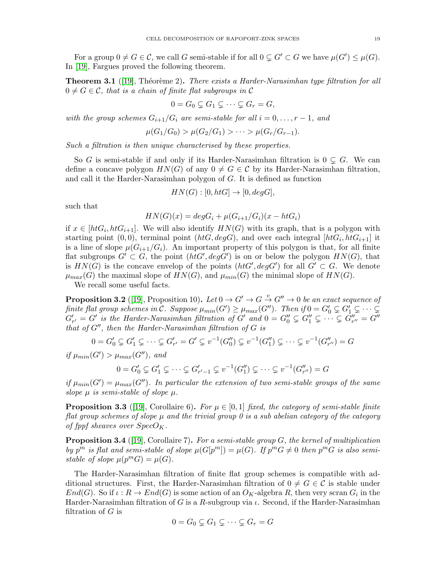For a group  $0 \neq G \in \mathcal{C}$ , we call G semi-stable if for all  $0 \subsetneq G' \subset G$  we have  $\mu(G') \leq \mu(G)$ . In [\[19\]](#page-56-0), Fargues proved the following theorem.

**Theorem 3.1** ([\[19\]](#page-56-0), Théorème 2). There exists a Harder-Narasimhan type filtration for all  $0 \neq G \in \mathcal{C}$ , that is a chain of finite flat subgroups in  $\mathcal{C}$ 

$$
0 = G_0 \subsetneq G_1 \subsetneq \cdots \subsetneq G_r = G,
$$

with the group schemes  $G_{i+1}/G_i$  are semi-stable for all  $i = 0, \ldots, r - 1$ , and

$$
\mu(G_1/G_0) > \mu(G_2/G_1) > \cdots > \mu(G_r/G_{r-1}).
$$

Such a filtration is then unique characterised by these properties.

So G is semi-stable if and only if its Harder-Narasimhan filtration is  $0 \subseteq G$ . We can define a concave polygon  $HN(G)$  of any  $0 \neq G \in \mathcal{C}$  by its Harder-Narasimhan filtration, and call it the Harder-Narasimhan polygon of G. It is defined as function

$$
HN(G) : [0, htG] \rightarrow [0, degG],
$$

such that

$$
HN(G)(x) = degGi + \mu(Gi+1/Gi)(x - htGi)
$$

if  $x \in [htG_i, htG_{i+1}]$ . We will also identify  $HN(G)$  with its graph, that is a polygon with starting point  $(0,0)$ , terminal point  $(htG, degG)$ , and over each integral  $[htG_i, htG_{i+1}]$  it is a line of slope  $\mu(G_{i+1}/G_i)$ . An important property of this polygon is that, for all finite flat subgroups  $G' \subset G$ , the point  $(htG', degG')$  is on or below the polygon  $HN(G)$ , that is  $HN(G)$  is the concave envelop of the points  $(htG', degG')$  for all  $G' \subset G$ . We denote  $\mu_{max}(G)$  the maximal slope of  $HN(G)$ , and  $\mu_{min}(G)$  the minimal slope of  $HN(G)$ .

We recall some useful facts.

**Proposition 3.2** ([\[19\]](#page-56-0), Proposition 10). Let  $0 \to G' \to G \stackrel{v}{\to} G'' \to 0$  be an exact sequence of finite flat group schemes in C. Suppose  $\mu_{min}(G') \geq \mu_{max}(G'')$ . Then if  $0 = G'_0 \subsetneq G'_1 \subsetneq \cdots \subsetneq G'_n$  $G'_{r'} = G'$  is the Harder-Narasimhan filtration of  $G'$  and  $0 = G''_0 \subsetneq G''_1 \subsetneq \cdots \subsetneq G''_{r''} = G''$ that of  $G''$ , then the Harder-Narasimhan filtration of  $G$  is

$$
0 = G'_0 \subsetneq G'_1 \subsetneq \cdots \subsetneq G'_{r'} = G' \subsetneq v^{-1}(G''_0) \subsetneq v^{-1}(G''_1) \subsetneq \cdots \subsetneq v^{-1}(G''_{r''}) = G
$$

if  $\mu_{min}(G') > \mu_{max}(G'')$ , and

$$
0 = G'_0 \subsetneq G'_1 \subsetneq \cdots \subsetneq G'_{r'-1} \subsetneq v^{-1}(G''_1) \subsetneq \cdots \subsetneq v^{-1}(G''_{r''}) = G
$$

if  $\mu_{min}(G') = \mu_{max}(G'')$ . In particular the extension of two semi-stable groups of the same slope  $\mu$  is semi-stable of slope  $\mu$ .

**Proposition 3.3** ([\[19\]](#page-56-0), Corollaire 6). For  $\mu \in [0,1]$  fixed, the category of semi-stable finite flat group schemes of slope  $\mu$  and the trivial group 0 is a sub abelian category of the category of fppf sheaves over  $SpecO_K$ .

**Proposition 3.4** ([\[19\]](#page-56-0), Corollaire 7). For a semi-stable group  $G$ , the kernel of multiplication by  $p^m$  is flat and semi-stable of slope  $\mu(G[p^m]) = \mu(G)$ . If  $p^m G \neq 0$  then  $p^m G$  is also semistable of slope  $\mu(p^mG) = \mu(G)$ .

The Harder-Narasimhan filtration of finite flat group schemes is compatible with additional structures. First, the Harder-Narasimhan filtration of  $0 \neq G \in \mathcal{C}$  is stable under  $End(G)$ . So if  $\iota: R \to End(G)$  is some action of an  $O_K$ -algebra R, then very scran  $G_i$  in the Harder-Narasimhan filtration of G is a R-subgroup via  $\iota$ . Second, if the Harder-Narasimhan filtration of  $G$  is

$$
0 = G_0 \subsetneq G_1 \subsetneq \cdots \subsetneq G_r = G
$$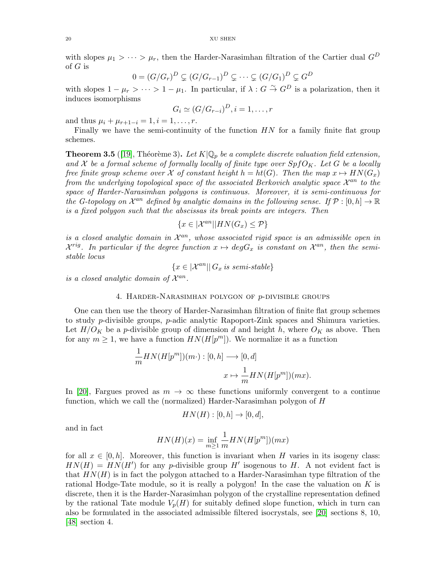with slopes  $\mu_1 > \cdots > \mu_r$ , then the Harder-Narasimhan filtration of the Cartier dual  $G^D$ of G is

$$
0 = (G/G_r)^D \subset (G/G_{r-1})^D \subsetneq \cdots \subset (G/G_1)^D \subsetneq G^D
$$

with slopes  $1 - \mu_r > \cdots > 1 - \mu_1$ . In particular, if  $\lambda : G \overset{\sim}{\to} G^D$  is a polarization, then it induces isomorphisms

$$
G_i \simeq (G/G_{r-i})^D, i=1,\ldots,r
$$

and thus  $\mu_i + \mu_{r+1-i} = 1, i = 1, \ldots, r$ .

Finally we have the semi-continuity of the function  $HN$  for a family finite flat group schemes.

**Theorem 3.5** ([\[19\]](#page-56-0), Théorème 3). Let  $K|\mathbb{Q}_p$  be a complete discrete valuation field extension, and X be a formal scheme of formally locally of finite type over  $SpfO_K$ . Let G be a locally free finite group scheme over X of constant height  $h = ht(G)$ . Then the map  $x \mapsto HN(G_x)$ from the underlying topological space of the associated Berkovich analytic space  $\mathcal{X}^{an}$  to the space of Harder-Narasimhan polygons is continuous. Moreover, it is semi-continuous for the G-topology on  $\mathcal{X}^{an}$  defined by analytic domains in the following sense. If  $\mathcal{P} : [0, h] \to \mathbb{R}$ is a fixed polygon such that the abscissas its break points are integers. Then

$$
\{x \in |\mathcal{X}^{an}| |HN(G_x) \le P\}
$$

is a closed analytic domain in  $\mathcal{X}^{an}$ , whose associated rigid space is an admissible open in  $\mathcal{X}^{rig}$ . In particular if the degree function  $x \mapsto degG_x$  is constant on  $\mathcal{X}^{an}$ , then the semistable locus

 ${x \in |\mathcal{X}^{an}| | G_x \text{ is semi-stable}}$ 

<span id="page-19-0"></span>is a closed analytic domain of  $\mathcal{X}^{an}$ .

#### 4. HARDER-NARASIMHAN POLYGON OF  $p$ -DIVISIBLE GROUPS

One can then use the theory of Harder-Narasimhan filtration of finite flat group schemes to study p-divisible groups, p-adic analytic Rapoport-Zink spaces and Shimura varieties. Let  $H/O_K$  be a p-divisible group of dimension d and height h, where  $O_K$  as above. Then for any  $m \geq 1$ , we have a function  $HN(H[p^m])$ . We normalize it as a function

$$
\frac{1}{m}HN(H[p^m])(m\cdot) : [0, h] \longrightarrow [0, d]
$$

$$
x \mapsto \frac{1}{m}HN(H[p^m])(mx).
$$

In [\[20\]](#page-56-1), Fargues proved as  $m \to \infty$  these functions uniformly convergent to a continue function, which we call the (normalized) Harder-Narasimhan polygon of H

$$
HN(H): [0, h] \rightarrow [0, d],
$$

and in fact

$$
HN(H)(x) = \inf_{m \ge 1} \frac{1}{m} HN(H[p^m])(mx)
$$

for all  $x \in [0, h]$ . Moreover, this function is invariant when H varies in its isogeny class:  $HN(H) = HN(H')$  for any p-divisible group H' isogenous to H. A not evident fact is that  $HN(H)$  is in fact the polygon attached to a Harder-Narasimhan type filtration of the rational Hodge-Tate module, so it is really a polygon! In the case the valuation on  $K$  is discrete, then it is the Harder-Narasimhan polygon of the crystalline representation defined by the rational Tate module  $V_p(H)$  for suitably defined slope function, which in turn can also be formulated in the associated admissible filtered isocrystals, see [\[20\]](#page-56-1) sections 8, 10, [\[48\]](#page-56-16) section 4.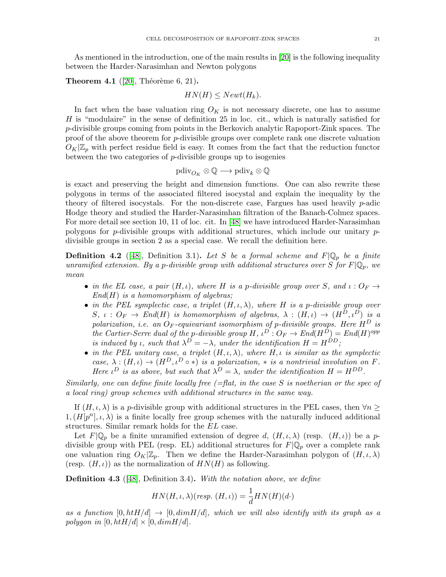As mentioned in the introduction, one of the main results in [\[20\]](#page-56-1) is the following inequality between the Harder-Narasimhan and Newton polygons

**Theorem 4.1** ([\[20\]](#page-56-1), Théorème 6, 21).

 $HN(H) \leq Newt(H_k).$ 

In fact when the base valuation ring  $O_K$  is not necessary discrete, one has to assume H is "modulaire" in the sense of definition 25 in loc. cit., which is naturally satisfied for  $p$ -divisible groups coming from points in the Berkovich analytic Rapoport-Zink spaces. The proof of the above theorem for p-divisible groups over complete rank one discrete valuation  $O_K|\mathbb{Z}_p$  with perfect residue field is easy. It comes from the fact that the reduction functor between the two categories of  $p$ -divisible groups up to isogenies

$$
\mathrm{pdiv}_{O_K} \otimes \mathbb{Q} \longrightarrow \mathrm{pdiv}_k \otimes \mathbb{Q}
$$

is exact and preserving the height and dimension functions. One can also rewrite these polygons in terms of the associated filtered isocystal and explain the inequality by the theory of filtered isocystals. For the non-discrete case, Fargues has used heavily  $p$ -adic Hodge theory and studied the Harder-Narasimhan filtration of the Banach-Colmez spaces. For more detail see section 10, 11 of loc. cit. In [\[48\]](#page-56-16) we have introduced Harder-Narasimhan polygons for p-divisible groups with additional structures, which include our unitary  $p$ divisible groups in section 2 as a special case. We recall the definition here.

**Definition 4.2** ([\[48\]](#page-56-16), Definition 3.1). Let S be a formal scheme and  $F|\mathbb{Q}_p$  be a finite unramified extension. By a p-divisible group with additional structures over S for  $F|\mathbb{Q}_p$ , we mean

- in the EL case, a pair  $(H, \iota)$ , where H is a p-divisible group over S, and  $\iota: O_F \to$  $End(H)$  is a homomorphism of algebras;
- in the PEL symplectic case, a triplet  $(H, \iota, \lambda)$ , where H is a p-divisible group over  $S, \, \iota: O_F \to End(H)$  is homomorphism of algebras,  $\lambda: (H, \iota) \to (H^D, \iota^D)$  is a polarization, i.e. an  $O_F$ -equivariant isomorphism of p-divisible groups. Here  $H^D$  is the Cartier-Serre dual of the p-divisible group  $H, \iota^D: O_F \to End(H^D) = End(H)^{opp}$ is induced by *ι*, such that  $\lambda^D = -\lambda$ , under the identification  $H = H^{DD}$ ;
- in the PEL unitary case, a triplet  $(H, \iota, \lambda)$ , where  $H, \iota$  is similar as the symplectic case,  $\lambda : (H, \iota) \to (H^D, \iota^D \circ *)$  is a polarization,  $*$  is a nontrivial involution on F. Here  $\iota^D$  is as above, but such that  $\lambda^D = \lambda$ , under the identification  $H = H^{DD}$ .

Similarly, one can define finite locally free  $(=\text{flat}, \text{ in the case } S \text{ is noetherian or the spec of})$ a local ring) group schemes with additional structures in the same way.

If  $(H, \iota, \lambda)$  is a p-divisible group with additional structures in the PEL cases, then  $\forall n \geq$  $1,(H[p<sup>n</sup>],\iota,\lambda)$  is a finite locally free group schemes with the naturally induced additional structures. Similar remark holds for the EL case.

Let  $F|\mathbb{Q}_p$  be a finite unramified extension of degree d,  $(H, \iota, \lambda)$  (resp.  $(H, \iota)$ ) be a pdivisible group with PEL (resp. EL) additional structures for  $F|\mathbb{Q}_p$  over a complete rank one valuation ring  $O_K|\mathbb{Z}_p$ . Then we define the Harder-Narasimhan polygon of  $(H, \iota, \lambda)$ (resp.  $(H, \iota)$ ) as the normalization of  $HN(H)$  as following.

**Definition 4.3** ([\[48\]](#page-56-16), Definition 3.4). With the notation above, we define

$$
HN(H, \iota, \lambda)(resp. (H, \iota)) = \frac{1}{d} HN(H)(d \cdot)
$$

as a function  $[0, htH/d] \rightarrow [0, dimH/d]$ , which we will also identify with its graph as a polygon in  $[0, htH/d] \times [0, dimH/d]$ .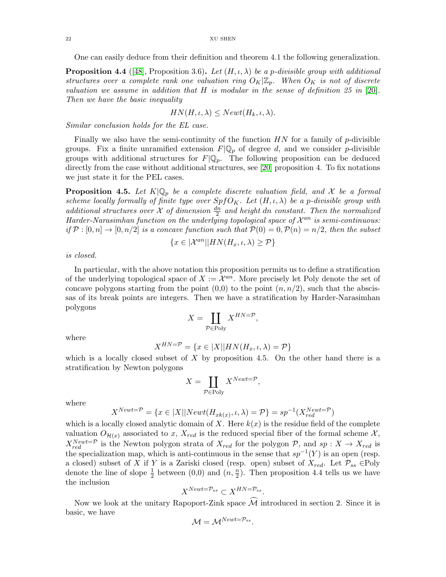One can easily deduce from their definition and theorem 4.1 the following generalization.

**Proposition 4.4** ([\[48\]](#page-56-16), Proposition 3.6). Let  $(H, \iota, \lambda)$  be a p-divisible group with additional structures over a complete rank one valuation ring  $O_K|\mathbb{Z}_p$ . When  $O_K$  is not of discrete valuation we assume in addition that  $H$  is modular in the sense of definition 25 in [\[20\]](#page-56-1). Then we have the basic inequality

$$
HN(H,\iota,\lambda) \leq Newt(H_k,\iota,\lambda).
$$

Similar conclusion holds for the EL case.

Finally we also have the semi-continuity of the function  $HN$  for a family of p-divisible groups. Fix a finite unramified extension  $F|\mathbb{Q}_p$  of degree d, and we consider p-divisible groups with additional structures for  $F|\mathbb{Q}_p$ . The following proposition can be deduced directly from the case without additional structures, see [\[20\]](#page-56-1) proposition 4. To fix notations we just state it for the PEL cases.

**Proposition 4.5.** Let  $K|\mathbb{Q}_p$  be a complete discrete valuation field, and X be a formal scheme locally formally of finite type over  $SpfO_K$ . Let  $(H, \iota, \lambda)$  be a p-divisible group with additional structures over  $\mathcal X$  of dimension  $\frac{dn}{2}$  and height dn constant. Then the normalized Harder-Narasimhan function on the underlying topological space of  $\mathcal{X}^{an}$  is semi-continuous: if  $P : [0, n] \to [0, n/2]$  is a concave function such that  $P(0) = 0, P(n) = n/2$ , then the subset

$$
\{x\in |\mathcal{X}^{an}||HN(H_x,\iota,\lambda)\geq \mathcal{P}\}
$$

is closed.

In particular, with the above notation this proposition permits us to define a stratification of the underlying topological space of  $X := \mathcal{X}^{an}$ . More precisely let Poly denote the set of concave polygons starting from the point  $(0,0)$  to the point  $(n, n/2)$ , such that the abscissas of its break points are integers. Then we have a stratification by Harder-Narasimhan polygons

$$
X = \coprod_{\mathcal{P} \in \text{Poly}} X^{HN=\mathcal{P}},
$$

where

$$
X^{HN=\mathcal{P}} = \{x \in |X||HN(H_x, \iota, \lambda) = \mathcal{P}\}
$$

which is a locally closed subset of  $X$  by proposition 4.5. On the other hand there is a stratification by Newton polygons

$$
X = \coprod_{\mathcal{P} \in \text{Poly}} X^{Newt = \mathcal{P}}
$$

,

where

$$
X^{Newt=\mathcal{P}} = \{x \in |X||Newt(H_{xk(x)}, \iota, \lambda) = \mathcal{P}\} = sp^{-1}(X_{red}^{Newt=\mathcal{P}})
$$

which is a locally closed analytic domain of X. Here  $k(x)$  is the residue field of the complete valuation  $O_{\mathcal{H}(x)}$  associated to x,  $X_{red}$  is the reduced special fiber of the formal scheme X,  $X_{red}^{Newt=p}$  is the Newton polygon strata of  $X_{red}$  for the polygon P, and  $sp: X \to X_{red}$  is the specialization map, which is anti-continuous in the sense that  $sp^{-1}(Y)$  is an open (resp. a closed) subset of X if Y is a Zariski closed (resp. open) subset of  $X_{red}$ . Let  $\mathcal{P}_{ss} \in \text{Poly}$ denote the line of slope  $\frac{1}{2}$  between  $(0,0)$  and  $(n,\frac{n}{2})$ . Then proposition 4.4 tells us we have the inclusion

$$
X^{Newt=\mathcal{P}_{ss}} \subset X^{HN=\mathcal{P}_{ss}}.
$$

Now we look at the unitary Rapoport-Zink space  $\widehat{\mathcal{M}}$  introduced in section 2. Since it is basic, we have

$$
\mathcal{M}=\mathcal{M}^{Newt=\mathcal{P}_{ss}}.
$$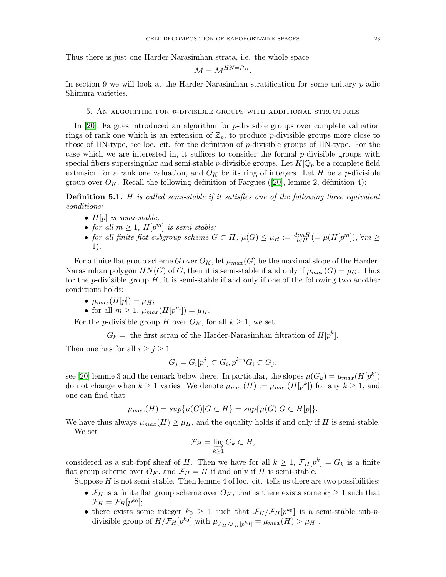Thus there is just one Harder-Narasimhan strata, i.e. the whole space

$$
\mathcal{M}=\mathcal{M}^{HN=\mathcal{P}_{ss}}.
$$

In section 9 we will look at the Harder-Narasimhan stratification for some unitary  $p$ -adic Shimura varieties.

#### 5. AN ALGORITHM FOR  $p$ -DIVISIBLE GROUPS WITH ADDITIONAL STRUCTURES

<span id="page-22-0"></span>In [\[20\]](#page-56-1), Fargues introduced an algorithm for p-divisible groups over complete valuation rings of rank one which is an extension of  $\mathbb{Z}_p$ , to produce p-divisible groups more close to those of HN-type, see loc. cit. for the definition of  $p$ -divisible groups of HN-type. For the case which we are interested in, it suffices to consider the formal  $p$ -divisible groups with special fibers supersingular and semi-stable *p*-divisible groups. Let  $K|\mathbb{Q}_p$  be a complete field extension for a rank one valuation, and  $O_K$  be its ring of integers. Let H be a p-divisible groupover  $O_K$ . Recall the following definition of Fargues ([\[20\]](#page-56-1), lemme 2, définition 4):

Definition 5.1. H is called semi-stable if it satisfies one of the following three equivalent conditions:

- $H[p]$  is semi-stable;
- for all  $m \geq 1$ ,  $H[p^m]$  is semi-stable;
- for all finite flat subgroup scheme  $G \subset H$ ,  $\mu(G) \leq \mu_H := \frac{dim H}{h \cdot H} (= \mu(H[p^m]), \forall m \geq$ 1).

For a finite flat group scheme G over  $O_K$ , let  $\mu_{max}(G)$  be the maximal slope of the Harder-Narasimhan polygon  $HN(G)$  of G, then it is semi-stable if and only if  $\mu_{max}(G) = \mu_G$ . Thus for the p-divisible group  $H$ , it is semi-stable if and only if one of the following two another conditions holds:

- $\mu_{max}(H[p]) = \mu_H;$
- for all  $m \geq 1$ ,  $\mu_{max}(H[p^m]) = \mu_H$ .

For the *p*-divisible group H over  $O_K$ , for all  $k \geq 1$ , we set

 $G_k =$  the first scran of the Harder-Narasimhan filtration of  $H[p^k]$ .

Then one has for all  $i \geq j \geq 1$ 

$$
G_j = G_i[p^j] \subset G_i, p^{i-j}G_i \subset G_j,
$$

see [\[20\]](#page-56-1) lemme 3 and the remark below there. In particular, the slopes  $\mu(G_k) = \mu_{max}(H[p^k])$ do not change when  $k \geq 1$  varies. We denote  $\mu_{max}(H) := \mu_{max}(H[p^k])$  for any  $k \geq 1$ , and one can find that

$$
\mu_{max}(H) = sup{\mu(G)|G \subset H} = sup{\mu(G)|G \subset H[p]}.
$$

We have thus always  $\mu_{max}(H) \geq \mu_H$ , and the equality holds if and only if H is semi-stable. We set

$$
\mathcal{F}_H = \varinjlim_{k \ge 1} G_k \subset H,
$$

considered as a sub-fppf sheaf of H. Then we have for all  $k \geq 1$ ,  $\mathcal{F}_H[p^k] = G_k$  is a finite flat group scheme over  $O_K$ , and  $\mathcal{F}_H = H$  if and only if H is semi-stable.

Suppose  $H$  is not semi-stable. Then lemme 4 of loc. cit. tells us there are two possibilities:

- $\mathcal{F}_H$  is a finite flat group scheme over  $O_K$ , that is there exists some  $k_0 \geq 1$  such that  $\mathcal{F}_H = \mathcal{F}_H[p^{k_0}];$
- there exists some integer  $k_0 \geq 1$  such that  $\mathcal{F}_H/\mathcal{F}_H[p^{k_0}]$  is a semi-stable sub-pdivisible group of  $H/\mathcal{F}_H[p^{k_0}]$  with  $\mu_{\mathcal{F}_H/\mathcal{F}_H[p^{k_0}]} = \mu_{max}(H) > \mu_H$ .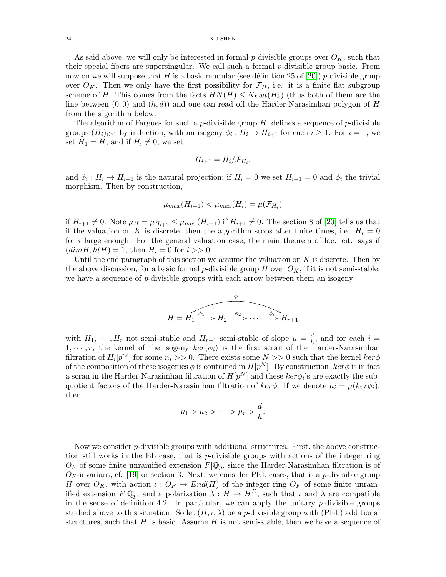24 XU SHEN

As said above, we will only be interested in formal p-divisible groups over  $O_K$ , such that their special fibers are supersingular. We call such a formal p-divisible group basic. From now on we will suppose that H is a basic modular (see définition 25 of [\[20\]](#page-56-1)) p-divisible group over  $O_K$ . Then we only have the first possibility for  $\mathcal{F}_H$ , i.e. it is a finite flat subgroup scheme of H. This comes from the facts  $HN(H) \leq Newt(H_k)$  (thus both of them are the line between  $(0, 0)$  and  $(h, d)$  and one can read off the Harder-Narasimhan polygon of H from the algorithm below.

The algorithm of Fargues for such a p-divisible group  $H$ , defines a sequence of p-divisible groups  $(H_i)_{i\geq 1}$  by induction, with an isogeny  $\phi_i : H_i \to H_{i+1}$  for each  $i \geq 1$ . For  $i = 1$ , we set  $H_1 = H$ , and if  $H_i \neq 0$ , we set

$$
H_{i+1} = H_i / \mathcal{F}_{H_i},
$$

and  $\phi_i: H_i \to H_{i+1}$  is the natural projection; if  $H_i = 0$  we set  $H_{i+1} = 0$  and  $\phi_i$  the trivial morphism. Then by construction,

$$
\mu_{max}(H_{i+1}) < \mu_{max}(H_i) = \mu(\mathcal{F}_{H_i})
$$

if  $H_{i+1} \neq 0$ . Note  $\mu = \mu_{H_{i+1}} \leq \mu_{max}(H_{i+1})$  if  $H_{i+1} \neq 0$ . The section 8 of [\[20\]](#page-56-1) tells us that if the valuation on K is discrete, then the algorithm stops after finite times, i.e.  $H_i = 0$ for i large enough. For the general valuation case, the main theorem of loc. cit. says if  $(dimH,htH) = 1$ , then  $H<sub>i</sub> = 0$  for  $i >> 0$ .

Until the end paragraph of this section we assume the valuation on  $K$  is discrete. Then by the above discussion, for a basic formal p-divisible group H over  $O_K$ , if it is not semi-stable, we have a sequence of *p*-divisible groups with each arrow between them an isogeny:



with  $H_1, \dots, H_r$  not semi-stable and  $H_{r+1}$  semi-stable of slope  $\mu = \frac{d}{h}$  $\frac{d}{h}$ , and for each  $i =$  $1, \dots, r$ , the kernel of the isogeny  $\ker(\phi_i)$  is the first scran of the Harder-Narasimhan filtration of  $H_i[p^{n_i}]$  for some  $n_i >> 0$ . There exists some  $N >> 0$  such that the kernel  $ker \phi$ of the composition of these isogenies  $\phi$  is contained in  $H[p^N]$ . By construction,  $ker \phi$  is in fact a scran in the Harder-Narasimhan filtration of  $H[p^N]$  and these  $ker \phi_i$ 's are exactly the subquotient factors of the Harder-Narasimhan filtration of  $ker \phi$ . If we denote  $\mu_i = \mu(ker \phi_i)$ , then

$$
\mu_1 > \mu_2 > \cdots > \mu_r > \frac{d}{h}.
$$

Now we consider  $p$ -divisible groups with additional structures. First, the above construction still works in the EL case, that is p-divisible groups with actions of the integer ring  $O_F$  of some finite unramified extension  $F(\mathbb{Q}_p)$ , since the Harder-Narasimhan filtration is of  $O_F$ -invariant, cf. [\[19\]](#page-56-0) or section 3. Next, we consider PEL cases, that is a p-divisible group H over  $O_K$ , with action  $\iota: O_F \to End(H)$  of the integer ring  $O_F$  of some finite unramified extension  $F|\mathbb{Q}_p$ , and a polarization  $\lambda : H \to H^D$ , such that  $\iota$  and  $\lambda$  are compatible in the sense of definition 4.2. In particular, we can apply the unitary  $p$ -divisible groups studied above to this situation. So let  $(H, \iota, \lambda)$  be a *p*-divisible group with (PEL) additional structures, such that H is basic. Assume H is not semi-stable, then we have a sequence of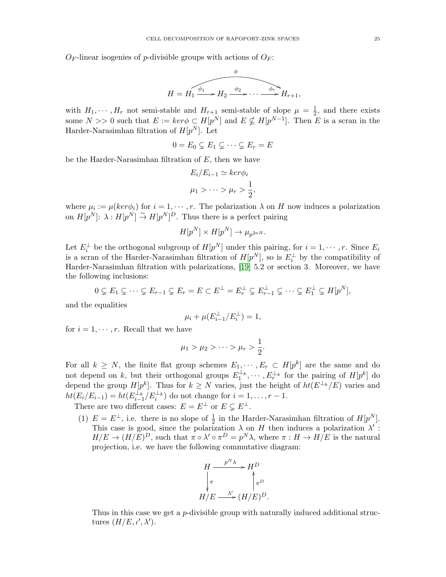$O_F$ -linear isogenies of p-divisible groups with actions of  $O_F$ :

$$
H = H_1 \xrightarrow{\phi_1} H_2 \xrightarrow{\phi_2} \cdots \xrightarrow{\phi_r} H_{r+1},
$$

with  $H_1, \dots, H_r$  not semi-stable and  $H_{r+1}$  semi-stable of slope  $\mu = \frac{1}{2}$  $\frac{1}{2}$ , and there exists some  $N >> 0$  such that  $E := \text{ker} \phi \subset H[p^N]$  and  $E \nsubseteq H[p^{N-1}]$ . Then E is a scran in the Harder-Narasimhan filtration of  $H[p^N]$ . Let

$$
0 = E_0 \subsetneq E_1 \subsetneq \cdots \subsetneq E_r = E
$$

be the Harder-Narasimhan filtration of  $E$ , then we have

$$
E_i/E_{i-1} \simeq \ker \phi_i
$$
  

$$
\mu_1 > \dots > \mu_r > \frac{1}{2},
$$

where  $\mu_i := \mu(ker\phi_i)$  for  $i = 1, \dots, r$ . The polarization  $\lambda$  on H now induces a polarization on  $H[p^N]$ :  $\lambda : H[p^N] \overset{\sim}{\to} H[p^N]^D$ . Thus there is a perfect pairing

$$
H[p^N] \times H[p^N] \to \mu_{p^{2nN}}.
$$

Let  $E_i^{\perp}$  be the orthogonal subgroup of  $H[p^N]$  under this pairing, for  $i = 1, \dots, r$ . Since  $E_i$ is a scran of the Harder-Narasimhan filtration of  $H[p^N]$ , so is  $E_i^{\perp}$  by the compatibility of Harder-Narasimhan filtration with polarizations, [\[19\]](#page-56-0) 5.2 or section 3. Moreover, we have the following inclusions:

$$
0 \subsetneq E_1 \subsetneq \cdots \subsetneq E_{r-1} \subsetneq E_r = E \subset E^{\perp} = E_r^{\perp} \subsetneq E_{r-1}^{\perp} \subsetneq \cdots \subsetneq E_1^{\perp} \subsetneq H[p^N],
$$

and the equalities

$$
\mu_i + \mu(E_{i-1}^\perp/E_i^\perp) = 1,
$$

for  $i = 1, \dots, r$ . Recall that we have

$$
\mu_1 > \mu_2 > \cdots > \mu_r > \frac{1}{2}.
$$

For all  $k \geq N$ , the finite flat group schemes  $E_1, \dots, E_r \subset H[p^k]$  are the same and do not depend on k, but their orthogonal groups  $E_1^{\perp_k}, \cdots, E_r^{\perp_k}$  for the pairing of  $H[p^k]$  do depend the group  $H[p^k]$ . Thus for  $k \geq N$  varies, just the height of  $ht(E^{\perp_k}/E)$  varies and  $ht(E_i/E_{i-1}) = ht(E_{i-1}^{\perp_k}/E_i^{\perp_k})$  do not change for  $i = 1, ..., r - 1$ .

There are two different cases:  $E = E^{\perp}$  or  $E \subsetneq E^{\perp}$ .

(1)  $E = E^{\perp}$ , i.e. there is no slope of  $\frac{1}{2}$  in the Harder-Narasimhan filtration of  $H[p^N]$ . This case is good, since the polarization  $\lambda$  on H then induces a polarization  $\lambda'$ :  $H/E \to (H/E)^D$ , such that  $\pi \circ \lambda' \circ \pi^D = p^N \lambda$ , where  $\pi : H \to H/E$  is the natural projection, i.e. we have the following commutative diagram:



Thus in this case we get a p-divisible group with naturally induced additional structures  $(H/E, \iota', \lambda').$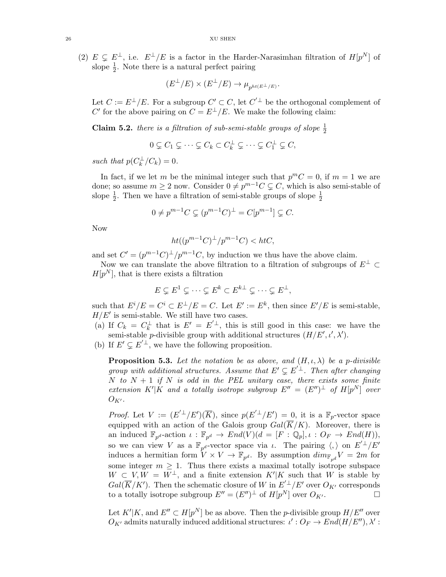(2)  $E \subseteq E^{\perp}$ , i.e.  $E^{\perp}/E$  is a factor in the Harder-Narasimhan filtration of  $H[p^N]$  of slope  $\frac{1}{2}$ . Note there is a natural perfect pairing

$$
(E^{\perp}/E) \times (E^{\perp}/E) \to \mu_{p^{ht(E^{\perp}/E)}}.
$$

Let  $C := E^{\perp}/E$ . For a subgroup  $C' \subset C$ , let  $C'^{\perp}$  be the orthogonal complement of C' for the above pairing on  $C = E^{\perp}/E$ . We make the following claim:

**Claim 5.2.** there is a filtration of sub-semi-stable groups of slope  $\frac{1}{2}$ 

$$
0 \subsetneq C_1 \subsetneq \cdots \subsetneq C_k \subset C_k^{\perp} \subsetneq \cdots \subsetneq C_1^{\perp} \subsetneq C,
$$

such that  $p(C_k^{\perp}/C_k) = 0$ .

In fact, if we let m be the minimal integer such that  $p^mC = 0$ , if  $m = 1$  we are done; so assume  $m \geq 2$  now. Consider  $0 \neq p^{m-1}C \subsetneq C$ , which is also semi-stable of slope  $\frac{1}{2}$ . Then we have a filtration of semi-stable groups of slope  $\frac{1}{2}$ 

$$
0 \neq p^{m-1}C \subsetneq (p^{m-1}C)^{\perp} = C[p^{m-1}] \subsetneq C.
$$

Now

$$
ht((p^{m-1}C)^{\perp}/p^{m-1}C) < htC,
$$

and set  $C' = (p^{m-1}C)^{\perp}/p^{m-1}C$ , by induction we thus have the above claim.

Now we can translate the above filtration to a filtration of subgroups of  $E^{\perp} \subset$  $H[p^N]$ , that is there exists a filtration

$$
E \subsetneq E^1 \subsetneq \cdots \subsetneq E^k \subset E^{k\perp} \subsetneq \cdots \subsetneq E^{\perp},
$$

such that  $E^i/E = C^i \subset E^{\perp}/E = C$ . Let  $E' := E^k$ , then since  $E'/E$  is semi-stable,  $H/E'$  is semi-stable. We still have two cases.

- (a) If  $C_k = C_k^{\perp}$  that is  $E' = E'^{\perp}$ , this is still good in this case: we have the semi-stable *p*-divisible group with additional structures  $(H/E', \iota', \lambda')$ .
- (b) If  $E' \subsetneq E'^{\perp}$ , we have the following proposition.

**Proposition 5.3.** Let the notation be as above, and  $(H, \iota, \lambda)$  be a p-divisible group with additional structures. Assume that  $E' \subsetneq E'^{\perp}$ . Then after changing N to  $N + 1$  if N is odd in the PEL unitary case, there exists some finite extension K'|K and a totally isotrope subgroup  $E'' = (E'')^{\perp}$  of  $H[p^N]$  over  $O_{K'}$ .

*Proof.* Let  $V := (E^{\prime \perp}/E')(\overline{K})$ , since  $p(E^{\prime \perp}/E') = 0$ , it is a  $\mathbb{F}_p$ -vector space equipped with an action of the Galois group  $Gal(\overline{K}/K)$ . Moreover, there is an induced  $\mathbb{F}_{p^d}$ -action  $\iota : \mathbb{F}_{p^d} \to End(V)(d = [F : \mathbb{Q}_p], \iota : O_F \to End(H)),$ so we can view V as a  $\mathbb{F}_{p^d}$ -vector space via *i*. The pairing  $\langle, \rangle$  on  $E'^{\perp}/E'$ induces a hermitian form  $V \times V \to \mathbb{F}_{p^d}$ . By assumption  $\dim_{\mathbb{F}_{p^d}} V = 2m$  for some integer  $m \geq 1$ . Thus there exists a maximal totally isotrope subspace  $W \subset V, W = W^{\perp}$ , and a finite extension  $K'|K$  such that W is stable by  $Gal(\overline{K}/K')$ . Then the schematic closure of W in  $E^{\prime \perp}/E'$  over  $O_{K'}$  corresponds to a totally isotrope subgroup  $E'' = (E'')^{\perp}$  of  $H[p^N]$  over  $O_{K'}$ .

Let  $K'|K$ , and  $E'' \subset H[p^N]$  be as above. Then the *p*-divisible group  $H/E''$  over  $O_{K'}$  admits naturally induced additional structures:  $\iota': O_F \to End(H/E''), \lambda':$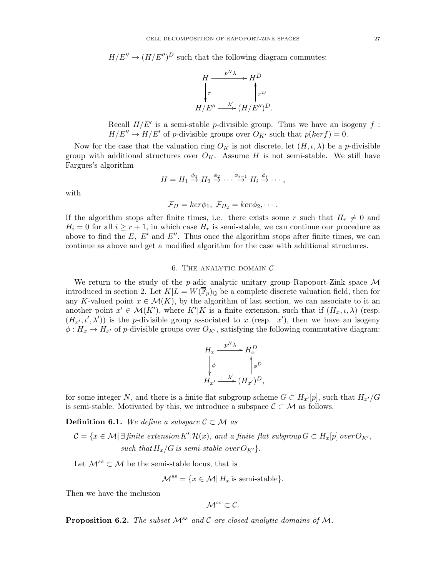$H/E'' \to (H/E'')^D$  such that the following diagram commutes:



Recall  $H/E'$  is a semi-stable p-divisible group. Thus we have an isogeny f:  $H/E'' \to H/E'$  of p-divisible groups over  $O_{K'}$  such that  $p(ker f) = 0$ .

Now for the case that the valuation ring  $O_K$  is not discrete, let  $(H, \iota, \lambda)$  be a p-divisible group with additional structures over  $O_K$ . Assume H is not semi-stable. We still have Fargues's algorithm

$$
H = H_1 \stackrel{\phi_1}{\rightarrow} H_2 \stackrel{\phi_2}{\rightarrow} \cdots \stackrel{\phi_{i-1}}{\rightarrow} H_i \stackrel{\phi_i}{\rightarrow} \cdots,
$$

with

$$
\mathcal{F}_H = ker\phi_1, \ \mathcal{F}_{H_2} = ker\phi_2, \cdots.
$$

If the algorithm stops after finite times, i.e. there exists some r such that  $H_r \neq 0$  and  $H_i = 0$  for all  $i \geq r + 1$ , in which case  $H_r$  is semi-stable, we can continue our procedure as above to find the  $E, E'$  and  $E''$ . Thus once the algorithm stops after finite times, we can continue as above and get a modified algorithm for the case with additional structures.

## 6. THE ANALYTIC DOMAIN  $\mathcal C$

<span id="page-26-0"></span>We return to the study of the  $p$ -adic analytic unitary group Rapoport-Zink space  $\mathcal M$ introduced in section 2. Let  $K|L = W(\overline{\mathbb{F}}_p)_{\mathbb{Q}}$  be a complete discrete valuation field, then for any K-valued point  $x \in \mathcal{M}(K)$ , by the algorithm of last section, we can associate to it an another point  $x' \in \mathcal{M}(K')$ , where  $K'|K$  is a finite extension, such that if  $(H_x, \iota, \lambda)$  (resp.  $(H_{x'}, \iota', \lambda')$  is the *p*-divisible group associated to x (resp. x'), then we have an isogeny  $\phi: H_x \to H_{x'}$  of p-divisible groups over  $O_{K'}$ , satisfying the following commutative diagram:

$$
H_x \xrightarrow{p^N \lambda} H_x^D
$$
  
\n
$$
\downarrow \phi \qquad \qquad \downarrow \phi^D
$$
  
\n
$$
H_{x'} \xrightarrow{\lambda'} (H_{x'})^D,
$$

for some integer N, and there is a finite flat subgroup scheme  $G \subset H_{x'}[p]$ , such that  $H_{x'}/G$ is semi-stable. Motivated by this, we introduce a subspace  $\mathcal{C} \subset \mathcal{M}$  as follows.

**Definition 6.1.** We define a subspace  $C \subset M$  as

 $\mathcal{C} = \{x \in \mathcal{M} | \exists \text{ finite extension } K' | \mathcal{H}(x), \text{ and a finite flat subgroup } G \subset H_x[p] \text{ over } O_{K'},\}$ such that  $H_x/G$  is semi-stable over  $O_{K'}$ .

Let  $\mathcal{M}^{ss} \subset \mathcal{M}$  be the semi-stable locus, that is

$$
\mathcal{M}^{ss} = \{ x \in \mathcal{M} | H_x \text{ is semi-stable} \}.
$$

Then we have the inclusion

$$
\mathcal{M}^{ss}\subset\mathcal{C}.
$$

**Proposition 6.2.** The subset  $\mathcal{M}^{ss}$  and  $\mathcal{C}$  are closed analytic domains of  $\mathcal{M}$ .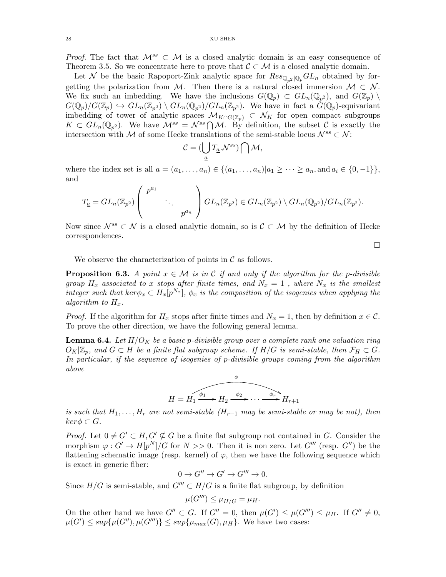*Proof.* The fact that  $\mathcal{M}^{ss} \subset \mathcal{M}$  is a closed analytic domain is an easy consequence of Theorem 3.5. So we concentrate here to prove that  $\mathcal{C} \subset \mathcal{M}$  is a closed analytic domain.

Let N be the basic Rapoport-Zink analytic space for  $Res_{\mathbb{Q}_2 | \mathbb{Q}_p} GL_n$  obtained by forgetting the polarization from M. Then there is a natural closed immersion  $M \subset \mathcal{N}$ . We fix such an imbedding. We have the inclusions  $G(\mathbb{Q}_p) \subset GL_n(\mathbb{Q}_{p^2})$ , and  $G(\mathbb{Z}_p) \setminus$  $G(\mathbb{Q}_p)/G(\mathbb{Z}_p) \hookrightarrow GL_n(\mathbb{Z}_{p^2}) \setminus GL_n(\mathbb{Q}_{p^2})/GL_n(\mathbb{Z}_{p^2})$ . We have in fact a  $G(\mathbb{Q}_p)$ -equivariant imbedding of tower of analytic spaces  $\mathcal{M}_{K\cap G(\mathbb{Z}_p)}\subset \mathcal{N}_K$  for open compact subgroups  $K \subset GL_n(\mathbb{Q}_{p^2})$ . We have  $\mathcal{M}^{ss} = \mathcal{N}^{ss} \cap \mathcal{M}$ . By definition, the subset C is exactly the intersection with M of some Hecke translations of the semi-stable locus  $\mathcal{N}^{ss} \subset \mathcal{N}$ :

$$
\mathcal{C} = (\bigcup_{\underline{a}} T_{\underline{a}} \mathcal{N}^{ss}) \bigcap \mathcal{M},
$$

where the index set is all  $a = (a_1, ..., a_n) \in \{(a_1, ..., a_n)|a_1 \geq ... \geq a_n, \text{and } a_i \in \{0, -1\}\},\$ and

$$
T_{\underline{a}} = GL_n(\mathbb{Z}_{p^2}) \left( \begin{array}{c} p^{a_1} & \\ & \ddots & \\ & & p^{a_n} \end{array} \right) GL_n(\mathbb{Z}_{p^2}) \in GL_n(\mathbb{Z}_{p^2}) \setminus GL_n(\mathbb{Q}_{p^2})/GL_n(\mathbb{Z}_{p^2}).
$$

Now since  $\mathcal{N}^{ss} \subset \mathcal{N}$  is a closed analytic domain, so is  $\mathcal{C} \subset \mathcal{M}$  by the definition of Hecke correspondences.

 $\Box$ 

We observe the characterization of points in  $\mathcal C$  as follows.

**Proposition 6.3.** A point  $x \in \mathcal{M}$  is in C if and only if the algorithm for the p-divisible group  $H_x$  associated to x stops after finite times, and  $N_x = 1$ , where  $N_x$  is the smallest integer such that  $ker \phi_x \subset H_x[p^{N_x}]$ ,  $\phi_x$  is the composition of the isogenies when applying the algorithm to  $H_x$ .

*Proof.* If the algorithm for  $H_x$  stops after finite times and  $N_x = 1$ , then by definition  $x \in \mathcal{C}$ . To prove the other direction, we have the following general lemma.

**Lemma 6.4.** Let  $H/O_K$  be a basic p-divisible group over a complete rank one valuation ring  $O_K|\mathbb{Z}_p$ , and  $G \subset H$  be a finite flat subgroup scheme. If  $H/G$  is semi-stable, then  $\mathcal{F}_H \subset G$ . In particular, if the sequence of isogenies of p-divisible groups coming from the algorithm above



is such that  $H_1, \ldots, H_r$  are not semi-stable  $(H_{r+1}$  may be semi-stable or may be not), then  $ker \phi \subset G$ .

*Proof.* Let  $0 \neq G' \subset H, G' \nsubseteq G$  be a finite flat subgroup not contained in G. Consider the morphism  $\varphi: G' \to H[p^N]/G$  for  $N >> 0$ . Then it is non zero. Let  $G'''$  (resp.  $G'$ ) be the flattening schematic image (resp. kernel) of  $\varphi$ , then we have the following sequence which is exact in generic fiber:

 $0 \to G'' \to G' \to G''' \to 0.$ 

Since  $H/G$  is semi-stable, and  $G''' \subset H/G$  is a finite flat subgroup, by definition

$$
\mu(G''') \leq \mu_{H/G} = \mu_H.
$$

On the other hand we have  $G'' \subset G$ . If  $G'' = 0$ , then  $\mu(G') \leq \mu(G'') \leq \mu_H$ . If  $G'' \neq 0$ ,  $\mu(G') \leq sup\{\mu(G''), \mu(G''')\} \leq sup\{\mu_{max}(G), \mu_H\}$ . We have two cases: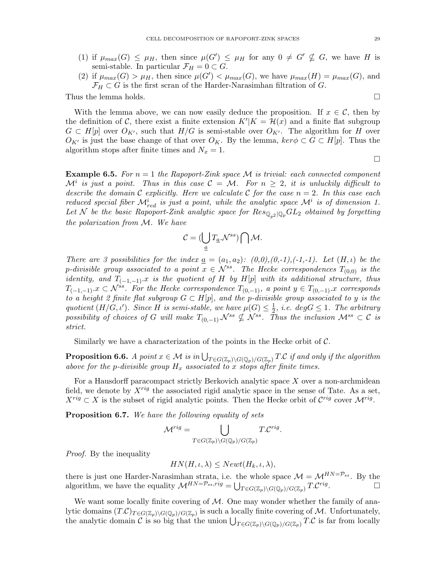- (1) if  $\mu_{max}(G) \leq \mu_H$ , then since  $\mu(G') \leq \mu_H$  for any  $0 \neq G' \nsubseteq G$ , we have H is semi-stable. In particular  $\mathcal{F}_H = 0 \subset G$ .
- (2) if  $\mu_{max}(G) > \mu_H$ , then since  $\mu(G') < \mu_{max}(G)$ , we have  $\mu_{max}(H) = \mu_{max}(G)$ , and  $\mathcal{F}_H \subset G$  is the first scran of the Harder-Narasimhan filtration of G.

Thus the lemma holds.  $\square$ 

With the lemma above, we can now easily deduce the proposition. If  $x \in \mathcal{C}$ , then by the definition of C, there exist a finite extension  $K'|K = \mathcal{H}(x)$  and a finite flat subgroup  $G \subset H[p]$  over  $O_{K'}$ , such that  $H/G$  is semi-stable over  $O_{K'}$ . The algorithm for H over  $O_{K'}$  is just the base change of that over  $O_K$ . By the lemma,  $\text{ker } \phi \subset G \subset H[p]$ . Thus the algorithm stops after finite times and  $N_x = 1$ .

**Example 6.5.** For  $n = 1$  the Rapoport-Zink space M is trivial: each connected component  $\mathcal{M}^i$  is just a point. Thus in this case  $\mathcal{C} = \mathcal{M}$ . For  $n \geq 2$ , it is unluckily difficult to describe the domain C explicitly. Here we calculate C for the case  $n = 2$ . In this case each reduced special fiber  $\mathcal{M}^i_{red}$  is just a point, while the analytic space  $\mathcal{M}^i$  is of dimension 1. Let N be the basic Rapoport-Zink analytic space for  $Res_{\mathbb{Q}_{n^2}|\mathbb{Q}_p}GL_2$  obtained by forgetting the polarization from M. We have

$$
\mathcal{C} = (\bigcup_{\underline{a}} T_{\underline{a}} \mathcal{N}^{ss}) \bigcap \mathcal{M}.
$$

There are 3 possibilities for the index  $\underline{a} = (a_1, a_2)$ :  $(0,0), (0,-1), (-1,-1)$ . Let  $(H, \iota)$  be the p-divisible group associated to a point  $x \in \mathcal{N}^{ss}$ . The Hecke correspondences  $T_{(0,0)}$  is the identity, and  $T_{(-1,-1)}$ .x is the quotient of H by H[p] with its additional structure, thus  $T_{(-1,-1)}$ .x ⊂ N<sup>ss</sup>. For the Hecke correspondence  $T_{(0,-1)}$ , a point  $y \in T_{(0,-1)}$ .x corresponds to a height 2 finite flat subgroup  $G \subset H[p]$ , and the p-divisible group associated to y is the quotient  $(H/G, \iota')$ . Since H is semi-stable, we have  $\mu(G) \leq \frac{1}{2}$ , i.e.  $deg G \leq 1$ . The arbitrary possibility of choices of G will make  $T_{(0,-1)} \mathcal{N}^{ss} \nsubseteq \mathcal{N}^{ss}$ . Thus the inclusion  $\mathcal{M}^{ss} \subset \mathcal{C}$  is possibility of choices of G will make  $T_{(0,-1)} \mathcal{N}^{ss} \nsubseteq \mathcal{N}^{ss}$ . Thus the inclusion  $\mathcal{M}^{ss} \subset \mathcal{C}$  strict.

Similarly we have a characterization of the points in the Hecke orbit of  $\mathcal{C}$ .

**Proposition 6.6.** A point  $x \in \mathcal{M}$  is in  $\bigcup_{T \in G(\mathbb{Z}_p) \backslash G(\mathbb{Q}_p)/G(\mathbb{Z}_p)} T.C$  if and only if the algorithm above for the p-divisible group  $H_x$  associated to x stops after finite times.

For a Hausdorff paracompact strictly Berkovich analytic space  $X$  over a non-archmidean field, we denote by  $X^{rig}$  the associated rigid analytic space in the sense of Tate. As a set,  $X^{rig} \subset X$  is the subset of rigid analytic points. Then the Hecke orbit of  $\mathcal{C}^{rig}$  cover  $\mathcal{M}^{rig}$ .

**Proposition 6.7.** We have the following equality of sets

$$
\mathcal{M}^{rig} = \bigcup_{T \in G(\mathbb{Z}_p) \backslash G(\mathbb{Q}_p) / G(\mathbb{Z}_p)} T.C^{rig}.
$$

Proof. By the inequality

$$
HN(H,\iota,\lambda) \leq Newt(H_k,\iota,\lambda),
$$

there is just one Harder-Narasimhan strata, i.e. the whole space  $\mathcal{M} = \mathcal{M}^{HN=\mathcal{P}_{ss}}$ . By the algorithm, we have the equality  $\mathcal{M}^{HN=\mathcal{P}_{ss},rig} = \bigcup_{T \in G(\mathbb{Z}_p) \backslash G(\mathbb{Q}_p)/G(\mathbb{Z}_p)} T \cdot \mathcal{C}^{rig}$ . — П

We want some locally finite covering of  $M$ . One may wonder whether the family of analytic domains  $(T.C)_{T\in G(\mathbb{Z}_p)\backslash G(\mathbb{Q}_p)/G(\mathbb{Z}_p)}$  is such a locally finite covering of M. Unfortunately, the analytic domain C is so big that the union  $\bigcup_{T\in G(\mathbb{Z}_p)\backslash G(\mathbb{Q}_p)/G(\mathbb{Z}_p)} T.C$  is far from locally

 $\Box$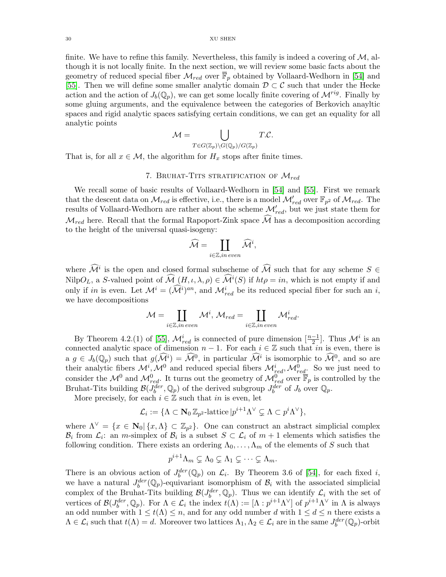finite. We have to refine this family. Nevertheless, this family is indeed a covering of  $\mathcal{M}$ , although it is not locally finite. In the next section, we will review some basic facts about the geometry of reduced special fiber  $\mathcal{M}_{red}$  over  $\overline{\mathbb{F}}_p$  obtained by Vollaard-Wedhorn in [\[54\]](#page-57-6) and [\[55\]](#page-57-0). Then we will define some smaller analytic domain  $\mathcal{D} \subset \mathcal{C}$  such that under the Hecke action and the action of  $J_b(\mathbb{Q}_p)$ , we can get some locally finite covering of  $\mathcal{M}^{rig}$ . Finally by some gluing arguments, and the equivalence between the categories of Berkovich anayltic spaces and rigid analytic spaces satisfying certain conditions, we can get an equality for all analytic points

$$
\mathcal{M} = \bigcup_{T \in G(\mathbb{Z}_p) \backslash G(\mathbb{Q}_p)/G(\mathbb{Z}_p)} T.C.
$$

That is, for all  $x \in \mathcal{M}$ , the algorithm for  $H_x$  stops after finite times.

# 7. BRUHAT-TITS STRATIFICATION OF  $\mathcal{M}_{red}$

<span id="page-29-0"></span>We recall some of basic results of Vollaard-Wedhorn in [\[54\]](#page-57-6) and [\[55\]](#page-57-0). First we remark that the descent data on  $\mathcal{M}_{red}$  is effective, i.e., there is a model  $\mathcal{M}_{red}'$  over  $\mathbb{F}_{p^2}$  of  $\mathcal{M}_{red}$ . The results of Vollaard-Wedhorn are rather about the scheme  $\mathcal{M}'_{red}$ , but we just state them for  $\mathcal{M}_{red}$  here. Recall that the formal Rapoport-Zink space  $\mathcal{M}$  has a decomposition according to the height of the universal quasi-isogeny:

$$
\widehat{\mathcal{M}} = \coprod_{i \in \mathbb{Z}, in\ even} \widehat{\mathcal{M}}^i,
$$

where  $\widehat{\mathcal{M}}^i$  is the open and closed formal subscheme of  $\widehat{\mathcal{M}}$  such that for any scheme  $S \in$ NilpO<sub>L</sub>, a S-valued point of  $\mathcal{M}(H,\iota,\lambda,\rho) \in \mathcal{M}^i(S)$  if  $ht\rho = in$ , which is not empty if and only if in is even. Let  $\mathcal{M}^i = (\widehat{\mathcal{M}}^i)^{an}$ , and  $\mathcal{M}^i_{red}$  be its reduced special fiber for such an i, we have decompositions

$$
\mathcal{M} = \coprod_{i \in \mathbb{Z}, in\ even} \mathcal{M}^i,\ \mathcal{M}_{red} = \coprod_{i \in \mathbb{Z}, in\ even} \mathcal{M}^i_{red}.
$$

By Theorem 4.2.(1) of [\[55\]](#page-57-0),  $\mathcal{M}^i_{red}$  is connected of pure dimension  $\left[\frac{n-1}{2}\right]$ . Thus  $\mathcal{M}^i$  is an connected analytic space of dimension  $n-1$ . For each  $i \in \mathbb{Z}$  such that in is even, there is  $a \, g \in J_b(\mathbb{Q}_p)$  such that  $g(\widehat{\mathcal{M}}^i) = \widehat{\mathcal{M}}^0$ , in particular  $\widehat{\mathcal{M}}^i$  is isomorphic to  $\widehat{\mathcal{M}}^0$ , and so are their analytic fibers  $\mathcal{M}^i$ ,  $\mathcal{M}^0$  and reduced special fibers  $\mathcal{M}^i_{red}$ ,  $\mathcal{M}^0_{red}$ . So we just need to consider the  $\mathcal{M}^0$  and  $\mathcal{M}^0_{red}$ . It turns out the geometry of  $\mathcal{M}^0_{red}$  over  $\overline{\mathbb{F}}_p$  is controlled by the Bruhat-Tits building  $\mathcal{B}(J_b^{der}, \mathbb{Q}_p)$  of the derived subgroup  $J_b^{der}$  of  $J_b$  over  $\mathbb{Q}_p$ .

More precisely, for each  $i \in \mathbb{Z}$  such that in is even, let

$$
\mathcal{L}_i := \{ \Lambda \subset \mathbf{N}_0 \, \mathbb{Z}_{p^2} \text{-lattice} \, | p^{i+1} \Lambda^\vee \subsetneq \Lambda \subset p^i \Lambda^\vee \},
$$

where  $\Lambda^{\vee} = \{x \in \mathbb{N}_0 | \{x, \Lambda\} \subset \mathbb{Z}_{p^2}\}.$  One can construct an abstract simplicial complex  $\mathcal{B}_i$  from  $\mathcal{L}_i$ : an *m*-simplex of  $\mathcal{B}_i$  is a subset  $S \subset \mathcal{L}_i$  of  $m+1$  elements which satisfies the following condition. There exists an ordering  $\Lambda_0, \ldots, \Lambda_m$  of the elements of S such that

$$
p^{i+1}\Lambda_m\subsetneq \Lambda_0\subsetneq \Lambda_1\subsetneq \cdots \subsetneq \Lambda_m.
$$

There is an obvious action of  $J_b^{der}(\mathbb{Q}_p)$  on  $\mathcal{L}_i$ . By Theorem 3.6 of [\[54\]](#page-57-6), for each fixed i, we have a natural  $J_b^{der}(\mathbb{Q}_p)$ -equivariant isomorphism of  $\mathcal{B}_i$  with the associated simplicial complex of the Bruhat-Tits building  $\mathcal{B}(J_b^{der}, \mathbb{Q}_p)$ . Thus we can identify  $\mathcal{L}_i$  with the set of vertices of  $\mathcal{B}(J_{b}^{der}, \mathbb{Q}_{p})$ . For  $\Lambda \in \mathcal{L}_{i}$  the index  $t(\Lambda) := [\Lambda : p^{i+1}\Lambda^{\vee}]$  of  $p^{i+1}\Lambda^{\vee}$  in  $\Lambda$  is always an odd number with  $1 \leq t(\Lambda) \leq n$ , and for any odd number d with  $1 \leq d \leq n$  there exists a  $\Lambda \in \mathcal{L}_i$  such that  $t(\Lambda) = d$ . Moreover two lattices  $\Lambda_1, \Lambda_2 \in \mathcal{L}_i$  are in the same  $J_b^{der}(\mathbb{Q}_p)$ -orbit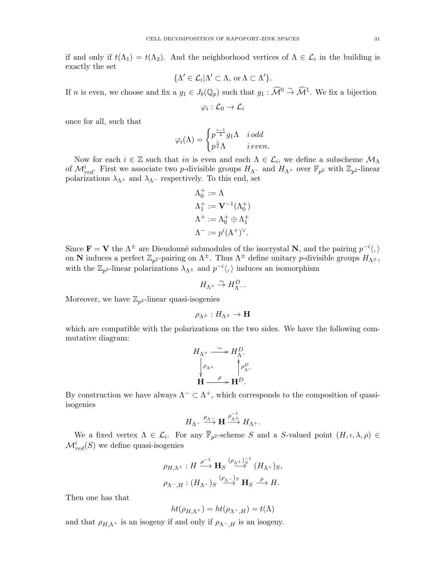if and only if  $t(\Lambda_1) = t(\Lambda_2)$ . And the neighborhood vertices of  $\Lambda \in \mathcal{L}_i$  in the building is exactly the set

$$
\{\Lambda' \in \mathcal{L}_i | \Lambda' \subset \Lambda, \text{ or } \Lambda \subset \Lambda'\}.
$$

If n is even, we choose and fix a  $g_1 \in J_b(\mathbb{Q}_p)$  such that  $g_1 : \widehat{\mathcal{M}}^0 \overset{\sim}{\to} \widehat{\mathcal{M}}^1$ . We fix a bijection

$$
\varphi_i:\mathcal{L}_0\to\mathcal{L}_i
$$

once for all, such that

$$
\varphi_i(\Lambda) = \begin{cases} p^{\frac{i-1}{2}} g_1 \Lambda & i \, odd \\ p^{\frac{i}{2}} \Lambda & i \, even. \end{cases}
$$

Now for each  $i \in \mathbb{Z}$  such that in is even and each  $\Lambda \in \mathcal{L}_i$ , we define a subscheme  $\mathcal{M}_{\Lambda}$ of  $\mathcal{M}^i_{red}$ . First we associate two p-divisible groups  $H_{\Lambda}$ - and  $H_{\Lambda}$ + over  $\mathbb{F}_{p^2}$  with  $\mathbb{Z}_{p^2}$ -linear polarizations  $\lambda_{\Lambda^+}$  and  $\lambda_{\Lambda^-}$  respectively. To this end, set

$$
\Lambda_0^+ := \Lambda
$$
  
\n
$$
\Lambda_1^+ := \mathbf{V}^{-1}(\Lambda_0^+)
$$
  
\n
$$
\Lambda^+ := \Lambda_0^+ \oplus \Lambda_1^+
$$
  
\n
$$
\Lambda^- := p^i (\Lambda^+)^{\vee}.
$$

Since  $\mathbf{F} = \mathbf{V}$  the  $\Lambda^{\pm}$  are Dieudonné submodules of the isocrystal N, and the pairing  $p^{-i}\langle, \rangle$ on N induces a perfect  $\mathbb{Z}_{p^2}$ -pairing on  $\Lambda^{\pm}$ . Thus  $\Lambda^{\pm}$  define unitary p-divisible groups  $H_{\Lambda^{\pm}}$ , with the  $\mathbb{Z}_{p^2}$ -linear polarizations  $\lambda_{\Lambda^{\pm}}$  and  $p^{-i}\langle, \rangle$  induces an isomorphism

$$
H_{\Lambda^+}\stackrel{\sim}{\to} H_{\Lambda^-}^D.
$$

Moreover, we have  $\mathbb{Z}_{p^2}$ -linear quasi-isogenies

$$
\rho_{\Lambda^{\pm}}:H_{\Lambda^{\pm}}\to\mathbf{H}
$$

which are compatible with the polarizations on the two sides. We have the following commutative diagram:

$$
H_{\Lambda^+} \xrightarrow{\sim} H_{\Lambda^-}^D
$$

$$
\downarrow^{\rho_{\Lambda^+}} \qquad \downarrow^{\rho_{\Lambda^-}} \qquad H \xrightarrow{\rho} H^D.
$$

By construction we have always  $\Lambda^- \subset \Lambda^+$ , which corresponds to the composition of quasiisogenies

$$
H_{\Lambda^-}\xrightarrow{\rho_{\Lambda^-}} \mathbf{H}\xrightarrow{\rho_{\Lambda^+}^{-1}} H_{\Lambda^+}.
$$

We a fixed vertex  $\Lambda \in \mathcal{L}_i$ . For any  $\mathbb{F}_{p^2}$ -scheme S and a S-valued point  $(H, \iota, \lambda, \rho) \in$  $\mathcal{M}^i_{red}(S)$  we define quasi-isogenies

$$
\begin{aligned} &\rho_{H,\Lambda^+}:H \xrightarrow{\rho^{-1}} \mathbf H_S \xrightarrow{(\rho_{\Lambda^+})_S^{-1}} (H_{\Lambda^+})_S,\\ &\rho_{\Lambda^- ,H}: (H_{\Lambda^-})_S \xrightarrow{(\rho_{\Lambda^-})_S} \mathbf H_S \xrightarrow{\rho} H. \end{aligned}
$$

Then one has that

$$
ht(\rho_{H,\Lambda^{+}})=ht(\rho_{\Lambda^{-},H})=t(\Lambda)
$$

and that  $\rho_{H,\Lambda^+}$  is an isogeny if and only if  $\rho_{\Lambda^-},$  is an isogeny.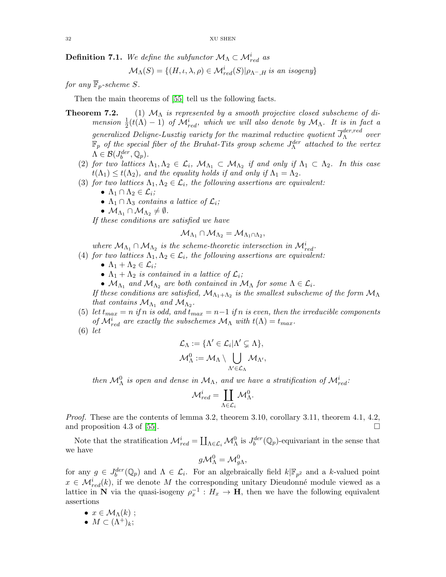**Definition 7.1.** We define the subfunctor  $\mathcal{M}_{\Lambda} \subset \mathcal{M}_{red}^i$  as

$$
\mathcal{M}_{\Lambda}(S) = \{(H, \iota, \lambda, \rho) \in \mathcal{M}_{red}^{i}(S)| \rho_{\Lambda^{-}, H} \text{ is an isogeny}\}
$$

for any  $\overline{\mathbb{F}}_p$ -scheme S.

Then the main theorems of [\[55\]](#page-57-0) tell us the following facts.

- **Theorem 7.2.** (1)  $M_A$  is represented by a smooth projective closed subscheme of dimension  $\frac{1}{2}(t(\Lambda) - 1)$  of  $\mathcal{M}_{red}^i$ , which we will also denote by  $\mathcal{M}_{\Lambda}$ . It is in fact a generalized Deligne-Lusztig variety for the maximal reductive quotient  $\overline{J}^{der,red}_{\Lambda}$  over  $\mathbb{F}_p$  of the special fiber of the Bruhat-Tits group scheme  $J_{\Lambda}^{der}$  attached to the vertex  $\Lambda \in \mathcal{B}(J^{der}_b, \mathbb{Q}_p).$ 
	- (2) for two lattices  $\Lambda_1, \Lambda_2 \in \mathcal{L}_i$ ,  $\mathcal{M}_{\Lambda_1} \subset \mathcal{M}_{\Lambda_2}$  if and only if  $\Lambda_1 \subset \Lambda_2$ . In this case  $t(\Lambda_1) \leq t(\Lambda_2)$ , and the equality holds if and only if  $\Lambda_1 = \Lambda_2$ .
	- (3) for two lattices  $\Lambda_1, \Lambda_2 \in \mathcal{L}_i$ , the following assertions are equivalent:
		- $\Lambda_1 \cap \Lambda_2 \in \mathcal{L}_i$ ;
		- $\Lambda_1 \cap \Lambda_3$  contains a lattice of  $\mathcal{L}_i$ ;
		- $\bullet$   $\mathcal{M}_{\Lambda_1} \cap \mathcal{M}_{\Lambda_2} \neq \emptyset$ .

If these conditions are satisfied we have

$$
\mathcal{M}_{\Lambda_1} \cap \mathcal{M}_{\Lambda_2} = \mathcal{M}_{\Lambda_1 \cap \Lambda_2},
$$

where  $\mathcal{M}_{\Lambda_1} \cap \mathcal{M}_{\Lambda_2}$  is the scheme-theoretic intersection in  $\mathcal{M}^i_{red}$ .

(4) for two lattices  $\Lambda_1, \Lambda_2 \in \mathcal{L}_i$ , the following assertions are equivalent:

- $\bullet \ \Lambda_1 + \Lambda_2 \in \mathcal{L}_i;$
- $\Lambda_1 + \Lambda_2$  is contained in a lattice of  $\mathcal{L}_i$ ;
- $\mathcal{M}_{\Lambda_1}$  and  $\mathcal{M}_{\Lambda_2}$  are both contained in  $\mathcal{M}_{\Lambda}$  for some  $\Lambda \in \mathcal{L}_i$ .

If these conditions are satisfied,  $\mathcal{M}_{\Lambda_1+\Lambda_2}$  is the smallest subscheme of the form  $\mathcal{M}_{\Lambda}$ that contains  $\mathcal{M}_{\Lambda_1}$  and  $\mathcal{M}_{\Lambda_2}$ .

- (5) let  $t_{max} = n$  if n is odd, and  $t_{max} = n-1$  if n is even, then the irreducible components of  $\mathcal{M}^i_{red}$  are exactly the subschemes  $\mathcal{M}_{\Lambda}$  with  $t(\Lambda) = t_{max}$ .
- (6) let

$$
\mathcal{L}_{\Lambda} := \{ \Lambda' \in \mathcal{L}_i | \Lambda' \subsetneq \Lambda \},
$$
  

$$
\mathcal{M}_{\Lambda}^0 := \mathcal{M}_{\Lambda} \setminus \bigcup_{\Lambda' \in \mathcal{L}_{\Lambda}} \mathcal{M}_{\Lambda'},
$$

then  $\mathcal{M}_{\Lambda}^{0}$  is open and dense in  $\mathcal{M}_{\Lambda}$ , and we have a stratification of  $\mathcal{M}_{red}^{i}$ :

$$
\mathcal{M}^i_{red} = \coprod_{\Lambda \in \mathcal{L}_i} \mathcal{M}^0_{\Lambda}.
$$

Proof. These are the contents of lemma 3.2, theorem 3.10, corollary 3.11, theorem 4.1, 4.2, and proposition 4.3 of [\[55\]](#page-57-0).

Note that the stratification  $\mathcal{M}^i_{red} = \coprod_{\Lambda \in \mathcal{L}_i} \mathcal{M}^0_{\Lambda}$  is  $J^{der}_{b}(\mathbb{Q}_p)$ -equivariant in the sense that we have

$$
g\mathcal{M}_{\Lambda}^0=\mathcal{M}_{g\Lambda}^0,
$$

for any  $g \in J_b^{der}(\mathbb{Q}_p)$  and  $\Lambda \in \mathcal{L}_i$ . For an algebraically field  $k|\mathbb{F}_{p^2}$  and a k-valued point  $x \in \mathcal{M}_{red}^{i}(k)$ , if we denote M the corresponding unitary Dieudonné module viewed as a lattice in N via the quasi-isogeny  $\rho_x^{-1}: H_x \to \mathbf{H}$ , then we have the following equivalent assertions

- $x \in M_\Lambda(k)$ ;
- $M \subset (\Lambda^+)_k$ ;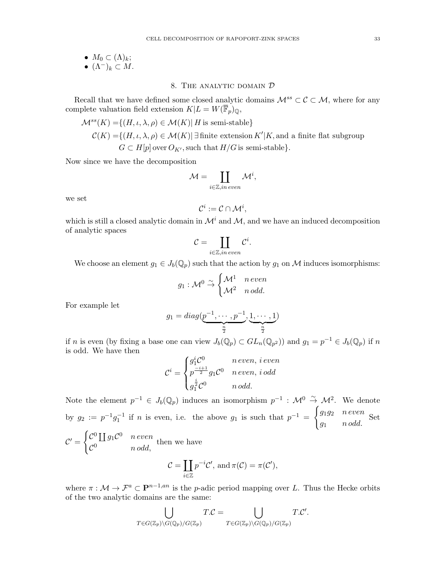•  $M_0 \subset (\Lambda)_k;$ •  $(\Lambda^-)_k \subset M$ .

# 8. The analytic domain D

<span id="page-32-0"></span>Recall that we have defined some closed analytic domains  $\mathcal{M}^{ss} \subset \mathcal{C} \subset \mathcal{M}$ , where for any complete valuation field extension  $K|L = W(\overline{\mathbb{F}}_p)_{\mathbb{Q}},$ 

$$
\mathcal{M}^{ss}(K) = \{(H, \iota, \lambda, \rho) \in \mathcal{M}(K) | H \text{ is semi-stable}\}
$$
  

$$
\mathcal{C}(K) = \{(H, \iota, \lambda, \rho) \in \mathcal{M}(K) | \exists \text{ finite extension } K'|K, \text{and a finite flat subgroup } G \subset H[p] \text{ over } O_{K'}, \text{ such that } H/G \text{ is semi-stable}\}.
$$

Now since we have the decomposition

$$
\mathcal{M} = \coprod_{i \in \mathbb{Z}, in\ even} \mathcal{M}^i,
$$

we set

$$
\mathcal{C}^i := \mathcal{C} \cap \mathcal{M}^i,
$$

which is still a closed analytic domain in  $\mathcal{M}^i$  and  $\mathcal{M}$ , and we have an induced decomposition of analytic spaces

$$
\mathcal{C} = \coprod_{i \in \mathbb{Z}, in\ even} \mathcal{C}^i.
$$

We choose an element  $g_1 \in J_b(\mathbb{Q}_p)$  such that the action by  $g_1$  on M induces isomorphisms:

$$
g_1: \mathcal{M}^0 \overset{\sim}{\rightarrow} \begin{cases} \mathcal{M}^1 & n\, even \\ \mathcal{M}^2 & n\, odd. \end{cases}
$$

For example let

$$
g_1 = diag(\underbrace{p^{-1}, \cdots, p^{-1}}_{\frac{n}{2}}, \underbrace{1, \cdots, 1}_{\frac{n}{2}})
$$

if n is even (by fixing a base one can view  $J_b(\mathbb{Q}_p) \subset GL_n(\mathbb{Q}_{p^2})$ ) and  $g_1 = p^{-1} \in J_b(\mathbb{Q}_p)$  if n is odd. We have then

$$
\mathcal{C}^i = \begin{cases} g_1^i \mathcal{C}^0 & n\, even, \, i\, even \\ p^{\frac{-i+1}{2}} g_1 \mathcal{C}^0 & n\, even, \, i\, odd \\ g_1^{\frac{i}{2}} \mathcal{C}^0 & n\, odd. \end{cases}
$$

Note the element  $p^{-1} \in J_b(\mathbb{Q}_p)$  induces an isomorphism  $p^{-1} : \mathcal{M}^0 \stackrel{\sim}{\to} \mathcal{M}^2$ . We denote by  $g_2 := p^{-1}g_1^{-1}$  if *n* is even, i.e. the above  $g_1$  is such that  $p^{-1} =$  $\int g_1 g_2$  n even  $g_1$  n odd. Set

$$
\mathcal{C}' = \begin{cases} \mathcal{C}^0 \coprod g_1 \mathcal{C}^0 & n \text{ even} \\ \mathcal{C}^0 & n \text{ odd}, \end{cases}
$$
 then we have
$$
\mathcal{C} = \coprod p^{-i} \mathcal{C}
$$

$$
\mathcal{C} = \coprod_{i \in \mathbb{Z}} p^{-i} \mathcal{C}', \text{ and } \pi(\mathcal{C}) = \pi(\mathcal{C}'),
$$

where  $\pi : \mathcal{M} \to \mathcal{F}^a \subset \mathbf{P}^{n-1,an}$  is the p-adic period mapping over L. Thus the Hecke orbits of the two analytic domains are the same:

$$
\bigcup_{T\in G(\mathbb{Z}_p)\backslash G(\mathbb{Q}_p)/G(\mathbb{Z}_p)} T.C = \bigcup_{T\in G(\mathbb{Z}_p)\backslash G(\mathbb{Q}_p)/G(\mathbb{Z}_p)} T.C'.
$$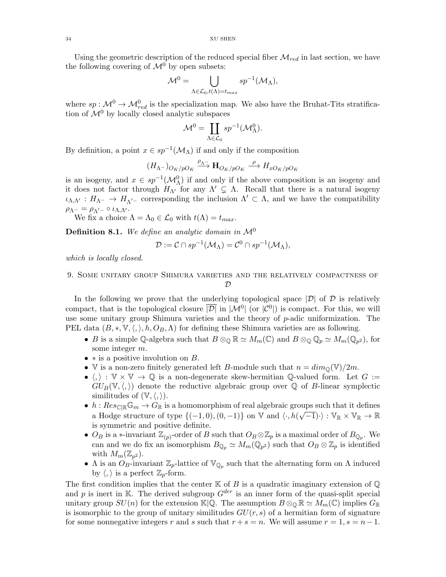34 XU SHEN

Using the geometric description of the reduced special fiber  $\mathcal{M}_{red}$  in last section, we have the following covering of  $\mathcal{M}^0$  by open subsets:

$$
\mathcal{M}^0 = \bigcup_{\Lambda \in \mathcal{L}_0, t(\Lambda) = t_{max}} s p^{-1}(\mathcal{M}_{\Lambda}),
$$

where  $sp: \mathcal{M}^0 \to \mathcal{M}_{red}^0$  is the specialization map. We also have the Bruhat-Tits stratification of  $\mathcal{M}^0$  by locally closed analytic subspaces

$$
\mathcal{M}^0 = \coprod_{\Lambda \in \mathcal{L}_0} s p^{-1} (\mathcal{M}_{\Lambda}^0).
$$

By definition, a point  $x \in sp^{-1}(\mathcal{M}_\Lambda)$  if and only if the composition

$$
(H_{\Lambda^-})_{O_K/pO_K} \xrightarrow{\rho_{\Lambda^-}} \mathbf{H}_{O_K/pO_K} \xrightarrow{\rho} H_{xO_K/pO_K}
$$

is an isogeny, and  $x \in sp^{-1}(\mathcal{M}_{\Lambda}^0)$  if and only if the above composition is an isogeny and it does not factor through  $H_{\Lambda'}$  for any  $\Lambda' \subsetneq \Lambda$ . Recall that there is a natural isogeny  $\iota_{\Lambda,\Lambda'}: H_{\Lambda^-} \to H_{\Lambda'^-}$  corresponding the inclusion  $\Lambda' \subset \Lambda$ , and we have the compatibility  $\rho_{\Lambda^-} = \rho_{\Lambda'^-} \circ \iota_{\Lambda,\Lambda'}.$ 

We fix a choice  $\Lambda = \Lambda_0 \in \mathcal{L}_0$  with  $t(\Lambda) = t_{max}$ .

**Definition 8.1.** We define an analytic domain in  $\mathcal{M}^0$ 

$$
\mathcal{D} := \mathcal{C} \cap sp^{-1}(\mathcal{M}_{\Lambda}) = \mathcal{C}^{0} \cap sp^{-1}(\mathcal{M}_{\Lambda}),
$$

which is locally closed.

# <span id="page-33-0"></span>9. Some unitary group Shimura varieties and the relatively compactness of  ${\cal D}$

In the following we prove that the underlying topological space  $|\mathcal{D}|$  of  $\mathcal D$  is relatively compact, that is the topological closure  $|\overline{\mathcal{D}}|$  in  $|\mathcal{M}^0|$  (or  $|\mathcal{C}^0|$ ) is compact. For this, we will use some unitary group Shimura varieties and the theory of  $p$ -adic uniformization. The PEL data  $(B,*,\mathbb{V},\langle,\rangle,h,O_B,\Lambda)$  for defining these Shimura varieties are as following.

- B is a simple Q-algebra such that  $B \otimes_{\mathbb{Q}} \mathbb{R} \simeq M_m(\mathbb{C})$  and  $B \otimes_{\mathbb{Q}} \mathbb{Q}_p \simeq M_m(\mathbb{Q}_{p^2})$ , for some integer m.
- $\ast$  is a positive involution on B.
- V is a non-zero finitely generated left B-module such that  $n = dim_{\mathbb{Q}}(\mathbb{V})/2m$ .
- $\langle , \rangle : \mathbb{V} \times \mathbb{V} \to \mathbb{Q}$  is a non-degenerate skew-hermitian  $\mathbb{Q}$ -valued form. Let  $G :=$  $GU_B(\mathbb{V},\langle,\rangle)$  denote the reductive algebraic group over Q of B-linear symplectic similitudes of  $(\mathbb{V}, \langle, \rangle)$ .
- $h: Res_{\mathbb{C}[\mathbb{R}^n]} \mathbb{G}_m \to G_{\mathbb{R}}$  is a homomorphism of real algebraic groups such that it defines a Hodge structure of type  $\{(-1,0), (0,-1)\}$  on  $\mathbb V$  and  $\langle \cdot, h(\sqrt{-1}) \cdot \rangle : \mathbb V_{\mathbb R} \times \mathbb V_{\mathbb R} \to \mathbb R$ is symmetric and positive definite.
- $O_B$  is a \*-invariant  $\mathbb{Z}_{(p)}$ -order of B such that  $O_B \otimes \mathbb{Z}_p$  is a maximal order of  $B_{\mathbb{Q}_p}$ . We can and we do fix an isomorphism  $B_{\mathbb{Q}_p} \simeq M_m(\mathbb{Q}_{p^2})$  such that  $O_B \otimes \mathbb{Z}_p$  is identified with  $M_m(\mathbb{Z}_{p^2})$ .
- $\Lambda$  is an  $O_B$ -invariant  $\mathbb{Z}_p$ -lattice of  $\mathbb{V}_{\mathbb{Q}_p}$  such that the alternating form on  $\Lambda$  induced by  $\langle, \rangle$  is a perfect  $\mathbb{Z}_p$ -form.

The first condition implies that the center  $K$  of  $B$  is a quadratic imaginary extension of  $\mathbb Q$ and p is inert in K. The derived subgroup  $G^{der}$  is an inner form of the quasi-split special unitary group  $SU(n)$  for the extension K|Q. The assumption  $B \otimes_{\mathbb{Q}} \mathbb{R} \simeq M_m(\mathbb{C})$  implies  $G_{\mathbb{R}}$ is isomorphic to the group of unitary similitudes  $GU(r, s)$  of a hermitian form of signature for some nonnegative integers r and s such that  $r + s = n$ . We will assume  $r = 1$ ,  $s = n - 1$ .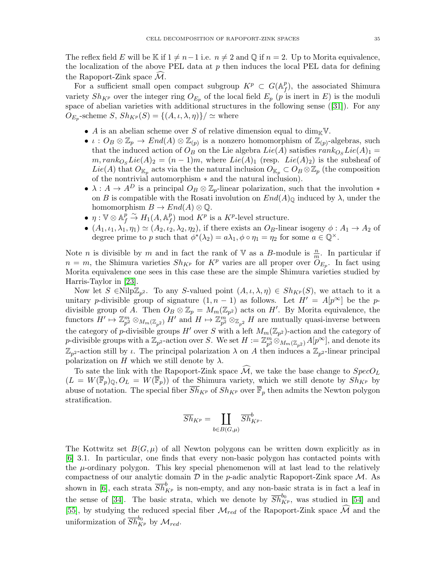The reflex field E will be K if  $1 \neq n-1$  i.e.  $n \neq 2$  and Q if  $n = 2$ . Up to Morita equivalence, the localization of the above PEL data at  $p$  then induces the local PEL data for defining the Rapoport-Zink space  $\mathcal{M}$ .

For a sufficient small open compact subgroup  $K^p \subset G(\mathbb{A}_f^p)$  $_{f}^{p}$ ), the associated Shimura variety  $Sh_{K^p}$  over the integer ring  $O_{E_p}$  of the local field  $E_p$  (p is inert in E) is the moduli space of abelian varieties with additional structures in the following sense([\[31\]](#page-56-21)). For any  $O_{E_p}$ -scheme  $S$ ,  $Sh_{K^p}(S) = \{(A, \iota, \lambda, \eta)\}/\simeq$  where

- A is an abelian scheme over S of relative dimension equal to  $\dim_{\mathbb{K}} V$ .
- $\iota: O_B \otimes \mathbb{Z}_p \to End(A) \otimes \mathbb{Z}_{(p)}$  is a nonzero homomorphism of  $\mathbb{Z}_{(p)}$ -algebras, such that the induced action of  $O_B$  on the Lie algebra  $Lie(A)$  satisfies  $rank_{O_S} Lie(A)_1 =$  $m, rank_{O<sub>S</sub>Lie(A)<sub>2</sub>} = (n-1)m$ , where  $Lie(A)<sub>1</sub>$  (resp.  $Lie(A)<sub>2</sub>$ ) is the subsheaf of  $Lie(A)$  that  $O_{\mathbb{K}_p}$  acts via the the natural inclusion  $O_{\mathbb{K}_p} \subset O_B \otimes \mathbb{Z}_p$  (the composition of the nontrivial automorphism ∗ and the natural inclusion).
- $\lambda: A \to A^D$  is a principal  $O_B \otimes \mathbb{Z}_p$ -linear polarization, such that the involution  $*$ on B is compatible with the Rosati involution on  $End(A)_{\mathbb{Q}}$  induced by  $\lambda$ , under the homomorphism  $B \to End(A) \otimes \mathbb{Q}$ .
- $\bullet~~\eta:\mathbb{V}\otimes\mathbb{A}_{f}^{p}$  $\frac{\bar{p}}{f} \overset{\sim}{\rightarrow} H_1(A, \mathbb{A}_f^p)$  $f(r)$  mod  $K^p$  is a  $K^p$ -level structure.
- $(A_1, \iota_1, \lambda_1, \eta_1) \simeq (A_2, \iota_2, \lambda_2, \eta_2)$ , if there exists an  $O_B$ -linear isogeny  $\phi: A_1 \to A_2$  of degree prime to p such that  $\phi^*(\lambda_2) = a\lambda_1, \phi \circ \eta_1 = \eta_2$  for some  $a \in \mathbb{Q}^{\times}$ .

Note *n* is divisible by *m* and in fact the rank of V as a *B*-module is  $\frac{n}{m}$ . In particular if  $n = m$ , the Shimura varieties  $Sh_{K^p}$  for  $K^p$  varies are all proper over  $\overset{\sim}{O}_{E_p}$ . In fact using Morita equivalence one sees in this case these are the simple Shimura varieties studied by Harris-Taylor in [\[23\]](#page-56-5).

Now let  $S \in \text{Nilp}\mathbb{Z}_{p^2}$ . To any S-valued point  $(A, \iota, \lambda, \eta) \in Sh_{K^p}(S)$ , we attach to it a unitary p-divisible group of signature  $(1, n - 1)$  as follows. Let  $H' = A[p^{\infty}]$  be the pdivisible group of A. Then  $O_B \otimes \mathbb{Z}_p = M_m(\mathbb{Z}_{p^2})$  acts on H'. By Morita equivalence, the functors  $H' \mapsto \mathbb{Z}_{p^2}^m \otimes_{M_m(\mathbb{Z}_{p^2})} H'$  and  $H \mapsto \mathbb{Z}_{p^2}^m \otimes_{\mathbb{Z}_{p^2}} H$  are mutually quasi-inverse between the category of p-divisible groups H' over S with a left  $M_m(\mathbb{Z}_{p^2})$ -action and the category of p-divisible groups with a  $\mathbb{Z}_{p^2}$ -action over S. We set  $H := \mathbb{Z}_{p^2}^m \otimes_{M_m(\mathbb{Z}_{p^2})} A[p^\infty]$ , and denote its  $\mathbb{Z}_{p^2}$ -action still by *ι*. The principal polarization  $\lambda$  on A then induces a  $\mathbb{Z}_{p^2}$ -linear principal polarization on H which we still denote by  $\lambda$ .

To sate the link with the Rapoport-Zink space  $\mathcal{M}$ , we take the base change to  $SpecO_L$  $(L = W(\overline{\mathbb{F}}_p)_{\mathbb{Q}}, O_L = W(\overline{\mathbb{F}}_p)$  of the Shimura variety, which we still denote by  $Sh_{K^p}$  by abuse of notation. The special fiber  $\overline{Sh}_{K^p}$  of  $Sh_{K^p}$  over  $\overline{\mathbb{F}}_p$  then admits the Newton polygon stratification.

$$
\overline{Sh}_{K^p} = \coprod_{b \in B(G,\mu)} \overline{Sh}_{K^p}^b.
$$

The Kottwitz set  $B(G, \mu)$  of all Newton polygons can be written down explicitly as in [\[6\]](#page-55-9) 3.1. In particular, one finds that every non-basic polygon has contacted points with the  $\mu$ -ordinary polygon. This key special phenomenon will at last lead to the relatively compactness of our analytic domain  $D$  in the *p*-adic analytic Rapoport-Zink space  $M$ . As shown in [\[6\]](#page-55-9), each strata  $\overline{Sh}_{K^p}^b$  is non-empty, and any non-basic strata is in fact a leaf in the sense of [\[34\]](#page-56-22). The basic strata, which we denote by  $\overline{Sh}_{K^p}^{b_0}$ , was studied in [\[54\]](#page-57-6) and [\[55\]](#page-57-0), by studying the reduced special fiber  $\mathcal{M}_{red}$  of the Rapoport-Zink space  $\widehat{\mathcal{M}}$  and the uniformization of  $\overline{Sh}_{K^p}^{b_0}$  by  $\mathcal{M}_{red}$ .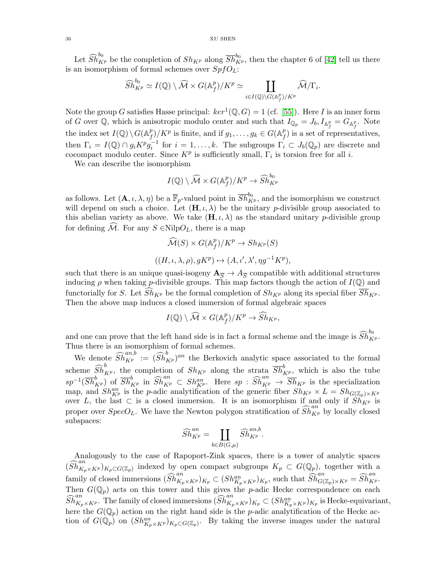Let  $\widehat{Sh}_{K^p}^{b_0}$  be the completion of  $Sh_{K^p}$  along  $\overline{Sh}_{K^p}^{b_0}$ , then the chapter 6 of [\[42\]](#page-56-12) tell us there is an isomorphism of formal schemes over  $SpfO<sub>L</sub>$ :

$$
\widehat{Sh}_{K^p}^{b_0} \simeq I(\mathbb{Q}) \setminus \widehat{\mathcal{M}} \times G(\mathbb{A}_f^p) / K^p \simeq \coprod_{i \in I(\mathbb{Q}) \setminus G(\mathbb{A}_f^p) / K^p} \widehat{\mathcal{M}} / \Gamma_i.
$$

Note the group G satisfies Hasse principal:  $ker^1(\mathbb{Q}, G) = 1$  (cf. [\[55\]](#page-57-0)). Here I is an inner form of G over Q, which is anisotropic modulo center and such that  $I_{\mathbb{Q}_p} = J_b, I_{\mathbb{A}_f^p} = G_{\mathbb{A}_f^p}$ . Note the index set  $I(\mathbb{Q}) \setminus G(\mathbb{A}^p_f)$  $f(f) / K^p$  is finite, and if  $g_1, \ldots, g_k \in G(\mathbb{A}_f^p)$  $_{f}^{p}$ ) is a set of representatives, then  $\Gamma_i = I(\mathbb{Q}) \cap g_i K^p g_i^{-1}$  for  $i = 1, \ldots, k$ . The subgroups  $\Gamma_i \subset J_b(\mathbb{Q}_p)$  are discrete and cocompact modulo center. Since  $K^p$  is sufficiently small,  $\Gamma_i$  is torsion free for all *i*.

We can describe the isomorphism

$$
I(\mathbb{Q})\setminus \widehat{\mathcal{M}} \times G(\mathbb{A}_f^p)/K^p \to \widehat{Sh}^{b_0}_{K^p}
$$

as follows. Let  $(A, \iota, \lambda, \eta)$  be a  $\overline{\mathbb{F}}_p$ -valued point in  $\overline{Sh}_{K^p}^{b_0}$ , and the isomorphism we construct will depend on such a choice. Let  $(\mathbf{H}, \iota, \lambda)$  be the unitary p-divisible group associated to this abelian variety as above. We take  $(\mathbf{H}, \iota, \lambda)$  as the standard unitary p-divisible group for defining  $\mathcal{M}$ . For any  $S \in \text{Nilp}O_L$ , there is a map

$$
\widehat{\mathcal{M}}(S) \times G(\mathbb{A}_f^p) / K^p \to Sh_{K^p}(S)
$$
  

$$
((H, \iota, \lambda, \rho), gK^p) \mapsto (A, \iota', \lambda', \eta g^{-1} K^p),
$$

such that there is an unique quasi-isogeny  $\mathbf{A}_{\overline{S}} \to A_{\overline{S}}$  compatible with additional structures inducing  $\rho$  when taking p-divisible groups. This map factors though the action of  $I(\mathbb{Q})$  and functorially for S. Let  $Sh_{K^p}$  be the formal completion of  $Sh_{K^p}$  along its special fiber  $\overline{Sh}_{K^p}$ . Then the above map induces a closed immersion of formal algebraic spaces

$$
I(\mathbb{Q})\setminus\widehat{\mathcal{M}}\times G(\mathbb{A}_f^p)/K^p\to\widehat{Sh}_{K^p},
$$

and one can prove that the left hand side is in fact a formal scheme and the image is  $\widehat{Sh}_{K^p}^{b_0}$ . Thus there is an isomorphism of formal schemes.

We denote  $\widehat{Sh}_{K^p}^{an,b} := (\widehat{Sh}_{K^p}^b)^{an}$  the Berkovich analytic space associated to the formal scheme  $\widehat{Sh}_{K^p}^b$ , the completion of  $Sh_{K^p}$  along the strata  $\overline{Sh}_{K^p}^b$ , which is also the tube  $s p^{-1}(\overline{Sh}_{K^p}^b)$  of  $\overline{Sh}_{K^p}^b$  in  $\widehat{Sh}_{K^p}^{an} \subset Sh_{K^p}^{an}$ . Here  $s p : \widehat{Sh}_{K^p}^{an} \to \overline{Sh}_{K^p}$  is the specialization map, and  $Sh_{K^p}^{an}$  is the p-adic analytification of the generic fiber  $Sh_{K^p} \times L = Sh_{G(\mathbb{Z}_p) \times K^p}$ over L, the last  $\subset$  is a closed immersion. It is an isomorphism if and only if  $\overrightarrow{Sh}_{K^p}$  is proper over  $SpecO_L$ . We have the Newton polygon stratification of  $\widehat{Sh}_{K^p}^{an}$  by locally closed subspaces:

$$
\widehat{Sh}^{an}_{K^p} = \coprod_{b \in B(G,\mu)} \widehat{Sh}^{an,b}_{K^p}.
$$

Analogously to the case of Rapoport-Zink spaces, there is a tower of analytic spaces  $(\widehat{Sh}_{K_p\times K^p}^{an})_{K_p\subset G(\mathbb{Z}_p)}$  indexed by open compact subgroups  $K_p\subset G(\mathbb{Q}_p)$ , together with a family of closed immersions  $\widehat{Sh}^{an}_{K_p\times K^p})_{K_p} \subset (Sh^{an}_{K_p\times K^p})_{K_p}$ , such that  $\widehat{Sh}^{an}_{G(\mathbb{Z}_p)\times K^p} = \widehat{Sh}^{an}_{K^p}$ . Then  $G(\mathbb{Q}_p)$  acts on this tower and this gives the p-adic Hecke correspondence on each  $\widehat{Sh}_{K_p\times K^p}^{an}$ . The family of closed immersions  $(\widehat{Sh}_{K_p\times K^p}^{an})_{K_p}\subset (Sh_{K_p\times K^p}^{an})_{K_p}$  is Hecke-equivariant, here the  $G(\mathbb{Q}_p)$  action on the right hand side is the p-adic analytification of the Hecke action of  $G(\mathbb{Q}_p)$  on  $(Sh_{K_p\times K^p}^{an})_{K_p\subset G(\mathbb{Z}_p)}$ . By taking the inverse images under the natural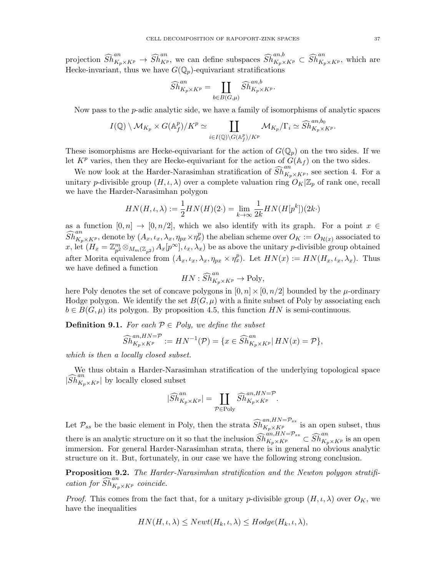projection  $\widehat{Sh}_{K_p\times K^p}^{an} \to \widehat{Sh}_{K^p}^{an}$ , we can define subspaces  $\widehat{Sh}_{K_p\times K^p}^{an,b} \subset \widehat{Sh}_{K_p\times K^p}^{an}$ , which are Hecke-invariant, thus we have  $G(\mathbb{Q}_p)$ -equivariant stratifications

$$
\widehat{Sh}^{an}_{K_p \times K^p} = \coprod_{b \in B(G,\mu)} \widehat{Sh}^{an,b}_{K_p \times K^p}.
$$

Now pass to the p-adic analytic side, we have a family of isomorphisms of analytic spaces

$$
I(\mathbb{Q})\setminus \mathcal{M}_{K_p}\times G(\mathbb{A}_f^p)/K^p\simeq \coprod_{i\in I(\mathbb{Q})\setminus G(\mathbb{A}_f^p)/K^p} \mathcal{M}_{K_p}/\Gamma_i \simeq \widehat{Sh}^{an,b_0}_{K_p\times K^p}.
$$

These isomorphisms are Hecke-equivariant for the action of  $G(\mathbb{Q}_p)$  on the two sides. If we let  $K^p$  varies, then they are Hecke-equivariant for the action of  $G(\mathbb{A}_f)$  on the two sides.

We now look at the Harder-Narasimhan stratification of  $\widehat{Sh}_{K_p\times K^p}^{an}$ , see section 4. For a unitary p-divisible group  $(H, \iota, \lambda)$  over a complete valuation ring  $O_K|\mathbb{Z}_p$  of rank one, recall we have the Harder-Narasimhan polygon

$$
HN(H,\iota,\lambda) := \frac{1}{2}HN(H)(2\cdot) = \lim_{k \to \infty} \frac{1}{2k}HN(H[p^k])(2k\cdot)
$$

as a function  $[0, n] \to [0, n/2]$ , which we also identify with its graph. For a point  $x \in$  $\widehat{Sh}^{an}_{K_p\times K^p}$ , denote by  $(A_x,t_x,\lambda_x,\eta_{px}\times \eta_x^p)$  the abelian scheme over  $O_K:=O_{\mathcal{H}(x)}$  associated to x, let  $(H_x = \mathbb{Z}_{p^2}^m \otimes_{M_m(\mathbb{Z}_{p^2})} A_x[p^\infty], \iota_x, \lambda_x)$  be as above the unitary p-divisible group obtained after Morita equivalence from  $(A_x, \iota_x, \lambda_x, \eta_{px} \times \eta_x^p)$ . Let  $HN(x) := HN(H_x, \iota_x, \lambda_x)$ . Thus we have defined a function

$$
HN: \widehat{Sh}_{K_p \times K^p}^{an} \to \text{Poly},
$$

here Poly denotes the set of concave polygons in  $[0, n] \times [0, n/2]$  bounded by the  $\mu$ -ordinary Hodge polygon. We identify the set  $B(G, \mu)$  with a finite subset of Poly by associating each  $b \in B(G, \mu)$  its polygon. By proposition 4.5, this function HN is semi-continuous.

**Definition 9.1.** For each  $P \in Poly$ , we define the subset

$$
\widehat{Sh}^{an,HN=\mathcal{P}}_{K_p\times K^p} := HN^{-1}(\mathcal{P}) = \{x \in \widehat{Sh}^{an}_{K_p\times K^p} | \ HN(x) = \mathcal{P}\},
$$

which is then a locally closed subset.

We thus obtain a Harder-Narasimhan stratification of the underlying topological space  $|\widehat{Sh}^{an}_{K_p\times K^p}|$  by locally closed subset

$$
|\widehat{Sh}^{an}_{K_p \times K^p}| = \coprod_{\mathcal{P} \in \text{Poly}} \widehat{Sh}^{an, HN = \mathcal{P}}_{K_p \times K^p}.
$$

Let  $\mathcal{P}_{ss}$  be the basic element in Poly, then the strata  $\widehat{Sh}_{K_p\times K^p}^{an,HN=P_{ss}}$  is an open subset, thus there is an analytic structure on it so that the inclusion  $\widehat{Sh}^{an,HN=\mathcal{P}_{ss}}_{K_p\times K^p}\subset \widehat{Sh}^{an}_{K_p\times K^p}$  is an open immersion. For general Harder-Narasimhan strata, there is in general no obvious analytic structure on it. But, fortunately, in our case we have the following strong conclusion.

Proposition 9.2. The Harder-Narasimhan stratification and the Newton polygon stratification for  $\widehat{Sh}^{an}_{K_p\times K^p}$  coincide.

*Proof.* This comes from the fact that, for a unitary p-divisible group  $(H, \iota, \lambda)$  over  $O_K$ , we have the inequalities

$$
HN(H,\iota,\lambda) \leq Newt(H_k,\iota,\lambda) \leq Hodge(H_k,\iota,\lambda),
$$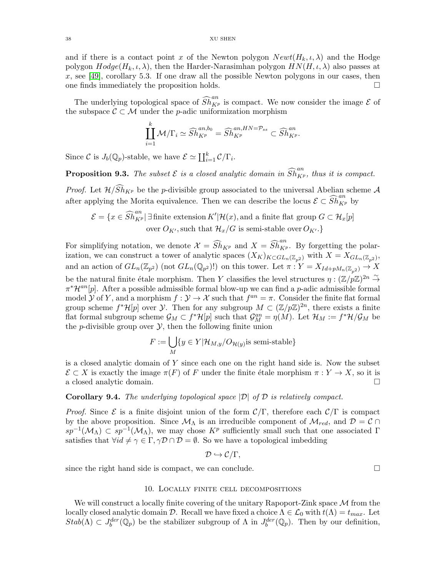and if there is a contact point x of the Newton polygon  $Newt(H_k, \iota, \lambda)$  and the Hodge polygon  $Hodge(H_k, \iota, \lambda)$ , then the Harder-Narasimhan polygon  $HN(H, \iota, \lambda)$  also passes at  $x$ , see [\[49\]](#page-57-4), corollary 5.3. If one draw all the possible Newton polygons in our cases, then one finds immediately the proposition holds.

The underlying topological space of  $\widehat{Sh}_{K^p}^{an}$  is compact. We now consider the image  $\mathcal E$  of the subspace  $\mathcal{C} \subset \mathcal{M}$  under the *p*-adic uniformization morphism

$$
\coprod_{i=1}^k \mathcal{M}/\Gamma_i \simeq \widehat{Sh}_{K^p}^{an,b_0} = \widehat{Sh}_{K^p}^{an,HN=\mathcal{P}_{ss}} \subset \widehat{Sh}_{K^p}^{an}.
$$

Since C is  $J_b(\mathbb{Q}_p)$ -stable, we have  $\mathcal{E} \simeq \coprod_{i=1}^k \mathcal{C}/\Gamma_i$ .

**Proposition 9.3.** The subset  $\mathcal{E}$  is a closed analytic domain in  $\widehat{Sh}_{K^p}^{an}$ , thus it is compact.

*Proof.* Let  $\mathcal{H}/Sh_{K^p}$  be the p-divisible group associated to the universal Abelian scheme A after applying the Morita equivalence. Then we can describe the locus  $\mathcal{E} \subset \widehat{Sh}_{K^p}^{an}$  by

$$
\mathcal{E} = \{x \in \widehat{Sh}_{K^p}^{an} | \exists \text{ finite extension } K' | \mathcal{H}(x), \text{ and a finite flat group } G \subset \mathcal{H}_x[p] \text{ over } O_{K'}, \text{ such that } \mathcal{H}_x/G \text{ is semi-stable over } O_{K'}.\}
$$

For simplifying notation, we denote  $\mathcal{X} = \widehat{Sh}_{K^p}$  and  $X = \widehat{Sh}_{K^p}^{\{an\}}$ . By forgetting the polarization, we can construct a tower of analytic spaces  $(X_K)_{K\subset GL_n(\mathbb{Z}_{p^2})}$  with  $X=X_{GL_n(\mathbb{Z}_{p^2})}$ , and an action of  $GL_n(\mathbb{Z}_{p^2})$  (not  $GL_n(\mathbb{Q}_{p^2})$ !) on this tower. Let  $\pi: Y = X_{Id+pM_n(\mathbb{Z}_{p^2})} \to X$ be the natural finite étale morphism. Then Y classifies the level structures  $\eta : (\mathbb{Z}/p\mathbb{Z})^{2n} \stackrel{\sim}{\to}$  $\pi^* \mathcal{H}^{an}[p]$ . After a possible admissible formal blow-up we can find a p-adic admissible formal model  $\mathcal Y$  of Y, and a morphism  $f: \mathcal Y \to \mathcal X$  such that  $f^{an} = \pi$ . Consider the finite flat formal group scheme  $f^*\mathcal{H}[p]$  over  $\mathcal{Y}$ . Then for any subgroup  $M \subset (\mathbb{Z}/p\mathbb{Z})^{2n}$ , there exists a finite flat formal subgroup scheme  $\mathcal{G}_M \subset f^* \mathcal{H}[p]$  such that  $\mathcal{G}_M^{an} = \eta(M)$ . Let  $\mathcal{H}_M := f^* \mathcal{H}/\mathcal{G}_M$  be the *p*-divisible group over  $\mathcal{Y}$ , then the following finite union

$$
F := \bigcup_{M} \{ y \in Y | \mathcal{H}_{M,y}/O_{\mathcal{H}(y)} \text{is semi-stable} \}
$$

is a closed analytic domain of  $Y$  since each one on the right hand side is. Now the subset  $\mathcal{E} \subset X$  is exactly the image  $\pi(F)$  of F under the finite étale morphism  $\pi : Y \to X$ , so it is a closed analytic domain. a closed analytic domain.

# **Corollary 9.4.** The underlying topological space  $|\mathcal{D}|$  of  $\mathcal{D}$  is relatively compact.

*Proof.* Since  $\mathcal{E}$  is a finite disjoint union of the form  $\mathcal{C}/\Gamma$ , therefore each  $\mathcal{C}/\Gamma$  is compact by the above proposition. Since  $\mathcal{M}_{\Lambda}$  is an irreducible component of  $\mathcal{M}_{red}$ , and  $\mathcal{D} = \mathcal{C} \cap$  $sp^{-1}(\mathcal{M}_\Lambda) \subset sp^{-1}(\mathcal{M}_\Lambda)$ , we may chose  $K^p$  sufficiently small such that one associated  $\Gamma$ satisfies that  $\forall id \neq \gamma \in \Gamma, \gamma \mathcal{D} \cap \mathcal{D} = \emptyset$ . So we have a topological imbedding

$$
\mathcal{D}\hookrightarrow \mathcal{C}/\Gamma,
$$

since the right hand side is compact, we can conclude.  $\Box$ 

#### 10. Locally finite cell decompositions

<span id="page-37-0"></span>We will construct a locally finite covering of the unitary Rapoport-Zink space  $M$  from the locally closed analytic domain D. Recall we have fixed a choice  $\Lambda \in \mathcal{L}_0$  with  $t(\Lambda) = t_{max}$ . Let  $Stab(\Lambda) \subset J_b^{der}(\mathbb{Q}_p)$  be the stabilizer subgroup of  $\Lambda$  in  $J_b^{der}(\mathbb{Q}_p)$ . Then by our definition,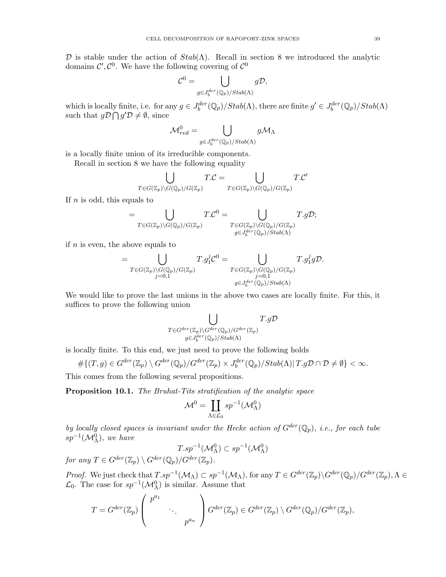D is stable under the action of  $Stab(\Lambda)$ . Recall in section 8 we introduced the analytic domains  $\mathcal{C}', \mathcal{C}^0$ . We have the following covering of  $\mathcal{C}^0$ 

$$
\mathcal{C}^0 = \bigcup_{g \in J_b^{der}(\mathbb{Q}_p)/\text{Stab}(\Lambda)} g\mathcal{D},
$$

which is locally finite, i.e. for any  $g \in J_b^{der}(\mathbb{Q}_p)/Stab(\Lambda)$ , there are finite  $g' \in J_b^{der}(\mathbb{Q}_p)/Stab(\Lambda)$ such that  $g\mathcal{D} \bigcap g'\mathcal{D} \neq \emptyset$ , since

$$
\mathcal{M}_{red}^0 = \bigcup_{g \in J_b^{der}(\mathbb{Q}_p)/Stab(\Lambda)} g \mathcal{M}_{\Lambda}
$$

is a locally finite union of its irreducible components.

Recall in section 8 we have the following equality

$$
\bigcup_{T \in G(\mathbb{Z}_p) \backslash G(\mathbb{Q}_p)/G(\mathbb{Z}_p)} T.C = \bigcup_{T \in G(\mathbb{Z}_p) \backslash G(\mathbb{Q}_p)/G(\mathbb{Z}_p)} T.C'
$$

If  $n$  is odd, this equals to

$$
=\bigcup_{T\in G(\mathbb{Z}_p)\backslash G(\mathbb{Q}_p)/G(\mathbb{Z}_p)}T.C^0=\bigcup_{\substack{T\in G(\mathbb{Z}_p)\backslash G(\mathbb{Q}_p)/G(\mathbb{Z}_p)\\ g\in J_0^{der}(\mathbb{Q}_p)/\text{Stab}(\Lambda)}}T.g\mathcal{D};
$$

if  $n$  is even, the above equals to

$$
= \bigcup_{\substack{T \in G(\mathbb{Z}_p) \backslash G(\mathbb{Q}_p)/G(\mathbb{Z}_p) \\ j=0,1}} T.g_1^j \mathcal{C}^0 = \bigcup_{\substack{T \in G(\mathbb{Z}_p) \backslash G(\mathbb{Q}_p)/G(\mathbb{Z}_p) \\ j=0,1}} T.g_1^j g \mathcal{D}.
$$

We would like to prove the last unions in the above two cases are locally finite. For this, it suffices to prove the following union

$$
\bigcup_{\substack{T \in G^{der}(\mathbb{Z}_p) \backslash G^{der}(\mathbb{Q}_p)/G^{der}(\mathbb{Z}_p) \\ g \in J_6^{der}(\mathbb{Q}_p)/\text{Stab}(\Lambda)}} T.g\mathcal{D}
$$

is locally finite. To this end, we just need to prove the following holds

$$
\# \{(T,g) \in G^{der}(\mathbb{Z}_p) \setminus G^{der}(\mathbb{Q}_p) / G^{der}(\mathbb{Z}_p) \times J_b^{der}(\mathbb{Q}_p) / Stab(\Lambda) | T.gD \cap \mathcal{D} \neq \emptyset \} < \infty.
$$

This comes from the following several propositions.

Proposition 10.1. The Bruhat-Tits stratification of the analytic space

$$
\mathcal{M}^0 = \coprod_{\Lambda \in \mathcal{L}_0} s p^{-1} (\mathcal{M}_{\Lambda}^0)
$$

by locally closed spaces is invariant under the Hecke action of  $G^{der}(\mathbb{Q}_p)$ , i.e., for each tube  $sp^{-1}(\mathcal{M}_{\Lambda}^0)$ , we have

$$
T(sp^{-1}(\mathcal{M}_{\Lambda}^0) \subset sp^{-1}(\mathcal{M}_{\Lambda}^0)
$$
  
for any  $T \in G^{der}(\mathbb{Z}_p) \setminus G^{der}(\mathbb{Q}_p)/G^{der}(\mathbb{Z}_p)$ .

Proof. We just check that  $T(sp^{-1}(\mathcal{M}_\Lambda) \subset sp^{-1}(\mathcal{M}_\Lambda)$ , for any  $T \in G^{der}(\mathbb{Z}_p) \backslash G^{der}(\mathbb{Q}_p) / G^{der}(\mathbb{Z}_p)$ ,  $\Lambda \in$  $\mathcal{L}_0$ . The case for  $sp^{-1}(\mathcal{M}_{\Lambda}^0)$  is similar. Assume that

$$
T = G^{der}(\mathbb{Z}_p) \left( \begin{array}{ccc} p^{a_1} & & \\ & \ddots & \\ & & p^{a_n} \end{array} \right) G^{der}(\mathbb{Z}_p) \in G^{der}(\mathbb{Z}_p) \setminus G^{der}(\mathbb{Q}_p) / G^{der}(\mathbb{Z}_p),
$$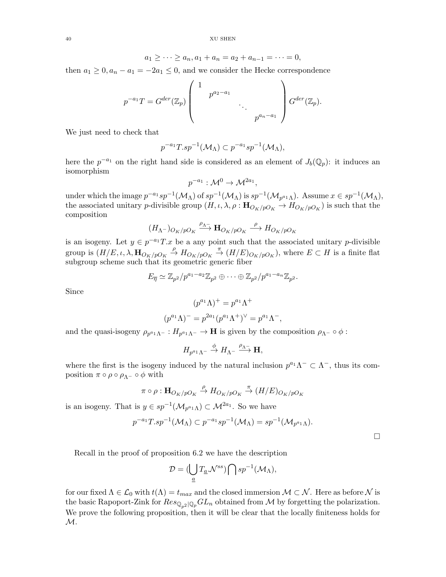$$
a_1 \ge \cdots \ge a_n, a_1 + a_n = a_2 + a_{n-1} = \cdots = 0,
$$

then  $a_1 \geq 0$ ,  $a_n - a_1 = -2a_1 \leq 0$ , and we consider the Hecke correspondence

$$
p^{-a_1}T = G^{der}(\mathbb{Z}_p) \left( \begin{array}{cccc} 1 & & & \\ & p^{a_2-a_1} & & \\ & & \ddots & \\ & & & p^{a_n-a_1} \end{array} \right) G^{der}(\mathbb{Z}_p).
$$

We just need to check that

$$
p^{-a_1}T(sp^{-1}(\mathcal{M}_\Lambda) \subset p^{-a_1}sp^{-1}(\mathcal{M}_\Lambda)),
$$

here the  $p^{-a_1}$  on the right hand side is considered as an element of  $J_b(\mathbb{Q}_p)$ : it induces an isomorphism

$$
p^{-a_1}: \mathcal{M}^0 \to \mathcal{M}^{2a_1},
$$

under which the image  $p^{-a_1}sp^{-1}(\mathcal{M}_\Lambda)$  of  $sp^{-1}(\mathcal{M}_\Lambda)$  is  $sp^{-1}(\mathcal{M}_{p^{a_1}\Lambda})$ . Assume  $x \in sp^{-1}(\mathcal{M}_\Lambda)$ , the associated unitary *p*-divisible group  $(H, \iota, \lambda, \rho : \mathbf{H}_{O_K/pO_K} \to H_{O_K/pO_K})$  is such that the composition

$$
(H_{\Lambda^-})_{O_K/pO_K} \xrightarrow{\rho_{\Lambda^-}} \mathbf{H}_{O_K/pO_K} \stackrel{\rho}{\longrightarrow} H_{O_K/pO_K}
$$

is an isogeny. Let  $y \in p^{-a_1}T.x$  be a any point such that the associated unitary p-divisible group is  $(H/E, \iota, \lambda, \mathbf{H}_{O_K/pO_K} \stackrel{\rho}{\to} H_{O_K/pO_K} \stackrel{\pi}{\to} (H/E)_{O_K/pO_K}),$  where  $E \subset H$  is a finite flat subgroup scheme such that its geometric generic fiber

$$
E_{\overline{\eta}} \simeq \mathbb{Z}_{p^2}/p^{a_1-a_2}\mathbb{Z}_{p^2} \oplus \cdots \oplus \mathbb{Z}_{p^2}/p^{a_1-a_n}\mathbb{Z}_{p^2}.
$$

Since

$$
(p^{a_1}\Lambda)^+ = p^{a_1}\Lambda^+
$$
  

$$
(p^{a_1}\Lambda)^- = p^{2a_1}(p^{a_1}\Lambda^+)^{\vee} = p^{a_1}\Lambda^-,
$$

and the quasi-isogeny  $\rho_{p^{a_1}\Lambda^-}:H_{p^{a_1}\Lambda^-}\to\mathbf{H}$  is given by the composition  $\rho_{\Lambda^-}\circ\phi$ :

$$
H_{p^{a_1}\Lambda^-}\stackrel{\phi}{\to} H_{\Lambda^-}\stackrel{\rho_{\Lambda^-}}{\longrightarrow} {\mathbf H},
$$

where the first is the isogeny induced by the natural inclusion  $p^{a_1}\Lambda^{-} \subset \Lambda^{-}$ , thus its composition  $\pi \circ \rho \circ \rho_{\Lambda^{-}} \circ \phi$  with

$$
\pi \circ \rho: \mathbf{H}_{O_K/pO_K} \xrightarrow{\rho} H_{O_K/pO_K} \xrightarrow{\pi} (H/E)_{O_K/pO_K}
$$

is an isogeny. That is  $y \in sp^{-1}(\mathcal{M}_{p^{a_1}\Lambda}) \subset \mathcal{M}^{2a_1}$ . So we have

$$
p^{-a_1}T(sp^{-1}(\mathcal{M}_\Lambda)\subset p^{-a_1}sp^{-1}(\mathcal{M}_\Lambda)=sp^{-1}(\mathcal{M}_{p^{a_1}\Lambda}).
$$

 $\Box$ 

Recall in the proof of proposition 6.2 we have the description

$$
\mathcal{D} = (\bigcup_{\underline{a}} T_{\underline{a}}.\mathcal{N}^{ss}) \bigcap sp^{-1}(\mathcal{M}_{\Lambda}),
$$

for our fixed  $\Lambda \in \mathcal{L}_0$  with  $t(\Lambda) = t_{max}$  and the closed immersion  $\mathcal{M} \subset \mathcal{N}$ . Here as before  $\mathcal{N}$  is the basic Rapoport-Zink for  $Res_{\mathbb{Q}_{n^2}|\mathbb{Q}_p} GL_n$  obtained from M by forgetting the polarization. We prove the following proposition, then it will be clear that the locally finiteness holds for M.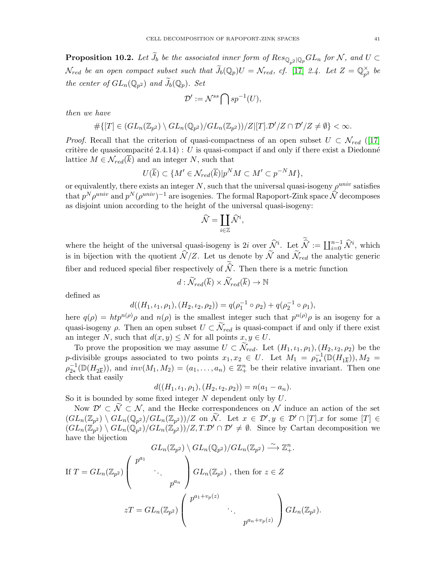**Proposition 10.2.** Let  $\widetilde{J}_b$  be the associated inner form of  $Res_{\mathbb{Q}_p2} |_{\mathbb{Q}_p}GL_n$  for N, and  $U \subset$  $\mathcal{N}_{red}$  be an open compact subset such that  $\widetilde{J}_b(\mathbb{Q}_p)U = \mathcal{N}_{red}$ , cf. [\[17\]](#page-56-8) 2.4. Let  $Z = \mathbb{Q}_{p^2}^{\times}$  $_{p^2}^{\times}$  be the center of  $GL_n(\mathbb{Q}_{p^2})$  and  $J_b(\mathbb{Q}_p)$ . Set

$$
\mathcal{D}':=\mathcal{N}^{ss}\bigcap sp^{-1}(U),
$$

then we have

$$
\#\{[T] \in (GL_n(\mathbb{Z}_{p^2}) \setminus GL_n(\mathbb{Q}_{p^2})/GL_n(\mathbb{Z}_{p^2}))/Z | [T].\mathcal{D}'/Z \cap \mathcal{D}'/Z \neq \emptyset\} < \infty.
$$

*Proof.* Recall that the criterion of quasi-compactness of an open subset  $U \subset \mathcal{N}_{red}$  ([\[17\]](#page-56-8) critère de quasicompacité  $2.4.14$ ) : U is quasi-compact if and only if there exist a Diedonné lattice  $M \in \mathcal{N}_{red}(\overline{k})$  and an integer N, such that

$$
U(\overline{k}) \subset \{M' \in \mathcal{N}_{red}(\overline{k})|p^N M \subset M' \subset p^{-N}M\},\
$$

or equivalently, there exists an integer  $N$ , such that the universal quasi-isogeny  $\rho^{univ}$  satisfies that  $p^N \rho^{univ}$  and  $p^N (\rho^{univ})^{-1}$  are isogenies. The formal Rapoport-Zink space  $\widehat{\mathcal{N}}$  decomposes as disjoint union according to the height of the universal quasi-isogeny:

$$
\widehat{\mathcal{N}} = \coprod_{i \in \mathbb{Z}} \widehat{\mathcal{N}}^i,
$$

where the height of the universal quasi-isogeny is 2i over  $\widehat{\mathcal{N}}^i$ . Let  $\widehat{\mathcal{N}} := \coprod_{i=0}^{n-1} \widehat{\mathcal{N}}^i$ , which is in bijection with the quotient  $\mathcal{N}/Z$ . Let us denote by  $\mathcal{N}$  and  $\mathcal{N}_{red}$  the analytic generic fiber and reduced special fiber respectively of  $\hat{N}$ . Then there is a metric function

$$
d: \widetilde{\mathcal{N}}_{red}(\overline{k}) \times \widetilde{\mathcal{N}}_{red}(\overline{k}) \to \mathbb{N}
$$

defined as

$$
d((H_1, \iota_1, \rho_1), (H_2, \iota_2, \rho_2)) = q(\rho_1^{-1} \circ \rho_2) + q(\rho_2^{-1} \circ \rho_1),
$$

here  $q(\rho) = h t p^{n(\rho)} \rho$  and  $n(\rho)$  is the smallest integer such that  $p^{n(\rho)} \rho$  is an isogeny for a quasi-isogeny  $\rho$ . Then an open subset  $U \subset \mathcal{N}_{red}$  is quasi-compact if and only if there exist an integer N, such that  $d(x, y) \leq N$  for all points  $x, y \in U$ .

To prove the proposition we may assume  $U \subset \mathcal{N}_{red}$ . Let  $(H_1, \iota_1, \rho_1), (H_2, \iota_2, \rho_2)$  be the p-divisible groups associated to two points  $x_1, x_2 \in U$ . Let  $M_1 = \rho_{1*}^{-1}(\mathbb{D}(H_{1\overline{k}})), M_2 =$  $\rho_{2*}^{-1}(\mathbb{D}(H_{2\overline{k}})),$  and  $inv(M_1, M_2) = (a_1, \ldots, a_n) \in \mathbb{Z}_{+}^n$  be their relative invariant. Then one check that easily

$$
d((H_1, \iota_1, \rho_1), (H_2, \iota_2, \rho_2)) = n(a_1 - a_n).
$$

So it is bounded by some fixed integer  $N$  dependent only by  $U$ .

Now  $\mathcal{D}' \subset \tilde{\mathcal{N}} \subset \mathcal{N}$ , and the Hecke correspondences on  $\mathcal{N}$  induce an action of the set  $(GL_n(\mathbb{Z}_{p^2})\setminus GL_n(\mathbb{Q}_{p^2})/GL_n(\mathbb{Z}_{p^2}))/Z$  on  $\widetilde{\mathcal{N}}$ . Let  $x \in \mathcal{D}', y \in \mathcal{D}' \cap [T].x$  for some  $[T] \in$  $(GL_n(\mathbb{Z}_{p^2})\setminus GL_n(\mathbb{Q}_{p^2})/GL_n(\mathbb{Z}_{p^2}))/Z, T. \mathcal{D}' \cap \mathcal{D}' \neq \emptyset$ . Since by Cartan decomposition we have the bijection

$$
GL_n(\mathbb{Z}_{p^2}) \setminus GL_n(\mathbb{Q}_{p^2})/GL_n(\mathbb{Z}_{p^2}) \xrightarrow{\sim} \mathbb{Z}_+^n.
$$
  
If  $T = GL_n(\mathbb{Z}_{p^2}) \begin{pmatrix} p^{a_1} & & \\ & \ddots & \\ & & p^{a_n} \end{pmatrix} GL_n(\mathbb{Z}_{p^2})$ , then for  $z \in Z$   

$$
zT = GL_n(\mathbb{Z}_{p^2}) \begin{pmatrix} p^{a_1+v_p(z)} & & \\ & \ddots & \\ & & p^{a_n+v_p(z)} \end{pmatrix} GL_n(\mathbb{Z}_{p^2}).
$$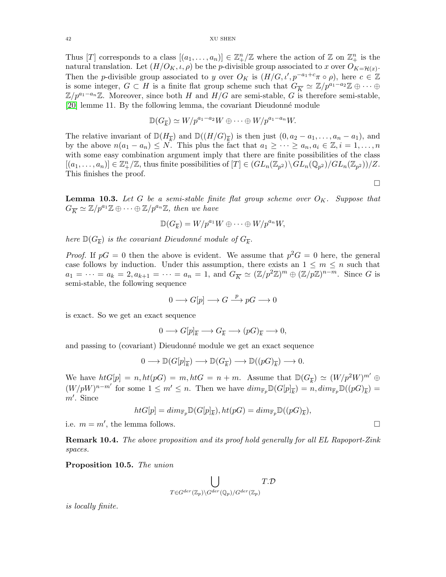Thus [T] corresponds to a class  $[(a_1, \ldots, a_n)] \in \mathbb{Z}_+^n/\mathbb{Z}$  where the action of  $\mathbb{Z}$  on  $\mathbb{Z}_+^n$  is the natural translation. Let  $(H/O_K, \iota, \rho)$  be the *p*-divisible group associated to x over  $O_{K=\mathcal{H}(x)}$ . Then the p-divisible group associated to y over  $O_K$  is  $(H/G, \iota', p^{-a_1+c}\pi \circ \rho)$ , here  $c \in \mathbb{Z}$ is some integer,  $G \subset H$  is a finite flat group scheme such that  $G_{\overline{K}} \simeq \mathbb{Z}/p^{a_1-a_2}\mathbb{Z} \oplus \cdots \oplus$  $\mathbb{Z}/p^{a_1-a_n}\mathbb{Z}$ . Moreover, since both H and  $H/G$  are semi-stable, G is therefore semi-stable, [\[20\]](#page-56-1) lemme 11. By the following lemma, the covariant Dieudonn´e module

$$
\mathbb{D}(G_{\overline{k}}) \simeq W/p^{a_1-a_2}W \oplus \cdots \oplus W/p^{a_1-a_n}W.
$$

The relative invariant of  $\mathbb{D}(H_{\overline{k}})$  and  $\mathbb{D}((H/G)_{\overline{k}})$  is then just  $(0, a_2 - a_1, \ldots, a_n - a_1)$ , and by the above  $n(a_1 - a_n) \leq N$ . This plus the fact that  $a_1 \geq \cdots \geq a_n, a_i \in \mathbb{Z}, i = 1, \ldots, n$ with some easy combination argument imply that there are finite possibilities of the class  $[(a_1, \ldots, a_n)] \in \mathbb{Z}_+^n/\mathbb{Z}$ , thus finite possibilities of  $[T] \in (GL_n(\mathbb{Z}_{p^2}) \backslash GL_n(\mathbb{Q}_{p^2})/GL_n(\mathbb{Z}_{p^2}))/Z$ . This finishes the proof.

**Lemma 10.3.** Let G be a semi-stable finite flat group scheme over  $O_K$ . Suppose that  $G_{\overline{K}} \simeq \mathbb{Z}/p^{a_1}\mathbb{Z} \oplus \cdots \oplus \mathbb{Z}/p^{a_n}\mathbb{Z}$ , then we have

 $\Box$ 

$$
\mathbb{D}(G_{\overline{k}})=W/p^{a_1}W\oplus\cdots\oplus W/p^{a_n}W,
$$

here  $\mathbb{D}(G_{\overline{k}})$  is the covariant Dieudonné module of  $G_{\overline{k}}$ .

*Proof.* If  $pG = 0$  then the above is evident. We assume that  $p^2G = 0$  here, the general case follows by induction. Under this assumption, there exists an  $1 \leq m \leq n$  such that  $a_1 = \cdots = a_k = 2, a_{k+1} = \cdots = a_n = 1$ , and  $G_{\overline{K}} \simeq (\mathbb{Z}/p^2\mathbb{Z})^m \oplus (\mathbb{Z}/p\mathbb{Z})^{n-m}$ . Since G is semi-stable, the following sequence

$$
0 \longrightarrow G[p] \longrightarrow G \stackrel{p}{\longrightarrow} pG \longrightarrow 0
$$

is exact. So we get an exact sequence

$$
0 \longrightarrow G[p]_{\overline{k}} \longrightarrow G_{\overline{k}} \longrightarrow (pG)_{\overline{k}} \longrightarrow 0,
$$

and passing to (covariant) Dieudonné module we get an exact sequence

$$
0\longrightarrow \mathbb{D}(G[p]_{\overline{k}})\longrightarrow \mathbb{D}(G_{\overline{k}})\longrightarrow \mathbb{D}((pG)_{\overline{k}})\longrightarrow 0.
$$

We have  $htG[p] = n, ht(pG) = m, htG = n + m$ . Assume that  $\mathbb{D}(G_{\overline{k}}) \simeq (W/p^2W)^{m'} \oplus$  $(W/pW)^{n-m'}$  for some  $1 \leq m' \leq n$ . Then we have  $dim_{\mathbb{F}_p} \mathbb{D}(G[p]_{\overline{k}}) = n$ ,  $dim_{\mathbb{F}_p} \mathbb{D}((pG)_{\overline{k}}) =$ m′ . Since

$$
htG[p] = dim_{\mathbb{F}_p} \mathbb{D}(G[p]_{\overline{k}}), ht(pG) = dim_{\mathbb{F}_p} \mathbb{D}((pG)_{\overline{k}}),
$$

i.e.  $m = m'$ , the lemma follows.

**Remark 10.4.** The above proposition and its proof hold generally for all EL Rapoport-Zink spaces.

Proposition 10.5. The union

$$
\bigcup_{T\in G^{der}({\mathbb Z}_p)\backslash G^{der}({\mathbb Q}_p)/G^{der}({\mathbb Z}_p)} T.\mathcal D
$$

is locally finite.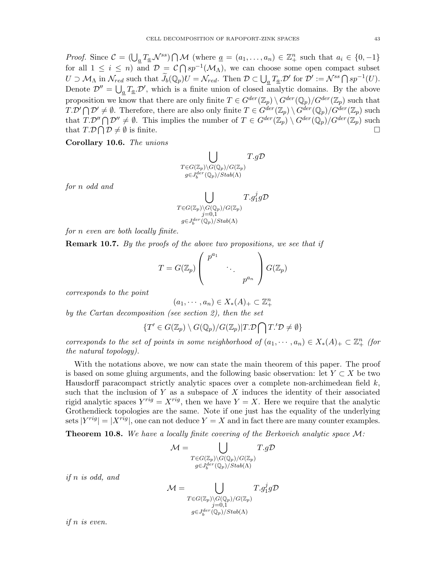*Proof.* Since  $C = (\bigcup_{\underline{a}} T_{\underline{a}} \mathcal{N}^{ss}) \cap \mathcal{M}$  (where  $\underline{a} = (a_1, \dots, a_n) \in \mathbb{Z}_+^n$  such that  $a_i \in \{0, -1\}$ for all  $1 \leq i \leq n$  and  $\mathcal{D} = \mathcal{C} \cap sp^{-1}(\mathcal{M}_{\Lambda})$ , we can choose some open compact subset

 $U \supset \mathcal{M}_{\Lambda}$  in  $\mathcal{N}_{red}$  such that  $\widetilde{J}_b(\mathbb{Q}_p)U = \mathcal{N}_{red}$ . Then  $\mathcal{D} \subset \bigcup_{\underline{a}} T_{\underline{a}}.\mathcal{D}'$  for  $\mathcal{D}' := \mathcal{N}^{ss} \bigcap sp^{-1}(U)$ . Denote  $\mathcal{D}'' = \bigcup_{\underline{a}} T_{\underline{a}} \cdot \mathcal{D}'$ , which is a finite union of closed analytic domains. By the above proposition we know that there are only finite  $T \in G^{der}(\mathbb{Z}_p) \setminus G^{der}(\mathbb{Q}_p)/G^{der}(\mathbb{Z}_p)$  such that  $T.\mathcal{D}' \cap \mathcal{D}' \neq \emptyset$ . Therefore, there are also only finite  $T \in G^{der}(\mathbb{Z}_p) \setminus G^{der}(\mathbb{Q}_p)/G^{der}(\mathbb{Z}_p)$  such that  $T.\mathcal{D}'' \bigcap \mathcal{D}'' \neq \emptyset$ . This implies the number of  $T \in G^{der}(\mathbb{Z}_p) \setminus G^{der}(\mathbb{Q}_p)/G^{der}(\mathbb{Z}_p)$  such that  $T.D \cap D \neq \emptyset$  is finite.

Corollary 10.6. The unions

$$
\bigcup_{\substack{T \in G(\mathbb{Z}_p) \backslash G(\mathbb{Q}_p)/G(\mathbb{Z}_p) \\ g \in J_6^{\text{der}}(\mathbb{Q}_p)/\text{Stab}(\Lambda)}} T.g\mathcal{D}
$$

for n odd and

$$
\bigcup_{\substack{T\in G(\mathbb{Z}_p)\backslash G(\mathbb{Q}_p)/G(\mathbb{Z}_p)\\j=0,1\\ g\in J_0^{der}(\mathbb{Q}_p)/\text{Stab}(\Lambda)}}
$$

for n even are both locally finite.

**Remark 10.7.** By the proofs of the above two propositions, we see that if

$$
T = G(\mathbb{Z}_p) \left( \begin{array}{ccc} p^{a_1} & & \\ & \ddots & \\ & & p^{a_n} \end{array} \right) G(\mathbb{Z}_p)
$$

corresponds to the point

 $(a_1, \dots, a_n) \in X_*(A)_+ \subset \mathbb{Z}_+^n$ 

by the Cartan decomposition (see section 2), then the set

$$
\{T' \in G(\mathbb{Z}_p) \setminus G(\mathbb{Q}_p)/G(\mathbb{Z}_p)|T.\mathcal{D} \bigcap T.'\mathcal{D} \neq \emptyset\}
$$

corresponds to the set of points in some neighborhood of  $(a_1, \dots, a_n) \in X_*(A)_+ \subset \mathbb{Z}_+^n$  (for the natural topology).

With the notations above, we now can state the main theorem of this paper. The proof is based on some gluing arguments, and the following basic observation: let  $Y \subset X$  be two Hausdorff paracompact strictly analytic spaces over a complete non-archimedean field  $k$ , such that the inclusion of Y as a subspace of X induces the identity of their associated rigid analytic spaces  $Y^{rig} = X^{rig}$ , then we have  $Y = X$ . Here we require that the analytic Grothendieck topologies are the same. Note if one just has the equality of the underlying sets  $|Y^{rig}| = |X^{rig}|$ , one can not deduce  $Y = X$  and in fact there are many counter examples.

**Theorem 10.8.** We have a locally finite covering of the Berkovich analytic space  $M$ :

$$
\mathcal{M} = \bigcup_{\substack{T \in G(\mathbb{Z}_p) \backslash G(\mathbb{Q}_p)/G(\mathbb{Z}_p) \\ g \in J_b^{der}(\mathbb{Q}_p)/\text{Stab}(\Lambda)}} T.g\mathcal{D}
$$

if n is odd, and

$$
\mathcal{M} = \bigcup_{\substack{T \in G(\mathbb{Z}_p) \backslash G(\mathbb{Q}_p) / G(\mathbb{Z}_p) \\ j = 0,1}} T.g_1^j g \mathcal{D}
$$

$$
g \in J_6^{der}(\mathbb{Q}_p) / Stab(\Lambda)
$$

if n is even.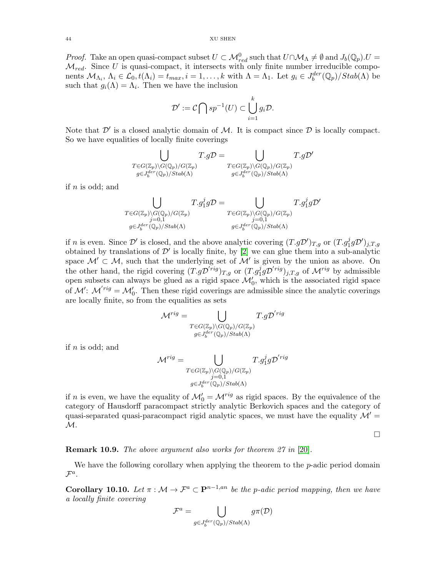*Proof.* Take an open quasi-compact subset  $U \subset \mathcal{M}^0_{red}$  such that  $U \cap \mathcal{M}_\Lambda \neq \emptyset$  and  $J_b(\mathbb{Q}_p)$ .  $U =$  $\mathcal{M}_{red}$ . Since U is quasi-compact, it intersects with only finite number irreducible components  $\mathcal{M}_{\Lambda_i}$ ,  $\Lambda_i \in \mathcal{L}_0$ ,  $t(\Lambda_i) = t_{max}$ ,  $i = 1, ..., k$  with  $\Lambda = \Lambda_1$ . Let  $g_i \in J_b^{der}(\mathbb{Q}_p)/Stab(\Lambda)$  be such that  $g_i(\Lambda) = \Lambda_i$ . Then we have the inclusion

$$
\mathcal{D}':=\mathcal{C}\bigcap sp^{-1}(U)\subset \bigcup_{i=1}^k g_i\mathcal{D}.
$$

Note that  $\mathcal{D}'$  is a closed analytic domain of  $\mathcal{M}$ . It is compact since  $\mathcal{D}$  is locally compact. So we have equalities of locally finite coverings

$$
\bigcup_{\substack{T \in G(\mathbb{Z}_p) \backslash G(\mathbb{Q}_p)/G(\mathbb{Z}_p) \\ g \in J_6^{der}(\mathbb{Q}_p)/Stab(\Lambda)}} T.g\mathcal{D} = \bigcup_{\substack{T \in G(\mathbb{Z}_p) \backslash G(\mathbb{Q}_p)/G(\mathbb{Z}_p) \\ g \in J_6^{der}(\mathbb{Q}_p)/Stab(\Lambda)}} T.g\mathcal{D}'
$$

if  $n$  is odd; and

$$
\bigcup_{\substack{T \in G(\mathbb{Z}_p) \backslash G(\mathbb{Q}_p)/G(\mathbb{Z}_p) \\ j=0,1 \\ g \in J_6^{der}(\mathbb{Q}_p)/\text{Stab}(\Lambda)}} T.g_1^j g \mathcal{D} = \bigcup_{\substack{T \in G(\mathbb{Z}_p) \backslash G(\mathbb{Q}_p)/G(\mathbb{Z}_p) \\ j=0,1 \\ g \in J_6^{der}(\mathbb{Q}_p)/\text{Stab}(\Lambda)}} T.g_1^j g \mathcal{D}'
$$

if n is even. Since  $\mathcal{D}'$  is closed, and the above analytic covering  $(T.g\mathcal{D}')_{T,g}$  or  $(T.g_1^j g\mathcal{D}')_{j,T,g}$ obtained by translations of  $\mathcal{D}'$  is locally finite, by [\[2\]](#page-55-5) we can glue them into a sub-analytic space  $\mathcal{M}' \subset \mathcal{M}$ , such that the underlying set of  $\mathcal{M}'$  is given by the union as above. On the other hand, the rigid covering  $(T.g\mathcal{D}^{'rig})_{T,g}$  or  $(T.g_1^j g\mathcal{D}^{'rig})_{j,T,g}$  of  $\mathcal{M}^{rig}$  by admissible open subsets can always be glued as a rigid space  $\mathcal{M}'_0$ , which is the associated rigid space of  $\mathcal{M}'$ :  $\mathcal{M}'^{rig} = \mathcal{M}'_0$ . Then these rigid coverings are admissible since the analytic coverings are locally finite, so from the equalities as sets

$$
\mathcal{M}^{rig} = \bigcup_{\substack{T \in G(\mathbb{Z}_p) \backslash G(\mathbb{Q}_p)/G(\mathbb{Z}_p) \\ g \in J_6^{der}(\mathbb{Q}_p)/Stab(\Lambda)}} T.g \mathcal{D}^{'rig}
$$

if  $n$  is odd; and

$$
\mathcal{M}^{rig} = \bigcup_{\substack{T \in G(\mathbb{Z}_p) \backslash G(\mathbb{Q}_p)/G(\mathbb{Z}_p) \\ j=0,1 \\ g \in J_0^{der}(\mathbb{Q}_p)/Stab(\Lambda)}} T.g_1^j g \mathcal{D}^{'rig}
$$

if n is even, we have the equality of  $\mathcal{M}'_0 = \mathcal{M}^{rig}$  as rigid spaces. By the equivalence of the category of Hausdorff paracompact strictly analytic Berkovich spaces and the category of quasi-separated quasi-paracompact rigid analytic spaces, we must have the equality  $\mathcal{M}' =$  $\mathcal{M}.$ 

 $\Box$ 

**Remark 10.9.** The above argument also works for theorem  $27$  in [\[20\]](#page-56-1).

We have the following corollary when applying the theorem to the  $p$ -adic period domain  $\mathcal{F}^a$ .

**Corollary 10.10.** Let  $\pi : \mathcal{M} \to \mathcal{F}^a \subset \mathbf{P}^{n-1,an}$  be the p-adic period mapping, then we have a locally finite covering

$$
\mathcal{F}^a = \bigcup_{g \in J_b^{der}(\mathbb{Q}_p)/\text{Stab}(\Lambda)} g \pi(\mathcal{D})
$$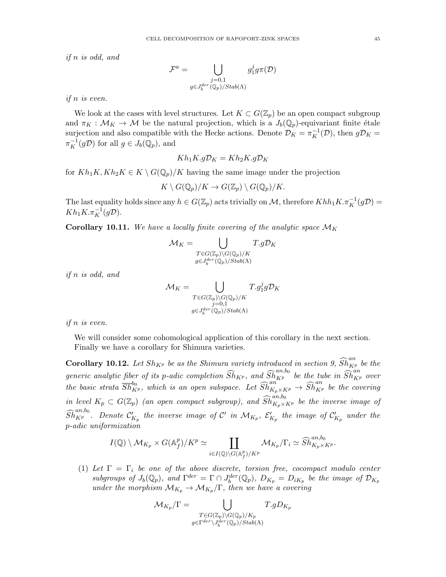if n is odd, and

$$
\mathcal{F}^a = \bigcup_{\substack{j=0,1 \\ g \in J_b^{der}(\mathbb{Q}_p)/\operatorname{Stab}(\Lambda)}} g_1^j g \pi(\mathcal{D})
$$

if n is even.

We look at the cases with level structures. Let  $K \subset G(\mathbb{Z}_p)$  be an open compact subgroup and  $\pi_K : \mathcal{M}_K \to \mathcal{M}$  be the natural projection, which is a  $J_b(\mathbb{Q}_p)$ -equivariant finite étale surjection and also compatible with the Hecke actions. Denote  $\mathcal{D}_K = \pi_K^{-1}(\mathcal{D})$ , then  $g\mathcal{D}_K =$  $\pi_K^{-1}(g\mathcal{D})$  for all  $g \in J_b(\mathbb{Q}_p)$ , and

$$
Kh_1K.gD_K = Kh_2K.gD_K
$$

for  $Kh_1K, Kh_2K \in K \setminus G(\mathbb{Q}_p)/K$  having the same image under the projection

$$
K \setminus G(\mathbb{Q}_p)/K \to G(\mathbb{Z}_p) \setminus G(\mathbb{Q}_p)/K.
$$

The last equality holds since any  $h \in G(\mathbb{Z}_p)$  acts trivially on M, therefore  $Khh_1K.\pi_K^{-1}(g\mathcal{D}) =$  $Kh_1K.\pi_K^{-1}(g\mathcal{D}).$ 

**Corollary 10.11.** We have a locally finite covering of the analytic space  $\mathcal{M}_K$ 

$$
\mathcal{M}_K = \bigcup_{\substack{T \in G(\mathbb{Z}_p) \backslash G(\mathbb{Q}_p)/K \\ g \in J_0^{der}(\mathbb{Q}_p)/Stab(\Lambda)}} T.g\mathcal{D}_K
$$

if n is odd, and

$$
\mathcal{M}_K = \bigcup_{\substack{T \in G(\mathbb{Z}_p) \backslash G(\mathbb{Q}_p)/K \\ j=0,1 \\ g \in J_0^{der}(\mathbb{Q}_p)/\text{Stab}(\Lambda)}} T.g_1^j g \mathcal{D}_K
$$

if n is even.

We will consider some cohomological application of this corollary in the next section. Finally we have a corollary for Shimura varieties.

**Corollary 10.12.** Let  $Sh_{K^p}$  be as the Shimura variety introduced in section 9,  $\widehat{Sh}_{K^p}^{an}$  be the generic analytic fiber of its p-adic completion  $\widehat{Sh}_{K^p}$ , and  $\widehat{Sh}_{K^p}^{an,b_0}$  be the tube in  $\widehat{Sh}_{K^p}^{an}$  over the basic strata  $\overline{Sh}^{b_0}_{K^p}$ , which is an open subspace. Let  $\widehat{Sh}^{an}_{K_p\times K^p}\to \widehat{Sh}^{an}_{K^p}$  be the covering in level  $K_p\,\subset\, G(\mathbb{Z}_p)$  (an open compact subgroup), and  $\widehat{Sh}^{an,b_0}_{K_p\times K^p}$  be the inverse image of  $\widehat{Sh}^{an,b_0}_{K^p}.$  Denote  $\mathcal{C}_{K_p}'$  the inverse image of  $\mathcal{C}'$  in  $\mathcal{M}_{K_p}, \ \mathcal{E}'_{K_p}$  the image of  $\mathcal{C}'_{K_p}$  under the p-adic uniformization

$$
I(\mathbb{Q})\setminus \mathcal{M}_{K_p}\times G(\mathbb{A}_f^p)/K^p\simeq \coprod_{i\in I(\mathbb{Q})\setminus G(\mathbb{A}_f^p)/K^p} \mathcal{M}_{K_p}/\Gamma_i \simeq \widehat{Sh}^{an,b_0}_{K_p\times K^p}.
$$

(1) Let  $\Gamma = \Gamma_i$  be one of the above discrete, torsion free, cocompact modulo center subgroups of  $J_b(\mathbb{Q}_p)$ , and  $\Gamma^{der} = \Gamma \cap J_b^{der}(\mathbb{Q}_p)$ ,  $D_{K_p} = D_{iK_p}$  be the image of  $\mathcal{D}_{K_p}$ under the morphism  $\mathcal{M}_{K_p} \to \mathcal{M}_{K_p}/\Gamma$ , then we have a covering

$$
\mathcal{M}_{K_p}/\Gamma = \bigcup_{\substack{T \in G(\mathbb{Z}_p) \backslash G(\mathbb{Q}_p)/K_p \\ g \in \Gamma^{der} \backslash J_{b}^{der}(\mathbb{Q}_p)/\text{Stab}(\Lambda)}} T.gD_{K_p}
$$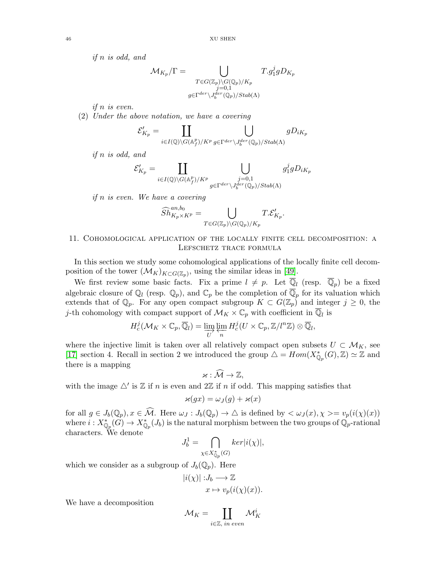if n is odd, and

$$
\mathcal{M}_{K_p}/\Gamma=\bigcup_{\substack{T\in G(\mathbb{Z}_p)\backslash G(\mathbb{Q}_p)/K_p\\j=0,1\\ g\in \Gamma^{der}\backslash J_{b}^{der}(\mathbb{Q}_p)/\operatorname{Stab}(\Lambda)}}
$$

if n is even.

(2) Under the above notation, we have a covering

$$
\mathcal{E}'_{K_p} = \coprod_{i \in I(\mathbb{Q}) \backslash G(\mathbb{A}_f^p)/K^p} \bigcup_{g \in \Gamma^{der} \backslash J_b^{der}(\mathbb{Q}_p)/\text{Stab}(\Lambda)} gD_{iK_p}
$$

if n is odd, and

$$
\mathcal{E}'_{K_p} = \coprod_{i \in I(\mathbb{Q}) \backslash G(\mathbb{A}_f^p)/K^p} \bigcup_{\substack{j=0,1\\ g \in \Gamma^{der} \backslash J_0^{der}(\mathbb{Q}_p)/\text{Stab}(\Lambda)}} g_1^j g D_{iK_p}
$$

if n is even. We have a covering

$$
\widehat{Sh}^{an, b_0}_{K_p\times K^p}=\bigcup_{T\in G(\mathbb{Z}_p)\backslash G(\mathbb{Q}_p)/K_p}T.\mathcal{E}'_{K_p}
$$

.

# <span id="page-45-0"></span>11. Cohomological application of the locally finite cell decomposition: a Lefschetz trace formula

In this section we study some cohomological applications of the locally finite cell decomposition of the tower  $(\mathcal{M}_K)_{K \subset G(\mathbb{Z}_p)}$ , using the similar ideas in [\[49\]](#page-57-4).

We first review some basic facts. Fix a prime  $l \neq p$ . Let  $\mathbb{Q}_l$  (resp.  $\mathbb{Q}_p$ ) be a fixed algebraic closure of  $\mathbb{Q}_l$  (resp.  $\mathbb{Q}_p$ ), and  $\mathbb{C}_p$  be the completion of  $\mathbb{Q}_p$  for its valuation which extends that of  $\mathbb{Q}_p$ . For any open compact subgroup  $K \subset G(\mathbb{Z}_p)$  and integer  $j \geq 0$ , the *j*-th cohomology with compact support of  $\mathcal{M}_K \times \mathbb{C}_p$  with coefficient in  $\mathbb{Q}_l$  is

$$
H_c^j(\mathcal{M}_K \times \mathbb{C}_p, \overline{\mathbb{Q}}_l) = \varinjlim_{U} \varprojlim_n H_c^j(U \times \mathbb{C}_p, \mathbb{Z}/l^n\mathbb{Z}) \otimes \overline{\mathbb{Q}}_l,
$$

where the injective limit is taken over all relatively compact open subsets  $U \subset M_K$ , see [\[17\]](#page-56-8) section 4. Recall in section 2 we introduced the group  $\Delta = Hom(X^*_{\mathbb{Q}_p}(G), \mathbb{Z}) \simeq \mathbb{Z}$  and there is a mapping

$$
\varkappa:\widehat{\mathcal{M}}\to\mathbb{Z},
$$

with the image  $\triangle'$  is  $\mathbb Z$  if n is even and  $2\mathbb Z$  if n if odd. This mapping satisfies that

$$
\varkappa(gx) = \omega_J(g) + \varkappa(x)
$$

for all  $g \in J_b(\mathbb{Q}_p)$ ,  $x \in \widehat{\mathcal{M}}$ . Here  $\omega_J : J_b(\mathbb{Q}_p) \to \Delta$  is defined by  $\langle \omega_J(x), \chi \rangle = v_p(i(\chi)(x))$ where  $i: X^*_{\mathbb{Q}_p}(G) \to X^*_{\mathbb{Q}_p}(J_b)$  is the natural morphism between the two groups of  $\mathbb{Q}_p$ -rational characters. We denote

$$
J_b^1=\bigcap_{\chi\in X_{\mathbb{Q}_p}^*(G)}ker|i(\chi)|,
$$

which we consider as a subgroup of  $J_b(\mathbb{Q}_p)$ . Here

$$
|i(\chi)|: J_b \longrightarrow \mathbb{Z}
$$

$$
x \mapsto v_p(i(\chi)(x)).
$$

We have a decomposition

$$
\mathcal{M}_K = \coprod_{i \in \mathbb{Z}, \ in \ even} \mathcal{M}_K^i
$$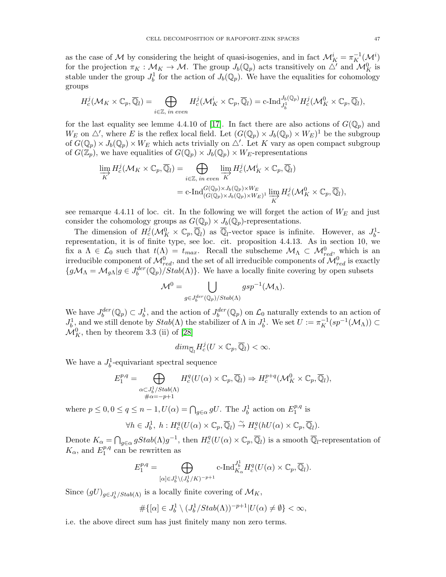as the case of M by considering the height of quasi-isogenies, and in fact  $\mathcal{M}_K^i = \pi_K^{-1}(\mathcal{M}^i)$ for the projection  $\pi_K : \mathcal{M}_K \to \mathcal{M}$ . The group  $J_b(\mathbb{Q}_p)$  acts transitively on  $\triangle'$  and  $\mathcal{M}_K^0$  is stable under the group  $J_b^1$  for the action of  $J_b(\mathbb{Q}_p)$ . We have the equalities for cohomology groups

$$
H^j_c(\mathcal{M}_K\times \mathbb{C}_p, \overline{\mathbb{Q}}_l)=\bigoplus_{i\in \mathbb{Z}, \text{ in even}}H^j_c(\mathcal{M}^i_K\times \mathbb{C}_p, \overline{\mathbb{Q}}_l)={\rm c\text{--} Ind}_{J^1_b}^{J_b(\mathbb{Q}_p)}H^j_c(\mathcal{M}^0_K\times \mathbb{C}_p, \overline{\mathbb{Q}}_l),
$$

for the last equality see lemme 4.4.10 of [\[17\]](#page-56-8). In fact there are also actions of  $G(\mathbb{Q}_p)$  and  $W_E$  on  $\triangle'$ , where E is the reflex local field. Let  $(G(\mathbb{Q}_p) \times J_b(\mathbb{Q}_p) \times W_E)^1$  be the subgroup of  $G(\mathbb{Q}_p) \times J_b(\mathbb{Q}_p) \times W_E$  which acts trivially on  $\triangle'$ . Let K vary as open compact subgroup of  $G(\mathbb{Z}_p)$ , we have equalities of  $G(\mathbb{Q}_p) \times J_b(\mathbb{Q}_p) \times W_E$ -representations

$$
\lim_{K} H_{c}^{j}(\mathcal{M}_{K} \times \mathbb{C}_{p}, \overline{\mathbb{Q}}_{l}) = \bigoplus_{i \in \mathbb{Z}, in even} \lim_{K} H_{c}^{j}(\mathcal{M}_{K}^{i} \times \mathbb{C}_{p}, \overline{\mathbb{Q}}_{l})
$$
\n
$$
= \mathrm{c}\text{-}\mathrm{Ind}_{(G(\mathbb{Q}_{p}) \times J_{b}(\mathbb{Q}_{p}) \times W_{E})^{1}}^{(G(\mathbb{Q}_{p}) \times J_{b}(\mathbb{Q}_{p}) \times W_{E})^{1}} \lim_{K} H_{c}^{j}(\mathcal{M}_{K}^{0} \times \mathbb{C}_{p}, \overline{\mathbb{Q}}_{l}),
$$

see remarque 4.4.11 of loc. cit. In the following we will forget the action of  $W_E$  and just consider the cohomology groups as  $G(\mathbb{Q}_p) \times J_b(\mathbb{Q}_p)$ -representations.

The dimension of  $H_c^j(\mathcal{M}_K^0 \times \mathbb{C}_p, \overline{\mathbb{Q}}_l)$  as  $\overline{\mathbb{Q}}_l$ -vector space is infinite. However, as  $J_b^1$ representation, it is of finite type, see loc. cit. proposition 4.4.13. As in section 10, we fix a  $\Lambda \in \mathcal{L}_0$  such that  $t(\Lambda) = t_{max}$ . Recall the subscheme  $\mathcal{M}_{\Lambda} \subset \mathcal{M}_{red}^0$ , which is an irreducible component of  $\mathcal{M}^0_{red}$ , and the set of all irreducible components of  $\mathcal{M}^0_{red}$  is exactly  $\{g\mathcal{M}_{\Lambda}=\mathcal{M}_{g\Lambda}|g\in J_b^{der}(\mathbb{Q}_p)/Stab(\Lambda)\}\.$  We have a locally finite covering by open subsets

$$
\mathcal{M}^0=\bigcup_{g\in J_{{b}}^{der}(\mathbb{Q}_p)/\operatorname{Stab}(\Lambda)}\operatorname{gsp}^{-1}(\mathcal{M}_{\Lambda}).
$$

We have  $J_b^{der}(\mathbb{Q}_p) \subset J_b^1$ , and the action of  $J_b^{der}(\mathbb{Q}_p)$  on  $\mathcal{L}_0$  naturally extends to an action of  $J_b^1$  and we still denote by  $Stab(\Lambda)$  the stabilizer of  $\Lambda$  in  $J_b^1$ . We set  $U := \pi_K^{-1}(sp^{-1}(\mathcal{M}_\Lambda)) \subset$  $\mathcal{M}_K^0$ , then by theorem 3.3 (ii) of [\[28\]](#page-56-23)

$$
dim_{\overline{\mathbb{Q}}_l} H_c^j(U \times \mathbb{C}_p, \overline{\mathbb{Q}}_l) < \infty.
$$

We have a  $J_b^1$ -equivariant spectral sequence

$$
E_1^{p,q} = \bigoplus_{\substack{\alpha \subset J_b^1/Stab(\Lambda) \\ \# \alpha = -p+1}} H_c^q(U(\alpha) \times \mathbb{C}_p, \overline{\mathbb{Q}}_l) \Rightarrow H_c^{p+q}(\mathcal{M}_K^0 \times \mathbb{C}_p, \overline{\mathbb{Q}}_l),
$$

where  $p \leq 0, 0 \leq q \leq n-1, U(\alpha) = \bigcap_{g \in \alpha} gU$ . The  $J_b^1$  action on  $E_1^{p,q}$  $_1^{p,q}$  is

$$
\forall h \in J_b^1, \ h : H_c^q(U(\alpha) \times \mathbb{C}_p, \overline{\mathbb{Q}}_l) \stackrel{\sim}{\to} H_c^q(hU(\alpha) \times \mathbb{C}_p, \overline{\mathbb{Q}}_l).
$$

Denote  $K_{\alpha} = \bigcap_{g \in \alpha} gStab(\Lambda)g^{-1}$ , then  $H_c^q(U(\alpha) \times \mathbb{C}_p, \overline{\mathbb{Q}}_l)$  is a smooth  $\overline{\mathbb{Q}}_l$ -representation of  $K_{\alpha}$ , and  $E_1^{p,q}$  $_1^{p,q}$  can be rewritten as

$$
E_1^{p,q}=\bigoplus_{[\alpha]\in J_b^1\backslash(J_b^1/K)^{-p+1}}\textnormal{c-}\mathrm{Ind}_{K_\alpha}^{J_b^1}H^q_c(U(\alpha)\times \mathbb{C}_p,\overline{\mathbb{Q}}_l).
$$

Since  $(gU)_{g\in J_b^1/Stab(\Lambda)}$  is a locally finite covering of  $\mathcal{M}_K$ ,

$$
\#\{[\alpha] \in J_b^1 \setminus (J_b^1/Stab(\Lambda))^{-p+1} | U(\alpha) \neq \emptyset \} < \infty,
$$

i.e. the above direct sum has just finitely many non zero terms.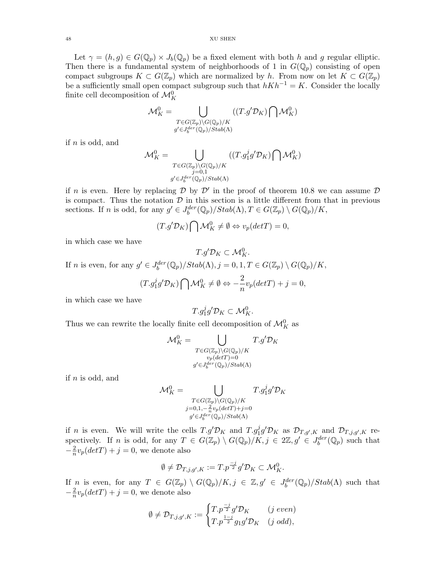Let  $\gamma = (h, g) \in G(\mathbb{Q}_p) \times J_b(\mathbb{Q}_p)$  be a fixed element with both h and g regular elliptic. Then there is a fundamental system of neighborhoods of 1 in  $G(\mathbb{Q}_p)$  consisting of open compact subgroups  $K \subset G(\mathbb{Z}_p)$  which are normalized by h. From now on let  $K \subset G(\mathbb{Z}_p)$ be a sufficiently small open compact subgroup such that  $hKh^{-1} = K$ . Consider the locally finite cell decomposition of  $\mathcal{M}_K^0$ 

$$
\mathcal{M}_K^0 = \bigcup_{\substack{T \in G(\mathbb{Z}_p) \backslash G(\mathbb{Q}_p)/K \\ g' \in J_0^{der}(\mathbb{Q}_p)/Stab(\Lambda)}} ((T.g' \mathcal{D}_K) \bigcap \mathcal{M}_K^0)
$$

if  $n$  is odd, and

$$
\mathcal{M}_K^0 = \bigcup_{\substack{T \in G(\mathbb{Z}_p) \backslash G(\mathbb{Q}_p)/K \\ j=0,1 \\ g' \in J_6^{der}(\mathbb{Q}_p)/\text{Stab}(\Lambda)}} ((T.g_1^j g' \mathcal{D}_K) \bigcap \mathcal{M}_K^0)
$$

if n is even. Here by replacing  $\mathcal D$  by  $\mathcal D'$  in the proof of theorem 10.8 we can assume  $\mathcal D$ is compact. Thus the notation  $D$  in this section is a little different from that in previous sections. If *n* is odd, for any  $g' \in J_b^{der}(\mathbb{Q}_p)/Stab(\Lambda), T \in G(\mathbb{Z}_p) \setminus G(\mathbb{Q}_p)/K$ ,

$$
(T.g' \mathcal{D}_K) \bigcap \mathcal{M}_K^0 \neq \emptyset \Leftrightarrow v_p(det T) = 0,
$$

in which case we have

$$
T.g'\mathcal{D}_K\subset \mathcal{M}_K^0.
$$

If *n* is even, for any  $g' \in J_b^{der}(\mathbb{Q}_p)/Stab(\Lambda), j = 0, 1, T \in G(\mathbb{Z}_p) \setminus G(\mathbb{Q}_p)/K$ ,

$$
(T.g_1^j g' \mathcal{D}_K) \bigcap \mathcal{M}_K^0 \neq \emptyset \Leftrightarrow -\frac{2}{n} v_p(detT) + j = 0,
$$

in which case we have

$$
T.g_1^j g' \mathcal{D}_K \subset \mathcal{M}_K^0.
$$

Thus we can rewrite the locally finite cell decomposition of  $\mathcal{M}_K^0$  as

$$
\mathcal{M}_K^0 = \bigcup_{\substack{T \in G(\mathbb{Z}_p) \backslash G(\mathbb{Q}_p)/K \\ v_p(det T) = 0 \\ g' \in J_{b}^{der}(\mathbb{Q}_p)/Stab(\Lambda)}}
$$

if  $n$  is odd, and

$$
\mathcal{M}_K^0 = \bigcup_{\substack{T \in G(\mathbb{Z}_p) \backslash G(\mathbb{Q}_p)/K \\ j=0,1,-\frac{2}{n}v_p(detT)+j=0 \\ g' \in J_6^{der}(\mathbb{Q}_p)/Stab(\Lambda)}} T.g^j_1g' \mathcal{D}_K
$$

if n is even. We will write the cells  $T.g' \mathcal{D}_K$  and  $T.g_1^j g' \mathcal{D}_K$  as  $\mathcal{D}_{T,g',K}$  and  $\mathcal{D}_{T,j,g',K}$  respectively. If n is odd, for any  $T \in G(\mathbb{Z}_p) \setminus G(\mathbb{Q}_p)/K, j \in 2\mathbb{Z}, g' \in J_0^{der}(\mathbb{Q}_p)$  such that  $-\frac{2}{n}$  $\frac{2}{n}v_p(detT) + j = 0$ , we denote also

$$
\emptyset\neq \mathcal{D}_{T,j,g',K}:=T.p^{\frac{-j}{2}}g'\mathcal{D}_K\subset \mathcal{M}_K^0.
$$

If n is even, for any  $T \in G(\mathbb{Z}_p) \setminus G(\mathbb{Q}_p)/K, j \in \mathbb{Z}, g' \in J_b^{der}(\mathbb{Q}_p)/Stab(\Lambda)$  such that  $-\frac{2}{n}$  $\frac{2}{n}v_p(detT) + j = 0$ , we denote also

$$
\emptyset \neq \mathcal{D}_{T,j,g',K} := \begin{cases} T.p^{\frac{-j}{2}}g' \mathcal{D}_K & (j \ even) \\ T.p^{\frac{1-j}{2}}g_1g' \mathcal{D}_K & (j \ odd), \end{cases}
$$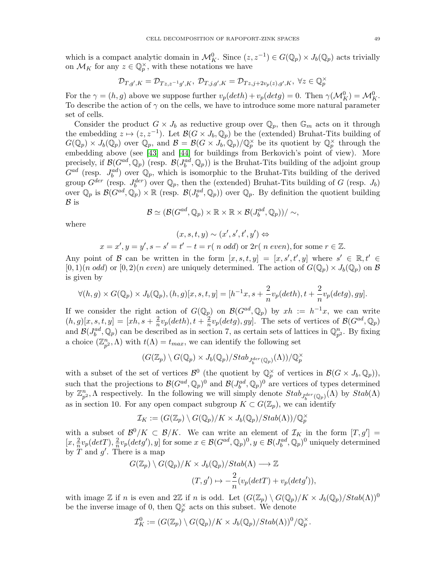which is a compact analytic domain in  $\mathcal{M}_K^0$ . Since  $(z, z^{-1}) \in G(\mathbb{Q}_p) \times J_b(\mathbb{Q}_p)$  acts trivially on  $\mathcal{M}_K$  for any  $z \in \mathbb{Q}_p^{\times}$ , with these notations we have

$$
\mathcal{D}_{T,g',K}=\mathcal{D}_{Tz,z^{-1}g',K},\ \mathcal{D}_{T,j,g',K}=\mathcal{D}_{Tz,j+2v_p(z),g',K},\ \forall z\in\mathbb{Q}_p^\times
$$

For the  $\gamma = (h, g)$  above we suppose further  $v_p(deth) + v_p(detg) = 0$ . Then  $\gamma(\mathcal{M}_K^0) = \mathcal{M}_K^0$ . To describe the action of  $\gamma$  on the cells, we have to introduce some more natural parameter set of cells.

Consider the product  $G \times J_b$  as reductive group over  $\mathbb{Q}_p$ , then  $\mathbb{G}_m$  acts on it through the embedding  $z \mapsto (z, z^{-1})$ . Let  $\mathcal{B}(G \times J_b, \mathbb{Q}_p)$  be the (extended) Bruhat-Tits building of  $G(\mathbb{Q}_p) \times J_b(\mathbb{Q}_p)$  over  $\mathbb{Q}_p$ , and  $\mathcal{B} = \mathcal{B}(G \times J_b, \mathbb{Q}_p)/\mathbb{Q}_p^{\times}$  be its quotient by  $\mathbb{Q}_p^{\times}$  through the embedding above (see [\[43\]](#page-56-24) and [\[44\]](#page-56-25) for buildings from Berkovich's point of view). More precisely, if  $\mathcal{B}(G^{ad}, \mathbb{Q}_p)$  (resp.  $\mathcal{B}(J^{ad}_b, \mathbb{Q}_p)$ ) is the Bruhat-Tits building of the adjoint group  $G^{ad}$  (resp.  $J_b^{ad}$ ) over  $\mathbb{Q}_p$ , which is isomorphic to the Bruhat-Tits building of the derived group  $G^{der}$  (resp.  $J_b^{der}$ ) over  $\mathbb{Q}_p$ , then the (extended) Bruhat-Tits building of G (resp.  $J_b$ ) over  $\mathbb{Q}_p$  is  $\mathcal{B}(G^{ad}, \mathbb{Q}_p) \times \mathbb{R}$  (resp.  $\mathcal{B}(J^{ad}_b, \mathbb{Q}_p)$ ) over  $\mathbb{Q}_p$ . By definition the quotient building  $\mathcal B$  is

$$
\mathcal{B} \simeq (\mathcal{B}(G^{ad}, \mathbb{Q}_p) \times \mathbb{R} \times \mathbb{R} \times \mathcal{B}(J_b^{ad}, \mathbb{Q}_p))/\sim,
$$

where

$$
(x, s, t, y) \sim (x', s', t', y') \Leftrightarrow
$$
  

$$
x = x', y = y', s - s' = t' - t = r(n \text{ odd}) \text{ or } 2r(n \text{ even}), \text{for some } r \in \mathbb{Z}.
$$

Any point of B can be written in the form  $[x, s, t, y] = [x, s', t', y]$  where  $s' \in \mathbb{R}, t' \in$  $[0,1)(n \text{ odd})$  or  $[0,2)(n \text{ even})$  are uniquely determined. The action of  $G(\mathbb{Q}_p) \times J_b(\mathbb{Q}_p)$  on  $\mathcal B$ is given by

$$
\forall (h,g) \times G(\mathbb{Q}_p) \times J_b(\mathbb{Q}_p), (h,g)[x,s,t,y] = [h^{-1}x, s + \frac{2}{n}v_p(deth), t + \frac{2}{n}v_p(detg), gy].
$$

If we consider the right action of  $G(\mathbb{Q}_p)$  on  $\mathcal{B}(G^{ad}, \mathbb{Q}_p)$  by  $xh := h^{-1}x$ , we can write  $(h, g)[x, s, t, y] = [xh, s + \frac{2}{n}]$  $rac{2}{n}v_p(deth), t + \frac{2}{n}$  $\frac{2}{n}v_p(detg), gy]$ . The sets of vertices of  $\mathcal{B}(G^{ad}, \mathbb{Q}_p)$ and  $\mathcal{B}(J_b^{ad}, \mathbb{Q}_p)$  can be described as in section 7, as certain sets of lattices in  $\mathbb{Q}_{p^2}^n$ . By fixing a choice  $(\mathbb{Z}_{p^2}^n, \Lambda)$  with  $t(\Lambda) = t_{max}$ , we can identify the following set

$$
(G(\mathbb{Z}_p) \setminus G(\mathbb{Q}_p) \times J_b(\mathbb{Q}_p)/Stab_{J_b^{der}(\mathbb{Q}_p)}(\Lambda))/\mathbb{Q}_p^{\times}
$$

with a subset of the set of vertices  $\mathcal{B}^0$  (the quotient by  $\mathbb{Q}_p^{\times}$  of vertices in  $\mathcal{B}(G \times J_b, \mathbb{Q}_p)$ ), such that the projections to  $\mathcal{B}(G^{ad}, \mathbb{Q}_p)^0$  and  $\mathcal{B}(J^{ad}_b, \mathbb{Q}_p)^0$  are vertices of types determined by  $\mathbb{Z}_{p^2}^n$ ,  $\Lambda$  respectively. In the following we will simply denote  $Stab_{J_0^{der}(\mathbb{Q}_p)}(\Lambda)$  by  $Stab(\Lambda)$ as in section 10. For any open compact subgroup  $K \subset G(\mathbb{Z}_p)$ , we can identify

$$
\mathcal{I}_K := (G(\mathbb{Z}_p) \setminus G(\mathbb{Q}_p)/K \times J_b(\mathbb{Q}_p)/\text{Stab}(\Lambda))/\mathbb{Q}_p^{\times}
$$

with a subset of  $\mathcal{B}^0/K \subset \mathcal{B}/K$ . We can write an element of  $\mathcal{I}_K$  in the form  $[T, g'] =$  $[x, \frac{2}{n}v_p(detT), \frac{2}{n}]$  $\frac{2}{n}v_p(detg'), y]$  for some  $x \in \mathcal{B}(G^{ad}, \mathbb{Q}_p)^0, y \in \mathcal{B}(J^{ad}_b, \mathbb{Q}_p)^0$  uniquely determined by  $T$  and  $g'$ . There is a map

$$
G(\mathbb{Z}_p) \setminus G(\mathbb{Q}_p)/K \times J_b(\mathbb{Q}_p)/Stab(\Lambda) \longrightarrow \mathbb{Z}
$$
  

$$
(T, g') \mapsto -\frac{2}{n}(v_p(detT) + v_p(detg')),
$$

with image Z if n is even and  $2\mathbb{Z}$  if n is odd. Let  $(G(\mathbb{Z}_p) \setminus G(\mathbb{Q}_p)/K \times J_b(\mathbb{Q}_p)/Stab(\Lambda))^0$ be the inverse image of 0, then  $\mathbb{Q}_p^{\times}$  acts on this subset. We denote

$$
\mathcal{I}_K^0 := (G(\mathbb{Z}_p) \setminus G(\mathbb{Q}_p)/K \times J_b(\mathbb{Q}_p)/\text{Stab}(\Lambda))^0/\mathbb{Q}_p^{\times}.
$$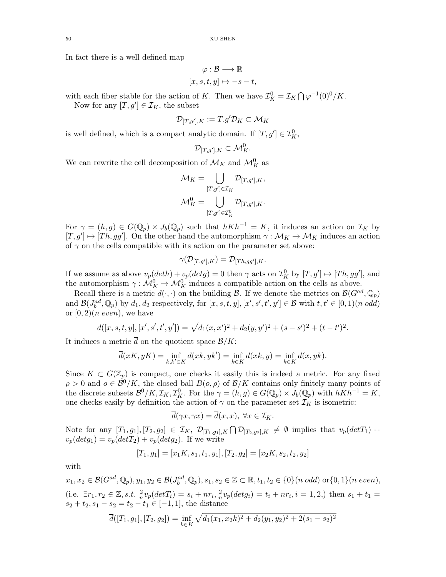In fact there is a well defined map

$$
\varphi : \mathcal{B} \longrightarrow \mathbb{R}
$$
  

$$
[x, s, t, y] \mapsto -s - t,
$$

with each fiber stable for the action of K. Then we have  $\mathcal{I}_K^0 = \mathcal{I}_K \bigcap \varphi^{-1}(0)^0/K$ .

Now for any  $[T, g'] \in \mathcal{I}_K$ , the subset

$$
\mathcal{D}_{[T,g'],K} := T.g' \mathcal{D}_K \subset \mathcal{M}_K
$$

is well defined, which is a compact analytic domain. If  $[T, g'] \in \mathcal{I}_{K}^{0}$ ,

$$
\mathcal{D}_{[T,g'],K} \subset \mathcal{M}_K^0.
$$

We can rewrite the cell decomposition of  $\mathcal{M}_K$  and  $\mathcal{M}_K^0$  as

$$
\mathcal{M}_K = \bigcup_{[T,g'] \in \mathcal{I}_K} \mathcal{D}_{[T,g'],K},
$$
  

$$
\mathcal{M}_K^0 = \bigcup_{[T,g'] \in \mathcal{I}_K^0} \mathcal{D}_{[T,g'],K}.
$$

For  $\gamma = (h, g) \in G(\mathbb{Q}_p) \times J_b(\mathbb{Q}_p)$  such that  $hKh^{-1} = K$ , it induces an action on  $\mathcal{I}_K$  by  $[T, g'] \mapsto [Th, gg']$ . On the other hand the automorphism  $\gamma : \mathcal{M}_K \to \mathcal{M}_K$  induces an action of  $\gamma$  on the cells compatible with its action on the parameter set above:

$$
\gamma(\mathcal{D}_{[T,g'],K})=\mathcal{D}_{[Th,gg'],K}.
$$

If we assume as above  $v_p(deth) + v_p(detg) = 0$  then  $\gamma$  acts on  $\mathcal{I}_K^0$  by  $[T, g'] \mapsto [Th, gg']$ , and the automorphism  $\gamma: \mathcal{M}_K^0 \to \mathcal{M}_K^0$  induces a compatible action on the cells as above.

Recall there is a metric  $d(\cdot, \cdot)$  on the building  $\mathcal{B}$ . If we denote the metrics on  $\mathcal{B}(G^{ad}, \mathbb{Q}_p)$ and  $\mathcal{B}(J_b^{ad}, \mathbb{Q}_p)$  by  $d_1, d_2$  respectively, for  $[x, s, t, y], [x', s', t', y'] \in \mathcal{B}$  with  $t, t' \in [0, 1)$  (n odd) or  $[0, 2)$  (*n* even), we have

$$
d([x, s, t, y], [x', s', t', y']) = \sqrt{d_1(x, x')^2 + d_2(y, y')^2 + (s - s')^2 + (t - t')^2}.
$$

It induces a metric d on the quotient space  $\mathcal{B}/K$ :

$$
\overline{d}(xK, yK) = \inf_{k,k' \in K} d(xk, yk') = \inf_{k \in K} d(xk, y) = \inf_{k \in K} d(x, yk).
$$

Since  $K \subset G(\mathbb{Z}_p)$  is compact, one checks it easily this is indeed a metric. For any fixed  $\rho > 0$  and  $o \in \mathcal{B}^0/K$ , the closed ball  $B(o, \rho)$  of  $\mathcal{B}/K$  contains only finitely many points of the discrete subsets  $\mathcal{B}^0/K, \mathcal{I}_K, \mathcal{I}_K^0$ . For the  $\gamma = (h, g) \in G(\mathbb{Q}_p) \times J_b(\mathbb{Q}_p)$  with  $hKh^{-1} = K$ , one checks easily by definition the action of  $\gamma$  on the parameter set  $\mathcal{I}_K$  is isometric:

$$
\overline{d}(\gamma x, \gamma x) = \overline{d}(x, x), \ \forall x \in \mathcal{I}_K.
$$

Note for any  $[T_1, g_1], [T_2, g_2] \in \mathcal{I}_K$ ,  $\mathcal{D}_{[T_1, g_1], K} \cap \mathcal{D}_{[T_2, g_2], K} \neq \emptyset$  implies that  $v_p(detT_1)$  +  $v_p(detg_1) = v_p(detT_2) + v_p(detg_2)$ . If we write

$$
[T_1, g_1] = [x_1K, s_1, t_1, y_1], [T_2, g_2] = [x_2K, s_2, t_2, y_2]
$$

with

$$
x_1, x_2 \in \mathcal{B}(G^{ad}, \mathbb{Q}_p), y_1, y_2 \in \mathcal{B}(J_b^{ad}, \mathbb{Q}_p), s_1, s_2 \in \mathbb{Z} \subset \mathbb{R}, t_1, t_2 \in \{0\}(n \text{ odd}) \text{ or } \{0, 1\}(n \text{ even}),
$$
  
(i.e.  $\exists r_1, r_2 \in \mathbb{Z}, s.t. \frac{2}{n}v_p(detT_i) = s_i + nr_i, \frac{2}{n}v_p(detg_i) = t_i + nr_i, i = 1, 2,$ ) then  $s_1 + t_1 = s_2 + t_2, s_1 - s_2 = t_2 - t_1 \in [-1, 1]$ , the distance

$$
\overline{d}([T_1, g_1], [T_2, g_2]) = \inf_{k \in K} \sqrt{d_1(x_1, x_2 k)^2 + d_2(y_1, y_2)^2 + 2(s_1 - s_2)^2}
$$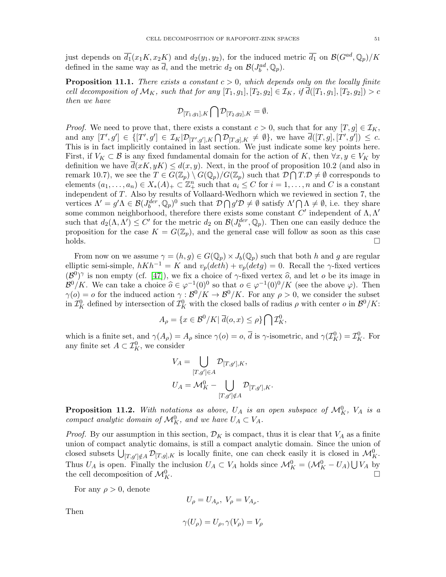just depends on  $\overline{d_1}(x_1K, x_2K)$  and  $d_2(y_1, y_2)$ , for the induced metric  $\overline{d_1}$  on  $\mathcal{B}(G^{ad}, \mathbb{Q}_p)/K$ defined in the same way as  $\overline{d}$ , and the metric  $d_2$  on  $\mathcal{B}(J_b^{ad}, \mathbb{Q}_p)$ .

**Proposition 11.1.** There exists a constant  $c > 0$ , which depends only on the locally finite cell decomposition of  $\mathcal{M}_K$ , such that for any  $[T_1, g_1], [T_2, g_2] \in \mathcal{I}_K$ , if  $\overline{d}([T_1, g_1], [T_2, g_2]) > c$ then we have

$$
\mathcal{D}_{[T_1,g_1],K}\bigcap \mathcal{D}_{[T_2,g_2],K}=\emptyset.
$$

*Proof.* We need to prove that, there exists a constant  $c > 0$ , such that for any  $[T, g] \in \mathcal{I}_K$ , and any  $[T', g'] \in \{ [T', g'] \in \mathcal{I}_K | \mathcal{D}_{[T', g'], K} \cap \mathcal{D}_{[T,g], K} \neq \emptyset \}$ , we have  $\overline{d}([T, g], [T', g']) \leq c$ . This is in fact implicitly contained in last section. We just indicate some key points here. First, if  $V_K \subset \mathcal{B}$  is any fixed fundamental domain for the action of K, then  $\forall x, y \in V_K$  by definition we have  $\overline{d}(xK, yK) \leq d(x, y)$ . Next, in the proof of proposition 10.2 (and also in remark 10.7), we see the  $T \in G(\mathbb{Z}_p) \setminus G(\mathbb{Q}_p)/G(\mathbb{Z}_p)$  such that  $\mathcal{D} \cap T \cdot \mathcal{D} \neq \emptyset$  corresponds to elements  $(a_1, \ldots, a_n) \in X_*(A)_+ \subset \mathbb{Z}_+^n$  such that  $a_i \leq C$  for  $i = 1, \ldots, n$  and C is a constant independent of T. Also by results of Vollaard-Wedhorn which we reviewed in section 7, the vertices  $\Lambda' = g'\Lambda \in \mathcal{B}(J_b^{der}, \mathbb{Q}_p)^0$  such that  $\mathcal{D} \cap g'\mathcal{D} \neq \emptyset$  satisfy  $\Lambda' \cap \Lambda \neq \emptyset$ , i.e. they share some common neighborhood, therefore there exists some constant  $C'$  independent of  $\Lambda, \Lambda'$ such that  $d_2(\Lambda, \Lambda') \leq C'$  for the metric  $d_2$  on  $\mathcal{B}(J_b^{der}, \mathbb{Q}_p)$ . Then one can easily deduce the proposition for the case  $K = G(\mathbb{Z}_p)$ , and the general case will follow as soon as this case  $\Box$ holds.

From now on we assume  $\gamma = (h, g) \in G(\mathbb{Q}_p) \times J_b(\mathbb{Q}_p)$  such that both h and g are regular elliptic semi-simple,  $hKh^{-1} = K$  and  $v_p(deth) + v_p(detg) = 0$ . Recall the γ-fixed vertices  $(\mathcal{B}^0)^\gamma$  is non empty (cf. [\[47\]](#page-56-26)), we fix a choice of  $\gamma$ -fixed vertex  $\hat{o}$ , and let  $o$  be its image in<br> $\mathcal{B}^{0}/K$ ,  $W_1$  are taken a shair  $\hat{o}$   $\epsilon$  will  $(0,0)$  as that  $\epsilon \epsilon$   $\epsilon$  will  $(0,0)/K$  (see the sha  $\mathcal{B}^0/K$ . We can take a choice  $\widehat{o} \in \varphi^{-1}(0)^0$  so that  $o \in \varphi^{-1}(0)^0/K$  (see the above  $\varphi$ ). Then  $\gamma(o) = o$  for the induced action  $\gamma : \mathcal{B}^0/K \to \mathcal{B}^0/K$ . For any  $\rho > 0$ , we consider the subset in  $\mathcal{I}_K^0$  defined by intersection of  $\mathcal{I}_K^0$  with the closed balls of radius  $\rho$  with center  $o$  in  $\mathcal{B}^0/K$ :

$$
A_{\rho} = \{ x \in \mathcal{B}^0 / K | \overline{d}(o, x) \le \rho \} \bigcap \mathcal{I}_K^0,
$$

which is a finite set, and  $\gamma(A_\rho) = A_\rho$  since  $\gamma(o) = o$ ,  $\overline{d}$  is  $\gamma$ -isometric, and  $\gamma(\mathcal{I}_K^0) = \mathcal{I}_K^0$ . For any finite set  $A \subset \mathcal{I}_{K}^0$ , we consider

$$
V_A = \bigcup_{[T,g'] \in A} \mathcal{D}_{[T,g'],K},
$$
  

$$
U_A = \mathcal{M}_K^0 - \bigcup_{[T,g'] \notin A} \mathcal{D}_{[T,g'],K}.
$$

**Proposition 11.2.** With notations as above,  $U_A$  is an open subspace of  $\mathcal{M}_K^0$ ,  $V_A$  is a compact analytic domain of  $\mathcal{M}_K^0$ , and we have  $U_A \subset V_A$ .

*Proof.* By our assumption in this section,  $\mathcal{D}_K$  is compact, thus it is clear that  $V_A$  as a finite union of compact analytic domains, is still a compact analytic domain. Since the union of closed subsets  $\bigcup_{[T,g']\notin A} \mathcal{D}_{[T,g],K}$  is locally finite, one can check easily it is closed in  $\mathcal{M}_{K}^{0}$ . Thus  $U_A$  is open. Finally the inclusion  $U_A \subset V_A$  holds since  $\mathcal{M}_K^0 = (\mathcal{M}_K^0 - U_A) \bigcup V_A$  by the cell decomposition of  $\mathcal{M}_K^0$ .  $K$ .

For any  $\rho > 0$ , denote

$$
U_{\rho} = U_{A_{\rho}}, \ V_{\rho} = V_{A_{\rho}}.
$$

$$
\gamma(U_{\rho}) = U_{\rho}, \gamma(V_{\rho}) = V_{\rho}
$$

Then

$$
\gamma(U_\rho)=U_\rho, \gamma(V_\rho)=V_\rho
$$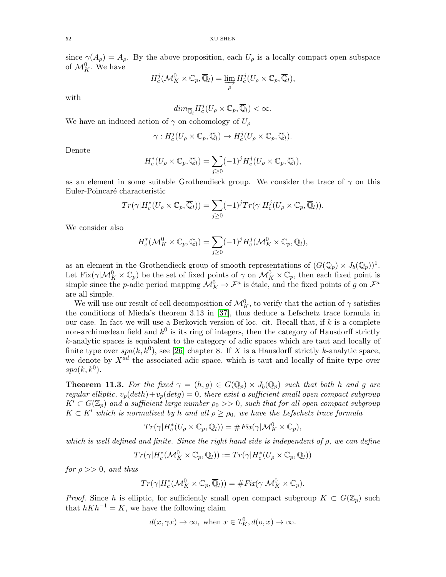since  $\gamma(A_\rho) = A_\rho$ . By the above proposition, each  $U_\rho$  is a locally compact open subspace of  $\mathcal{M}_K^0$ . We have

$$
H_c^j(\mathcal{M}_K^0 \times \mathbb{C}_p, \overline{\mathbb{Q}}_l) = \varinjlim_{\rho} H_c^j(U_\rho \times \mathbb{C}_p, \overline{\mathbb{Q}}_l),
$$

with

$$
dim_{\overline{\mathbb{Q}}_l} H_c^j(U_\rho \times \mathbb{C}_p, \overline{\mathbb{Q}}_l) < \infty.
$$

We have an induced action of  $\gamma$  on cohomology of  $U_{\rho}$ 

$$
\gamma: H_c^j(U_\rho \times \mathbb{C}_p, \overline{\mathbb{Q}}_l) \to H_c^j(U_\rho \times \mathbb{C}_p, \overline{\mathbb{Q}}_l).
$$

Denote

$$
H_c^*(U_\rho \times \mathbb{C}_p, \overline{\mathbb{Q}}_l) = \sum_{j \geq 0} (-1)^j H_c^j(U_\rho \times \mathbb{C}_p, \overline{\mathbb{Q}}_l),
$$

as an element in some suitable Grothendieck group. We consider the trace of  $\gamma$  on this Euler-Poincaré characteristic

$$
Tr(\gamma|H_c^*(U_{\rho}\times\mathbb{C}_p,\overline{\mathbb{Q}}_l))=\sum_{j\geq 0}(-1)^jTr(\gamma|H_c^j(U_{\rho}\times\mathbb{C}_p,\overline{\mathbb{Q}}_l)).
$$

We consider also

$$
H_c^*(\mathcal{M}_K^0 \times \mathbb{C}_p, \overline{\mathbb{Q}}_l) = \sum_{j \geq 0} (-1)^j H_c^j(\mathcal{M}_K^0 \times \mathbb{C}_p, \overline{\mathbb{Q}}_l),
$$

as an element in the Grothendieck group of smooth representations of  $(G(\mathbb{Q}_p) \times J_b(\mathbb{Q}_p))^1$ . Let  $Fix(\gamma|\mathcal{M}_K^0\times\mathbb{C}_p)$  be the set of fixed points of  $\gamma$  on  $\mathcal{M}_K^0\times\mathbb{C}_p$ , then each fixed point is simple since the *p*-adic period mapping  $\mathcal{M}_K^0 \to \mathcal{F}^a$  is étale, and the fixed points of g on  $\mathcal{F}^a$ are all simple.

We will use our result of cell decomposition of  $\mathcal{M}_K^0$ , to verify that the action of  $\gamma$  satisfies the conditions of Mieda's theorem 3.13 in [\[37\]](#page-56-2), thus deduce a Lefschetz trace formula in our case. In fact we will use a Berkovich version of loc. cit. Recall that, if  $k$  is a complete non-archimedean field and  $k^0$  is its ring of integers, then the category of Hausdorff strictly k-analytic spaces is equivalent to the category of adic spaces which are taut and locally of finite type over  $spa(k, k^0)$ , see [\[26\]](#page-56-27) chapter 8. If X is a Hausdorff strictly k-analytic space, we denote by  $X^{ad}$  the associated adic space, which is taut and locally of finite type over  $spa(k, k^0)$ .

**Theorem 11.3.** For the fixed  $\gamma = (h, g) \in G(\mathbb{Q}_p) \times J_b(\mathbb{Q}_p)$  such that both h and g are regular elliptic,  $v_p(deth) + v_p(detg) = 0$ , there exist a sufficient small open compact subgroup  $K' \subset G(\mathbb{Z}_p)$  and a sufficient large number  $\rho_0 >> 0$ , such that for all open compact subgroup  $K \subset K'$  which is normalized by h and all  $\rho \ge \rho_0$ , we have the Lefschetz trace formula

$$
Tr(\gamma|H_c^*(U_\rho\times\mathbb{C}_p,\overline{\mathbb{Q}}_l))=\#Fix(\gamma|\mathcal{M}_K^0\times\mathbb{C}_p),
$$

which is well defined and finite. Since the right hand side is independent of  $\rho$ , we can define

$$
Tr(\gamma|H_c^*(\mathcal{M}_K^0 \times \mathbb{C}_p, \overline{\mathbb{Q}}_l)) := Tr(\gamma|H_c^*(U_\rho \times \mathbb{C}_p, \overline{\mathbb{Q}}_l))
$$

for  $\rho >> 0$ , and thus

$$
Tr(\gamma|H_c^*(\mathcal{M}_K^0 \times \mathbb{C}_p, \overline{\mathbb{Q}}_l)) = \# Fix(\gamma|\mathcal{M}_K^0 \times \mathbb{C}_p).
$$

*Proof.* Since h is elliptic, for sufficiently small open compact subgroup  $K \subset G(\mathbb{Z}_p)$  such that  $hKh^{-1} = K$ , we have the following claim

$$
\overline{d}(x,\gamma x) \to \infty
$$
, when  $x \in \mathcal{I}_K^0, \overline{d}(o,x) \to \infty$ .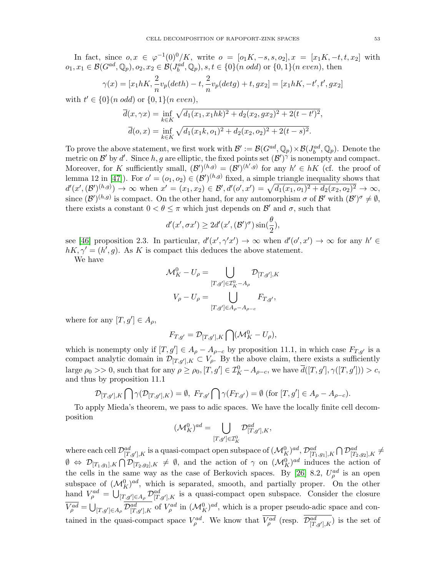In fact, since  $o, x \in \varphi^{-1}(0)^0/K$ , write  $o = [o_1K, -s, s, o_2], x = [x_1K, -t, t, x_2]$  with  $o_1, x_1 \in \mathcal{B}(G^{ad}, \mathbb{Q}_p), o_2, x_2 \in \mathcal{B}(J_b^{ad}, \mathbb{Q}_p), s, t \in \{0\}(n \text{ odd}) \text{ or } \{0, 1\}(n \text{ even}), \text{ then}$ 

$$
\gamma(x) = [x_1 hK, \frac{2}{n} v_p(deth) - t, \frac{2}{n} v_p(detg) + t, gx_2] = [x_1 hK, -t', t', gx_2]
$$

with  $t' \in \{0\} (n \text{ odd}) \text{ or } \{0,1\} (n \text{ even}),$ 

$$
\overline{d}(x,\gamma x) = \inf_{k \in K} \sqrt{d_1(x_1,x_1hk)^2 + d_2(x_2,gx_2)^2 + 2(t-t')^2},
$$
  

$$
\overline{d}(o,x) = \inf_{k \in K} \sqrt{d_1(x_1k,o_1)^2 + d_2(x_2,o_2)^2 + 2(t-s)^2}.
$$

To prove the above statement, we first work with  $\mathcal{B}' := \mathcal{B}(G^{ad}, \mathbb{Q}_p) \times \mathcal{B}(J^{ad}_b, \mathbb{Q}_p)$ . Denote the metric on  $\mathcal{B}'$  by d'. Since  $h, g$  are elliptic, the fixed points set  $(\mathcal{B}')^{\gamma}$  is nonempty and compact. Moreover, for K sufficiently small,  $(\mathcal{B}')^{(h,g)} = (\mathcal{B}')^{(h',g)}$  for any  $h' \in hK$  (cf. the proof of lemma 12 in [\[47\]](#page-56-26)). For  $o' = (o_1, o_2) \in (\mathcal{B}')^{(h,g)}$  fixed, a simple triangle inequality shows that  $d'(x', (\mathcal{B}')^{(h,g)}) \to \infty$  when  $x' = (x_1, x_2) \in \mathcal{B}', d'(o', x') = \sqrt{d_1(x_1, o_1)^2 + d_2(x_2, o_2)^2} \to \infty$ , since  $(\mathcal{B}')^{(h,g)}$  is compact. On the other hand, for any automorphism  $\sigma$  of  $\mathcal{B}'$  with  $(\mathcal{B}')^{\sigma} \neq \emptyset$ , there exists a constant  $0 < \theta \leq \pi$  which just depends on  $\mathcal{B}'$  and  $\sigma$ , such that

$$
d'(x', \sigma x') \ge 2d'(x', (\mathcal{B}')^{\sigma})\sin(\frac{\theta}{2}),
$$

see [\[46\]](#page-56-28) proposition 2.3. In particular,  $d'(x', \gamma' x') \to \infty$  when  $d'(\sigma', x') \to \infty$  for any  $h' \in$  $hK, \gamma' = (h', g)$ . As K is compact this deduces the above statement.

We have

$$
\mathcal{M}_K^0 - U_\rho = \bigcup_{[T,g'] \in \mathcal{I}_K^0 - A_\rho} \mathcal{D}_{[T,g'],K}
$$
  

$$
V_\rho - U_\rho = \bigcup_{[T,g'] \in A_\rho - A_{\rho-c}} F_{T,g'},
$$

where for any  $[T, g'] \in A_{\rho}$ ,

$$
F_{T,g'} = \mathcal{D}_{[T,g'],K} \bigcap (\mathcal{M}_K^0 - U_\rho),
$$

which is nonempty only if  $[T, g'] \in A_{\rho} - A_{\rho-c}$  by proposition 11.1, in which case  $F_{T,g'}$  is a compact analytic domain in  $\mathcal{D}_{[T,g'],K} \subset V_{\rho}$ . By the above claim, there exists a sufficiently large  $\rho_0 >> 0$ , such that for any  $\rho \geq \rho_0$ ,  $[T, g'] \in \mathcal{I}_{K}^0 - A_{\rho-c}$ , we have  $\overline{d}([T, g'], \gamma([T, g']) > c$ , and thus by proposition 11.1

$$
\mathcal{D}_{[T,g'],K} \bigcap \gamma(\mathcal{D}_{[T,g'],K}) = \emptyset, \ F_{T,g'} \bigcap \gamma(F_{T,g'}) = \emptyset \ (\text{for } [T,g'] \in A_{\rho} - A_{\rho-c}).
$$

To apply Mieda's theorem, we pass to adic spaces. We have the locally finite cell decomposition

$$
(\mathcal{M}_K^0)^{ad}=\bigcup_{[T,g']\in \mathcal{I}_K^0}\mathcal{D}_{[T,g'],K}^{ad},
$$

where each cell  $\mathcal{D}^{ad}_{[T,g'],K}$  is a quasi-compact open subspace of  $(\mathcal{M}^0_K)^{ad}, \mathcal{D}^{ad}_{[T_1,g_1],K} \bigcap \mathcal{D}^{ad}_{[T_2,g_2],K} \neq 0$  $\emptyset \Leftrightarrow \mathcal{D}_{[T_1,g_1],K} \bigcap \mathcal{D}_{[T_2,g_2],K} \neq \emptyset$ , and the action of  $\gamma$  on  $(\mathcal{M}_K^0)^{ad}$  induces the action of the cells in the same way as the case of Berkovich spaces. By [\[26\]](#page-56-27) 8.2,  $U_{\rho}^{ad}$  is an open subspace of  $({\cal M}_K^0)^{ad}$ , which is separated, smooth, and partially proper. On the other hand  $V_{\rho}^{ad} = \bigcup_{[T,g'] \in A_{\rho}} \mathcal{D}_{[T,g'],K}^{ad}$  is a quasi-compact open subspace. Consider the closure  $\overline{V_{\rho}^{ad}} = \bigcup_{[T,g'] \in A_{\rho}} \overline{\mathcal{D}_{[T,g'],K}^{ad}}$  of  $V_{\rho}^{ad}$  in  $(\mathcal{M}_{K}^{0})^{ad}$ , which is a proper pseudo-adic space and contained in the quasi-compact space  $V_{\rho}^{ad}$ . We know that  $V_{\rho}^{ad}$  (resp.  $\mathcal{D}_{[T,g'],K}^{ad}$ ) is the set of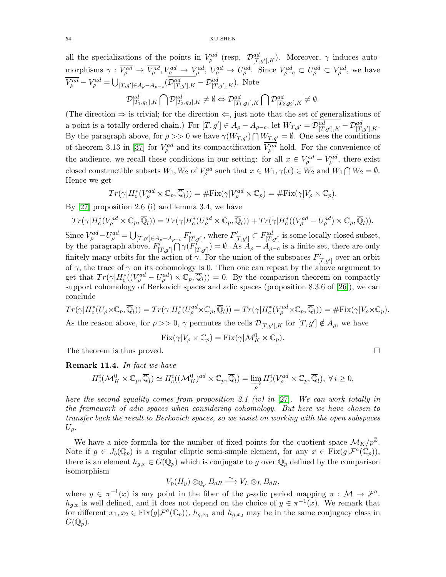all the specializations of the points in  $V^{ad}_{\rho}$  (resp.  $\mathcal{D}^{ad}_{[T,g'],K}$ ). Moreover,  $\gamma$  induces automorphisms  $\gamma: V_{\rho}^{ad} \to V_{\rho}^{ad}, V_{\rho}^{ad} \to V_{\rho}^{ad}, U_{\rho}^{ad} \to U_{\rho}^{ad}.$  Since  $V_{\rho-c}^{ad} \subset U_{\rho}^{ad} \subset V_{\rho}^{ad}$ , we have  $\overline{V_{\rho}^{ad}} - V_{\rho}^{ad} = \bigcup_{[T,g'] \in A_{\rho}-A_{\rho-c}} (\mathcal{D}_{[T,g'],K}^{ad} - \mathcal{D}_{[T,g'],K}^{ad})$ . Note  $\mathcal{D}^{ad}_{[T_1,g_1],K} \bigcap \mathcal{D}^{ad}_{[T_2,g_2],K} \neq \emptyset \Leftrightarrow \overline{\mathcal{D}^{ad}_{[T_1,g_1],K}} \bigcap \overline{\mathcal{D}^{ad}_{[T_2,g_2],K}} \neq \emptyset.$ 

(The direction  $\Rightarrow$  is trivial; for the direction  $\Leftarrow$ , just note that the set of generalizations of a point is a totally ordered chain.) For  $[T, g'] \in A_{\rho} - A_{\rho-c}$ , let  $W_{T,g'} = \mathcal{D}^{ad}_{[T,g'],K} - \mathcal{D}^{ad}_{[T,g'],K}$ . By the paragraph above, for  $\rho >> 0$  we have  $\gamma(W_{T,g'}) \bigcap W_{T,g'} = \emptyset$ . One sees the conditions of theorem 3.13 in [\[37\]](#page-56-2) for  $V_{\rho}^{ad}$  and its compactification  $V_{\rho}^{ad}$  hold. For the convenience of the audience, we recall these conditions in our setting: for all  $x \in V_{\rho}^{ad} - V_{\rho}^{ad}$ , there exist closed constructible subsets  $W_1, W_2$  of  $\overline{V_{\rho}^{ad}}$  such that  $x \in W_1, \gamma(x) \in W_2$  and  $W_1 \cap W_2 = \emptyset$ . Hence we get

$$
Tr(\gamma|H_c^*(V_\rho^{ad}\times\mathbb{C}_p,\overline{\mathbb{Q}}_l))=\#\mathrm{Fix}(\gamma|V_\rho^{ad}\times\mathbb{C}_p)=\#\mathrm{Fix}(\gamma|V_\rho\times\mathbb{C}_p).
$$

By [\[27\]](#page-56-29) proposition 2.6 (i) and lemma 3.4, we have

$$
Tr(\gamma|H_c^*(V_{\rho}^{ad}\times\mathbb{C}_p,\overline{\mathbb{Q}}_l))=Tr(\gamma|H_c^*(U_{\rho}^{ad}\times\mathbb{C}_p,\overline{\mathbb{Q}}_l))+Tr(\gamma|H_c^*((V_{\rho}^{ad}-U_{\rho}^{ad})\times\mathbb{C}_p,\overline{\mathbb{Q}}_l)).
$$

Since  $V_{\rho}^{ad}-U_{\rho}^{ad}=\bigcup_{[T,g']\in A_{\rho}-A_{\rho-c}}F'_{[T,g']}$ , where  $F'_{[T,g']} \subset F_{[T,g']}^{ad}$  is some locally closed subset, by the paragraph above,  $F^{\prime}_{[T,g']} \bigcap \gamma(F^{\prime}_{[T,g']} ) = \emptyset$ . As  $A_{\rho} - A_{\rho-c}$  is a finite set, there are only finitely many orbits for the action of  $\gamma$ . For the union of the subspaces  $F'_{[T,g']}$  over an orbit of  $\gamma$ , the trace of  $\gamma$  on its cohomology is 0. Then one can repeat by the above argument to get that  $Tr(\gamma|H_c^*((V_\rho^{ad}-U_\rho^{ad})\times\mathbb{C}_p,\overline{\mathbb{Q}}_l))=0$ . By the comparison theorem on compactly support cohomology of Berkovich spaces and adic spaces (proposition 8.3.6 of [\[26\]](#page-56-27)), we can conclude

$$
Tr(\gamma|H_c^*(U_{\rho}\times\mathbb{C}_p,\overline{\mathbb{Q}}_l))=Tr(\gamma|H_c^*(U_{\rho}^{ad}\times\mathbb{C}_p,\overline{\mathbb{Q}}_l))=Tr(\gamma|H_c^*(V_{\rho}^{ad}\times\mathbb{C}_p,\overline{\mathbb{Q}}_l))=\#\mathrm{Fix}(\gamma|V_{\rho}\times\mathbb{C}_p).
$$

As the reason above, for  $\rho \gg 0$ ,  $\gamma$  permutes the cells  $\mathcal{D}_{[T,g'],K}$  for  $[T,g'] \notin A_{\rho}$ , we have

$$
Fix(\gamma|V_{\rho}\times\mathbb{C}_p)=Fix(\gamma|\mathcal{M}_K^0\times\mathbb{C}_p).
$$

The theorem is thus proved.

Remark 11.4. In fact we have

$$
H_c^i(\mathcal{M}_K^0 \times \mathbb{C}_p, \overline{\mathbb{Q}}_l) \simeq H_c^i((\mathcal{M}_K^0)^{ad} \times \mathbb{C}_p, \overline{\mathbb{Q}}_l) = \varinjlim_{\rho} H_c^i(V_{\rho}^{ad} \times \mathbb{C}_p, \overline{\mathbb{Q}}_l), \ \forall \, i \geq 0,
$$

here the second equality comes from proposition 2.1 (iv) in [\[27\]](#page-56-29). We can work totally in the framework of adic spaces when considering cohomology. But here we have chosen to transfer back the result to Berkovich spaces, so we insist on working with the open subspaces  $U_{\rho}$ .

We have a nice formula for the number of fixed points for the quotient space  $\mathcal{M}_K/p^{\mathbb{Z}}$ . Note if  $g \in J_b(\mathbb{Q}_p)$  is a regular elliptic semi-simple element, for any  $x \in \text{Fix}(g|\mathcal{F}^a(\mathbb{C}_p)),$ there is an element  $h_{g,x} \in G(\mathbb{Q}_p)$  which is conjugate to g over  $\overline{\mathbb{Q}}_p$  defined by the comparison isomorphism

$$
V_p(H_y)\otimes_{\mathbb{Q}_p} B_{dR} \stackrel{\sim}{\longrightarrow} V_L \otimes_L B_{dR},
$$

where  $y \in \pi^{-1}(x)$  is any point in the fiber of the *p*-adic period mapping  $\pi : \mathcal{M} \to \mathcal{F}^a$ .  $h_{g,x}$  is well defined, and it does not depend on the choice of  $y \in \pi^{-1}(x)$ . We remark that for different  $x_1, x_2 \in \text{Fix}(g|\mathcal{F}^a(\mathbb{C}_p))$ ,  $h_{g,x_1}$  and  $h_{g,x_2}$  may be in the same conjugacy class in  $G(\mathbb{Q}_p).$ 

$$
\Box
$$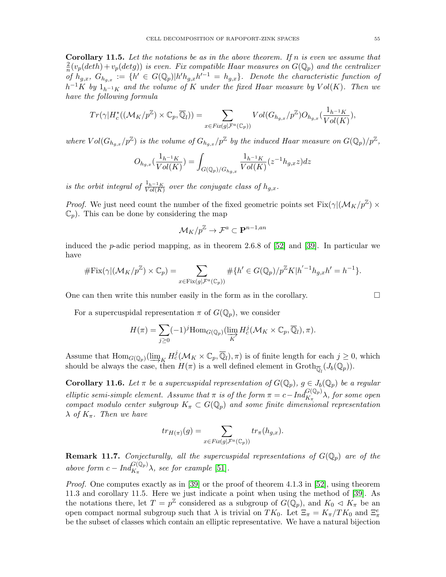**Corollary 11.5.** Let the notations be as in the above theorem. If  $n$  is even we assume that 2  $\frac{2}{n}(v_p(deth)+v_p(detg))$  is even. Fix compatible Haar measures on  $G(\mathbb{Q}_p)$  and the centralizer of  $h_{g,x}$ ,  $G_{h_{g,x}} := \{h' \in G(\mathbb{Q}_p)|h'h_{g,x}h'^{-1} = h_{g,x}\}.$  Denote the characteristic function of  $h^{-1}K$  by  $1_{h^{-1}K}$  and the volume of K under the fixed Haar measure by  $Vol(K)$ . Then we have the following formula

$$
Tr(\gamma|H_c^*((\mathcal{M}_K/p^{\mathbb{Z}})\times\mathbb{C}_p,\overline{\mathbb{Q}}_l))=\sum_{x\in Fix(g|\mathcal{F}^a(\mathbb{C}_p))} Vol(G_{h_{g,x}}/p^{\mathbb{Z}})O_{h_{g,x}}(\frac{1_{h^{-1}K}}{Vol(K)}),
$$

where  $Vol(G_{h_{g,x}}/p^{\mathbb{Z}})$  is the volume of  $G_{h_{g,x}}/p^{\mathbb{Z}}$  by the induced Haar measure on  $G(\mathbb{Q}_p)/p^{\mathbb{Z}}$ ,

$$
O_{h_{g,x}}(\frac{1_{h^{-1}K}}{Vol(K)}) = \int_{G(\mathbb{Q}_p)/G_{h_{g,x}}}\frac{1_{h^{-1}K}}{Vol(K)}(z^{-1}h_{g,x}z)dz
$$

is the orbit integral of  $\frac{1_{h-1_K}}{Vol(K)}$  over the conjugate class of  $h_{g,x}$ .

*Proof.* We just need count the number of the fixed geometric points set  $Fix(\gamma |(\mathcal{M}_K/p^{\mathbb{Z}}) \times$  $\mathbb{C}_p$ ). This can be done by considering the map

$$
{\mathcal M}_K/p^\Z \to {\mathcal F}^a \subset {\mathbf P}^{n-1,an}
$$

induced the *p*-adic period mapping, as in theorem 2.6.8 of [\[52\]](#page-57-2) and [\[39\]](#page-56-15). In particular we have

$$
\# \mathrm{Fix}(\gamma |(\mathcal{M}_K/p^{\mathbb{Z}}) \times \mathbb{C}_p) = \sum_{x \in \mathrm{Fix}(g | \mathcal{F}^a(\mathbb{C}_p))} \# \{ h' \in G(\mathbb{Q}_p) / p^{\mathbb{Z}} K | h'^{-1} h_{g,x} h' = h^{-1} \}.
$$

One can then write this number easily in the form as in the corollary.

For a supercuspidal representation  $\pi$  of  $G(\mathbb{Q}_p)$ , we consider

$$
H(\pi) = \sum_{j\geq 0} (-1)^j \text{Hom}_{G(\mathbb{Q}_p)}(\varinjlim_K H_c^j(\mathcal{M}_K \times \mathbb{C}_p, \overline{\mathbb{Q}}_l), \pi).
$$

Assume that  $\text{Hom}_{G(\mathbb{Q}_p)}(\varinjlim_K H_c^j(\mathcal{M}_K \times \mathbb{C}_p, \overline{\mathbb{Q}}_l), \pi)$  is of finite length for each  $j \geq 0$ , which should be always the case then  $H(\pi)$  is a well defined element in Croth–  $(L(\mathbb{Q}))$ should be always the case, then  $H(\pi)$  is a well defined element in  $\text{Groth}_{\overline{\mathbb{Q}}_l}(J_b(\mathbb{Q}_p)).$ 

**Corollary 11.6.** Let  $\pi$  be a supercuspidal representation of  $G(\mathbb{Q}_p)$ ,  $g \in J_b(\mathbb{Q}_p)$  be a regular elliptic semi-simple element. Assume that  $\pi$  is of the form  $\pi = c - Ind_{K_{\pi}}^{G(\mathbb{Q}_p)} \lambda$ , for some open compact modulo center subgroup  $K_{\pi} \subset G(\mathbb{Q}_p)$  and some finite dimensional representation  $\lambda$  of  $K_{\pi}$ . Then we have

$$
tr_{H(\pi)}(g)=\sum_{x\in Fix(g|\mathcal F^a(\mathbb C_p))}tr_{\pi}(h_{g,x}).
$$

**Remark 11.7.** Conjecturally, all the supercuspidal representations of  $G(\mathbb{Q}_p)$  are of the above form  $c - Ind_{K_{\pi}}^{G(\mathbb{Q}_p)} \lambda$ , see for example [\[51\]](#page-57-7).

Proof. One computes exactly as in [\[39\]](#page-56-15) or the proof of theorem 4.1.3 in [\[52\]](#page-57-2), using theorem 11.3 and corollary 11.5. Here we just indicate a point when using the method of [\[39\]](#page-56-15). As the notations there, let  $T = p^{\mathbb{Z}}$  considered as a subgroup of  $G(\mathbb{Q}_p)$ , and  $K_0 \lhd K_{\pi}$  be an open compact normal subgroup such that  $\lambda$  is trivial on  $TK_0$ . Let  $\Xi_{\pi} = K_{\pi}/TK_0$  and  $\Xi_{\pi}^e$ be the subset of classes which contain an elliptic representative. We have a natural bijection

$$
\Box
$$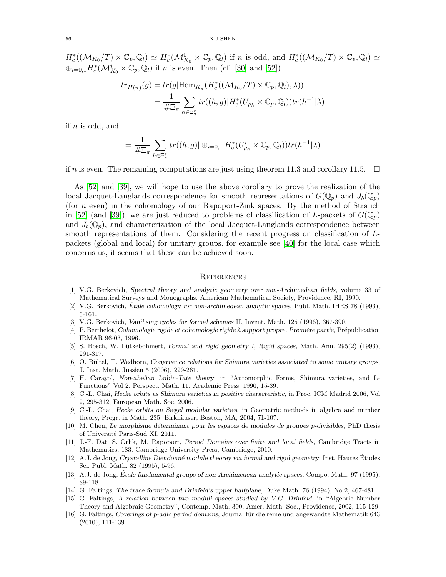$H_c^*((\mathcal{M}_{K_0}/T)\times \mathbb{C}_p,\overline{\mathbb{Q}}_l)\simeq H_c^*(\mathcal{M}_{K_0}^0\times \mathbb{C}_p,\overline{\mathbb{Q}}_l)$  if n is odd, and  $H_c^*((\mathcal{M}_{K_0}/T)\times \mathbb{C}_p,\overline{\mathbb{Q}}_l)\simeq$  $\oplus_{i=0,1} H_c^*({\mathcal M}_{K_0}^i \times {\mathbb C}_p, \overline{\mathbb{Q}}_l)$  if *n* is even. Then (cf. [\[30\]](#page-56-30) and [\[52\]](#page-57-2))

$$
tr_{H(\pi)}(g) = tr(g|\text{Hom}_{K_{\pi}}(H_c^*((\mathcal{M}_{K_0}/T) \times \mathbb{C}_p, \overline{\mathbb{Q}}_l), \lambda))
$$
  
= 
$$
\frac{1}{\#\Xi_{\pi}} \sum_{h \in \Xi_{\pi}^e} tr((h, g)|H_c^*(U_{\rho_h} \times \mathbb{C}_p, \overline{\mathbb{Q}}_l))tr(h^{-1}|\lambda)
$$

if  $n$  is odd, and

$$
= \frac{1}{\# \Xi_{\pi}} \sum_{h \in \Xi_{\pi}^{e}} tr((h, g) | \oplus_{i=0,1} H_{c}^{*}(U_{\rho_{h}}^{i} \times \mathbb{C}_{p}, \overline{\mathbb{Q}}_{l})) tr(h^{-1}|\lambda)
$$

if n is even. The remaining computations are just using theorem 11.3 and corollary 11.5.  $\Box$ 

As [\[52\]](#page-57-2) and [\[39\]](#page-56-15), we will hope to use the above corollary to prove the realization of the local Jacquet-Langlands correspondence for smooth representations of  $G(\mathbb{Q}_p)$  and  $J_b(\mathbb{Q}_p)$ (for n even) in the cohomology of our Rapoport-Zink spaces. By the method of Strauch in [\[52\]](#page-57-2) (and [\[39\]](#page-56-15)), we are just reduced to problems of classification of L-packets of  $G(\mathbb{Q}_p)$ and  $J_b(\mathbb{Q}_p)$ , and characterization of the local Jacquet-Langlands correspondence between smooth representations of them. Considering the recent progress on classification of Lpackets (global and local) for unitary groups, for example see [\[40\]](#page-56-31) for the local case which concerns us, it seems that these can be achieved soon.

#### <span id="page-55-0"></span>**REFERENCES**

- <span id="page-55-4"></span>[1] V.G. Berkovich, *Spectral theory and analytic geometry over non-Archimedean fields*, volume 33 of Mathematical Surveys and Monographs. American Mathematical Society, Providence, RI, 1990.
- <span id="page-55-5"></span>[2] V.G. Berkovich, Étale cohomology for non-archimedean analytic spaces, Publ. Math. IHES 78 (1993), 5-161.
- <span id="page-55-14"></span>[3] V.G. Berkovich, *Vanihsing cycles for formal schemes* II, Invent. Math. 125 (1996), 367-390.
- <span id="page-55-11"></span>[4] P. Berthelot, *Cohomologie rigide et cohomologie rigide à support propre, Première partie*, Prépublication IRMAR 96-03, 1996.
- <span id="page-55-12"></span>[5] S. Bosch, W. L¨utkebohmert, *Formal and rigid geometry I, Rigid spaces*, Math. Ann. 295(2) (1993), 291-317.
- <span id="page-55-9"></span>[6] O. B¨ultel, T. Wedhorn, *Congruence relations for Shimura varieties associated to some unitary groups*, J. Inst. Math. Jussieu 5 (2006), 229-261.
- <span id="page-55-1"></span>[7] H. Carayol, *Non-abelian Lubin-Tate theory*, in "Automorphic Forms, Shimura varieties, and L-Functions" Vol 2, Perspect. Math. 11, Academic Press, 1990, 15-39.
- <span id="page-55-7"></span>[8] C.-L. Chai, *Hecke orbits as Shimura varieties in positive characteristic*, in Proc. ICM Madrid 2006, Vol 2, 295-312, European Math. Soc. 2006.
- <span id="page-55-8"></span>[9] C.-L. Chai, *Hecke orbits on Siegel modular varieties*, in Geometric methods in algebra and number theory, Progr. in Math. 235, Birkhäuser, Boston, MA, 2004, 71-107.
- <span id="page-55-10"></span>[10] M. Chen, *Le morphisme d´eterminant pour les espaces de modules de groupes* p*-divisibles*, PhD thesis of Université Paris-Sud XI, 2011.
- <span id="page-55-15"></span>[11] J.-F. Dat, S. Orlik, M. Rapoport, *Period Domains over finite and local fields*, Cambridge Tracts in Mathematics, 183. Cambridge University Press, Cambridge, 2010.
- <span id="page-55-13"></span>[12] A.J. de Jong, *Crystalline Dieudonn´e module theorey via formal and rigid geometry*, Inst. Hautes Etudes ´ Sci. Publ. Math. 82 (1995), 5-96.
- <span id="page-55-6"></span>[13] A.J. de Jong, *Étale fundamental groups of non-Archimedean analytic spaces*, Compo. Math. 97 (1995), 89-118.
- <span id="page-55-3"></span>[14] G. Faltings, *The trace formula and Drinfeld's upper halfplane*, Duke Math. 76 (1994), No.2, 467-481.
- <span id="page-55-2"></span>[15] G. Faltings, *A relation between two moduli spaces studied by V.G. Drinfeld*, in "Algebric Number Theory and Algebraic Geometry", Contemp. Math. 300, Amer. Math. Soc., Providence, 2002, 115-129.
- <span id="page-55-16"></span>[16] G. Faltings, *Coverings of p-adic period domains*, Journal für die reine und angewandte Mathematik 643 (2010), 111-139.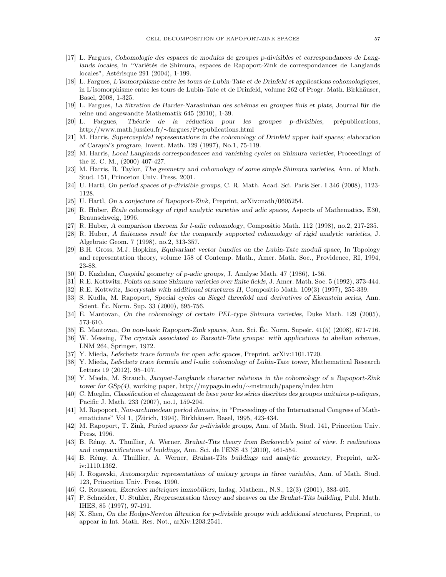- <span id="page-56-8"></span>[17] L. Fargues, *Cohomologie des espaces de modules de groupes p-divisibles et correspondances de Lang*lands locales, in "Variétés de Shimura, espaces de Rapoport-Zink de correspondances de Langlands locales", Astérisque 291 (2004), 1-199.
- <span id="page-56-6"></span>[18] L. Fargues, *L'isomorphisme entre les tours de Lubin-Tate et de Drinfeld et applications cohomologiques*, in L'isomorphisme entre les tours de Lubin-Tate et de Drinfeld, volume 262 of Progr. Math. Birkhäuser, Basel, 2008, 1-325.
- <span id="page-56-0"></span>[19] L. Fargues, *La filtration de Harder-Narasimhan des sch´emas en groupes finis et plats*, Journal f¨ur die reine und angewandte Mathematik 645 (2010), 1-39.
- <span id="page-56-1"></span>[20] L. Fargues, Théorie de la réduction pour les groupes p-divisibles, prépublications, http://www.math.jussieu.fr/∼fargues/Prepublications.html
- <span id="page-56-7"></span>[21] M. Harris, *Supercuspidal representations in the cohomology of Drinfeld upper half spaces; elaboration of Carayol's program*, Invent. Math. 129 (1997), No.1, 75-119.
- <span id="page-56-4"></span>[22] M. Harris, *Local Langlands correspondences and vanishing cycles on Shimura varieties*, Proceedings of the E. C. M., (2000) 407-427.
- <span id="page-56-5"></span>[23] M. Harris, R. Taylor, *The geometry and cohomology of some simple Shimura varieties*, Ann. of Math. Stud. 151, Princeton Univ. Press, 2001.
- <span id="page-56-18"></span>[24] U. Hartl, *On period spaces of* p*-divisible groups*, C. R. Math. Acad. Sci. Paris Ser. I 346 (2008), 1123- 1128.
- <span id="page-56-19"></span>[25] U. Hartl, *On a conjecture of Rapoport-Zink*, Preprint, arXiv:math/0605254.
- <span id="page-56-27"></span>[26] R. Huber, *Étale cohomology of rigid analytic varieties and adic spaces*, Aspects of Mathematics, E30, Braunschweig, 1996.
- <span id="page-56-29"></span>[27] R. Huber, *A comparison theroem for* l*-adic cohomology*, Compositio Math. 112 (1998), no.2, 217-235.
- <span id="page-56-23"></span>[28] R. Huber, *A finiteness result for the compactly supported cohomology of rigid analytic varieties*, J. Algebraic Geom. 7 (1998), no.2, 313-357.
- <span id="page-56-13"></span>[29] B.H. Gross, M.J. Hopkins, *Equivariant vector bundles on the Lubin-Tate moduli space*, In Topology and representation theory, volume 158 of Contemp. Math., Amer. Math. Soc., Providence, RI, 1994, 23-88.
- <span id="page-56-30"></span>[30] D. Kazhdan, *Cuspidal geometry of p-adic groups*, J. Analyse Math. 47 (1986), 1-36.
- <span id="page-56-21"></span>[31] R.E. Kottwitz, *Points on some Shimura varieties over finite fields*, J. Amer. Math. Soc. 5 (1992), 373-444.
- <span id="page-56-17"></span>[32] R.E. Kottwitz, *Isocrystals with additional structures II*, Compositio Math. 109(3) (1997), 255-339.
- <span id="page-56-14"></span>[33] S. Kudla, M. Rapoport, *Special cycles on Siegel threefold and derivatives of Eisenstein series*, Ann. Scient. Ec. Norm. Sup. 33 (2000), 695-756. ´
- <span id="page-56-22"></span>[34] E. Mantovan, *On the cohomology of certain PEL-type Shimura varieties*, Duke Math. 129 (2005), 573-610.
- <span id="page-56-10"></span>[35] E. Mantovan, *On non-basic Rapoport-Zink spaces*, Ann. Sci. Ec. Norm. Supeér. 41(5) (2008), 671-716.
- <span id="page-56-20"></span>[36] W. Messing, *The crystals associated to Barsotti-Tate groups: with applications to abelian schemes*, LNM 264, Springer, 1972.
- <span id="page-56-2"></span>[37] Y. Mieda, *Lefschetz trace formula for open adic spaces*, Preprint, arXiv:1101.1720.
- <span id="page-56-11"></span>[38] Y. Mieda, *Lefschetz trace formula and* l*-adic cohomology of Lubin-Tate tower*, Mathematical Research Letters 19 (2012), 95–107.
- <span id="page-56-15"></span>[39] Y. Mieda, M. Strauch, *Jacquet-Langlands character relations in the cohomology of a Rapoport-Zink tower for GSp(4)*, working paper, http://mypage.iu.edu/∼mstrauch/papers/index.htm
- <span id="page-56-31"></span>[40] C. Mœglin, *Classification et changement de base pour les séries discrètes des groupes unitaires p-adiques*, Pacific J. Math. 233 (2007), no.1, 159-204.
- <span id="page-56-3"></span>[41] M. Rapoport, *Non-archimedean period domains*, in "Proceedings of the International Congress of Mathematicians" Vol 1, (Zürich, 1994), Birkhäuser, Basel, 1995, 423-434.
- <span id="page-56-12"></span>[42] M. Rapoport, T. Zink, *Period spaces for p-divisible groups*, Ann. of Math. Stud. 141, Princetion Univ. Press, 1996.
- <span id="page-56-24"></span>[43] B. R´emy, A. Thuillier, A. Werner, *Bruhat-Tits theory from Berkovich's point of view. I: realizations and compactifications of buildings*, Ann. Sci. de l'ENS 43 (2010), 461-554.
- <span id="page-56-25"></span>[44] B. R´emy, A. Thuillier, A. Werner, *Bruhat-Tits buildings and analytic geometry*, Preprint, arXiv:1110.1362.
- <span id="page-56-9"></span>[45] J. Rogawski, *Automorphic representations of unitary groups in three variables*, Ann. of Math. Stud. 123, Princetion Univ. Press, 1990.
- <span id="page-56-28"></span>[46] G. Rousseau, *Exercices m´etriques immobiliers*, Indag, Mathem., N.S., 12(3) (2001), 383-405.
- <span id="page-56-26"></span>[47] P. Schneider, U. Stuhler, *Rrepresentation theory and sheaves on the Bruhat-Tits building*, Publ. Math. IHES, 85 (1997), 97-191.
- <span id="page-56-16"></span>[48] X. Shen, *On the Hodge-Newton filtration for* p*-divisible groups with additional structures*, Preprint, to appear in Int. Math. Res. Not., arXiv:1203.2541.